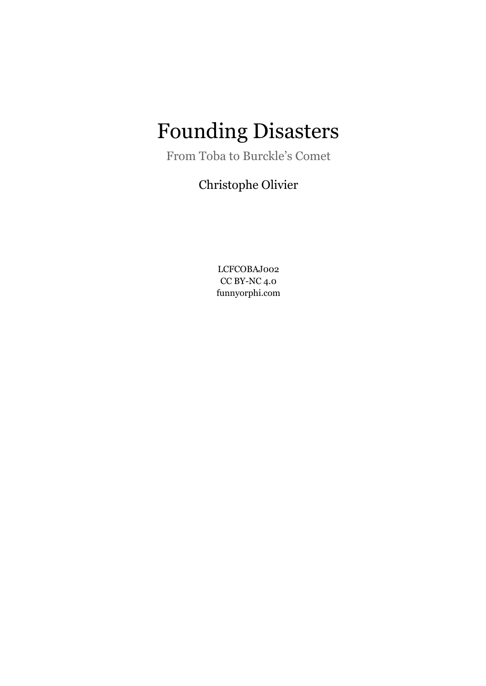# Founding Disasters

From Toba to Burckle's Comet

Christophe Olivier

LCFCOBAJ002 CC BY-NC 4.0 funnyorphi.com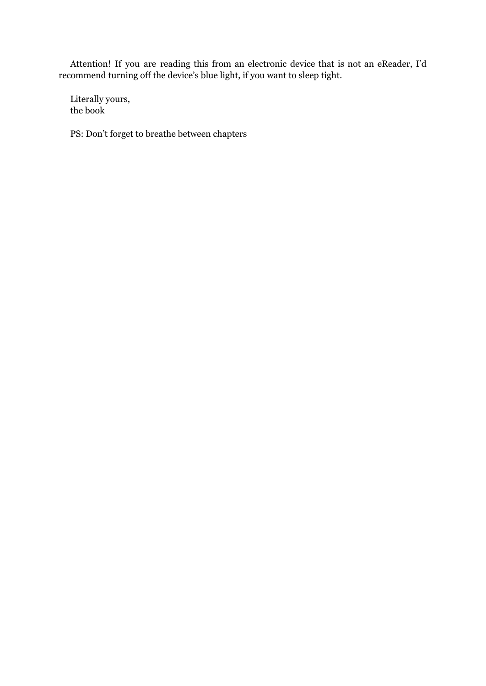Attention! If you are reading this from an electronic device that is not an eReader, I'd recommend turning off the device's blue light, if you want to sleep tight.

Literally yours, the book

PS: Don't forget to breathe between chapters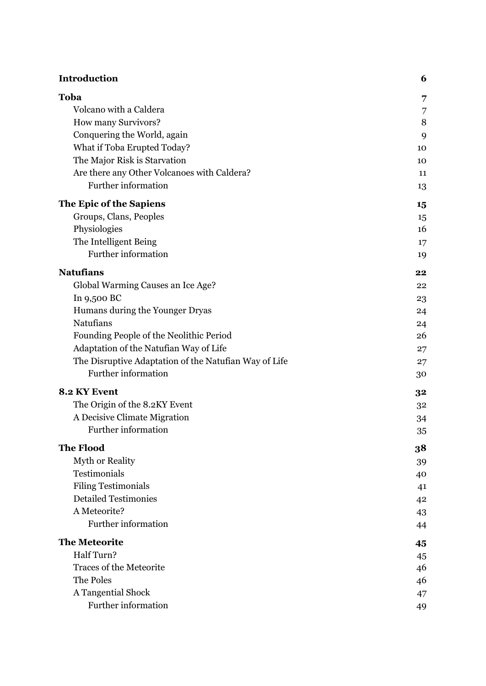| <b>Introduction</b>                                   | 6  |
|-------------------------------------------------------|----|
| Toba                                                  | 7  |
| Volcano with a Caldera                                | 7  |
| How many Survivors?                                   | 8  |
| Conquering the World, again                           | 9  |
| What if Toba Erupted Today?                           | 10 |
| The Major Risk is Starvation                          | 10 |
| Are there any Other Volcanoes with Caldera?           | 11 |
| Further information                                   | 13 |
| The Epic of the Sapiens                               | 15 |
| Groups, Clans, Peoples                                | 15 |
| Physiologies                                          | 16 |
| The Intelligent Being                                 | 17 |
| Further information                                   | 19 |
| <b>Natufians</b>                                      | 22 |
| Global Warming Causes an Ice Age?                     | 22 |
| In 9,500 BC                                           | 23 |
| Humans during the Younger Dryas                       | 24 |
| Natufians                                             | 24 |
| Founding People of the Neolithic Period               | 26 |
| Adaptation of the Natufian Way of Life                | 27 |
| The Disruptive Adaptation of the Natufian Way of Life | 27 |
| Further information                                   | 30 |
| 8.2 KY Event                                          | 32 |
| The Origin of the 8.2KY Event                         | 32 |
| A Decisive Climate Migration                          | 34 |
| Further information                                   | 35 |
| <b>The Flood</b>                                      | 38 |
| Myth or Reality                                       | 39 |
| Testimonials                                          | 40 |
| <b>Filing Testimonials</b>                            | 41 |
| <b>Detailed Testimonies</b>                           | 42 |
| A Meteorite?                                          | 43 |
| Further information                                   | 44 |
| <b>The Meteorite</b>                                  | 45 |
| Half Turn?                                            | 45 |
| <b>Traces of the Meteorite</b>                        | 46 |
| The Poles                                             | 46 |
| A Tangential Shock                                    | 47 |
| Further information                                   | 49 |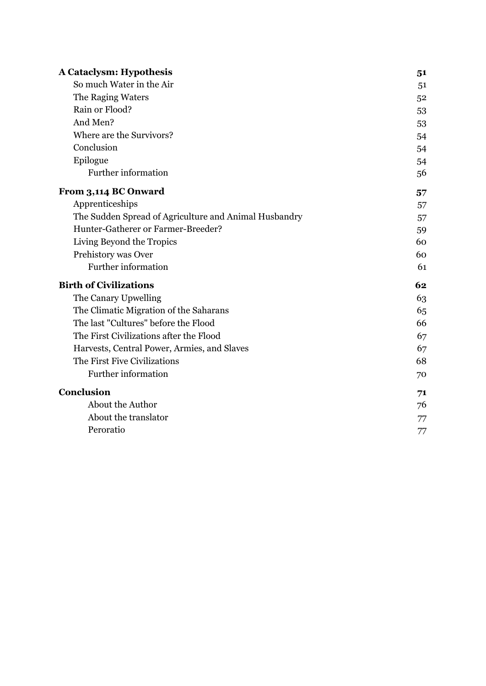| <b>A Cataclysm: Hypothesis</b>                        | 51 |
|-------------------------------------------------------|----|
| So much Water in the Air                              | 51 |
| The Raging Waters                                     | 52 |
| Rain or Flood?                                        | 53 |
| And Men?                                              | 53 |
| Where are the Survivors?                              | 54 |
| Conclusion                                            | 54 |
| Epilogue                                              | 54 |
| Further information                                   | 56 |
| From 3,114 BC Onward                                  | 57 |
| Apprenticeships                                       | 57 |
| The Sudden Spread of Agriculture and Animal Husbandry | 57 |
| Hunter-Gatherer or Farmer-Breeder?                    | 59 |
| Living Beyond the Tropics                             | 60 |
| Prehistory was Over                                   | 60 |
| Further information                                   | 61 |
| <b>Birth of Civilizations</b>                         | 62 |
| The Canary Upwelling                                  | 63 |
| The Climatic Migration of the Saharans                | 65 |
| The last "Cultures" before the Flood                  | 66 |
| The First Civilizations after the Flood               | 67 |
| Harvests, Central Power, Armies, and Slaves           | 67 |
| The First Five Civilizations                          | 68 |
| Further information                                   | 70 |
| Conclusion                                            | 71 |
| About the Author                                      | 76 |
| About the translator                                  | 77 |
| Peroratio                                             | 77 |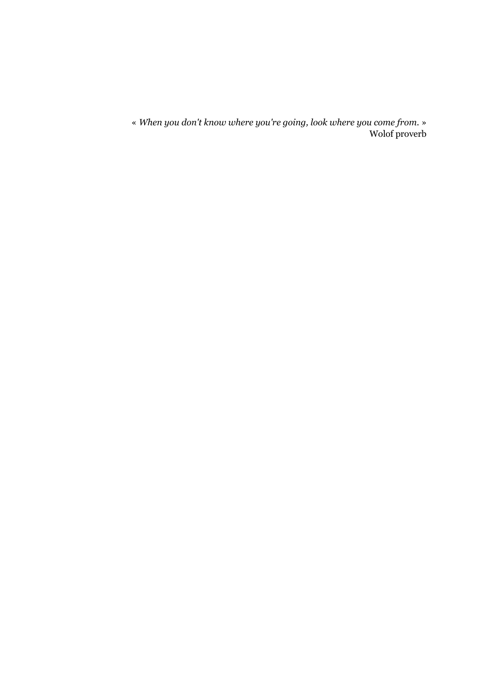« *When you don't know where you're going, look where you come from.* » Wolof proverb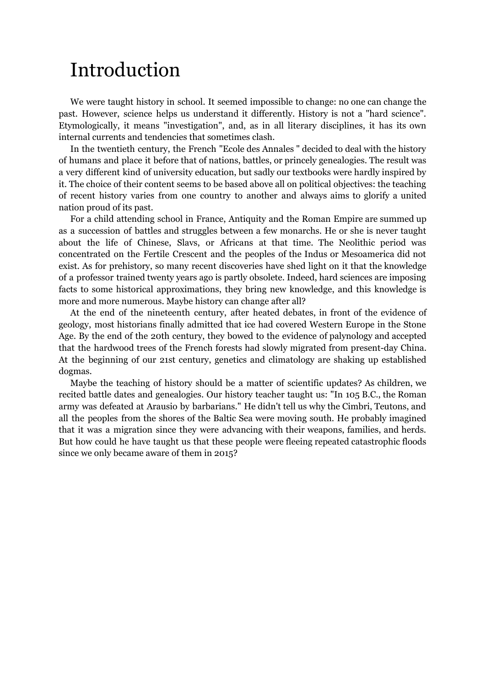# <span id="page-5-0"></span>Introduction

We were taught history in school. It seemed impossible to change: no one can change the past. However, science helps us understand it differently. History is not a "hard science". Etymologically, it means "investigation", and, as in all literary disciplines, it has its own internal currents and tendencies that sometimes clash.

In the twentieth century, the French "Ecole des Annales " decided to deal with the history of humans and place it before that of nations, battles, or princely genealogies. The result was a very different kind of university education, but sadly our textbooks were hardly inspired by it. The choice of their content seems to be based above all on political objectives: the teaching of recent history varies from one country to another and always aims to glorify a united nation proud of its past.

For a child attending school in France, Antiquity and the Roman Empire are summed up as a succession of battles and struggles between a few monarchs. He or she is never taught about the life of Chinese, Slavs, or Africans at that time. The Neolithic period was concentrated on the Fertile Crescent and the peoples of the Indus or Mesoamerica did not exist. As for prehistory, so many recent discoveries have shed light on it that the knowledge of a professor trained twenty years ago is partly obsolete. Indeed, hard sciences are imposing facts to some historical approximations, they bring new knowledge, and this knowledge is more and more numerous. Maybe history can change after all?

At the end of the nineteenth century, after heated debates, in front of the evidence of geology, most historians finally admitted that ice had covered Western Europe in the Stone Age. By the end of the 20th century, they bowed to the evidence of palynology and accepted that the hardwood trees of the French forests had slowly migrated from present-day China. At the beginning of our 21st century, genetics and climatology are shaking up established dogmas.

Maybe the teaching of history should be a matter of scientific updates? As children, we recited battle dates and genealogies. Our history teacher taught us: "In 105 B.C., the Roman army was defeated at Arausio by barbarians." He didn't tell us why the Cimbri, Teutons, and all the peoples from the shores of the Baltic Sea were moving south. He probably imagined that it was a migration since they were advancing with their weapons, families, and herds. But how could he have taught us that these people were fleeing repeated catastrophic floods since we only became aware of them in 2015?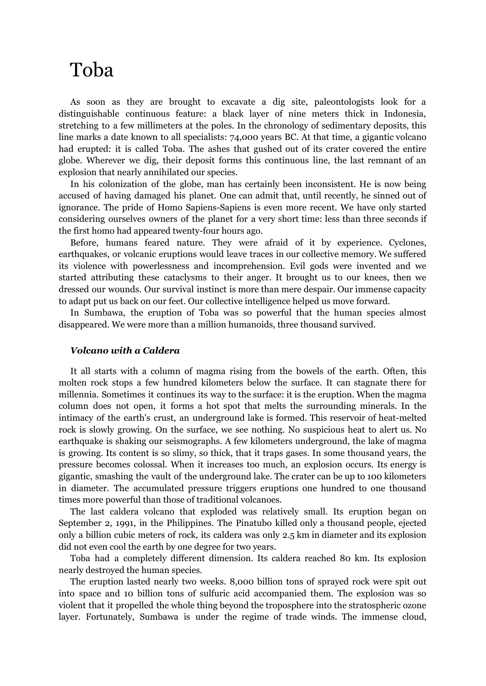# <span id="page-6-0"></span>Toba

As soon as they are brought to excavate a dig site, paleontologists look for a distinguishable continuous feature: a black layer of nine meters thick in Indonesia, stretching to a few millimeters at the poles. In the chronology of sedimentary deposits, this line marks a date known to all specialists: 74,000 years BC. At that time, a gigantic volcano had erupted: it is called Toba. The ashes that gushed out of its crater covered the entire globe. Wherever we dig, their deposit forms this continuous line, the last remnant of an explosion that nearly annihilated our species.

In his colonization of the globe, man has certainly been inconsistent. He is now being accused of having damaged his planet. One can admit that, until recently, he sinned out of ignorance. The pride of Homo Sapiens-Sapiens is even more recent. We have only started considering ourselves owners of the planet for a very short time: less than three seconds if the first homo had appeared twenty-four hours ago.

Before, humans feared nature. They were afraid of it by experience. Cyclones, earthquakes, or volcanic eruptions would leave traces in our collective memory. We suffered its violence with powerlessness and incomprehension. Evil gods were invented and we started attributing these cataclysms to their anger. It brought us to our knees, then we dressed our wounds. Our survival instinct is more than mere despair. Our immense capacity to adapt put us back on our feet. Our collective intelligence helped us move forward.

In Sumbawa, the eruption of Toba was so powerful that the human species almost disappeared. We were more than a million humanoids, three thousand survived.

### <span id="page-6-1"></span>*Volcano with a Caldera*

It all starts with a column of magma rising from the bowels of the earth. Often, this molten rock stops a few hundred kilometers below the surface. It can stagnate there for millennia. Sometimes it continues its way to the surface: it is the eruption. When the magma column does not open, it forms a hot spot that melts the surrounding minerals. In the intimacy of the earth's crust, an underground lake is formed. This reservoir of heat-melted rock is slowly growing. On the surface, we see nothing. No suspicious heat to alert us. No earthquake is shaking our seismographs. A few kilometers underground, the lake of magma is growing. Its content is so slimy, so thick, that it traps gases. In some thousand years, the pressure becomes colossal. When it increases too much, an explosion occurs. Its energy is gigantic, smashing the vault of the underground lake. The crater can be up to 100 kilometers in diameter. The accumulated pressure triggers eruptions one hundred to one thousand times more powerful than those of traditional volcanoes.

The last caldera volcano that exploded was relatively small. Its eruption began on September 2, 1991, in the Philippines. The Pinatubo killed only a thousand people, ejected only a billion cubic meters of rock, its caldera was only 2.5 km in diameter and its explosion did not even cool the earth by one degree for two years.

Toba had a completely different dimension. Its caldera reached 80 km. Its explosion nearly destroyed the human species.

The eruption lasted nearly two weeks. 8,000 billion tons of sprayed rock were spit out into space and 10 billion tons of sulfuric acid accompanied them. The explosion was so violent that it propelled the whole thing beyond the troposphere into the stratospheric ozone layer. Fortunately, Sumbawa is under the regime of trade winds. The immense cloud,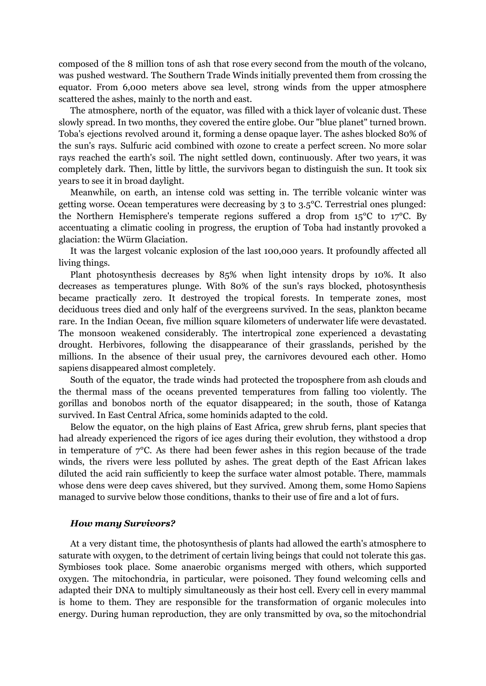composed of the 8 million tons of ash that rose every second from the mouth of the volcano, was pushed westward. The Southern Trade Winds initially prevented them from crossing the equator. From 6,000 meters above sea level, strong winds from the upper atmosphere scattered the ashes, mainly to the north and east.

The atmosphere, north of the equator, was filled with a thick layer of volcanic dust. These slowly spread. In two months, they covered the entire globe. Our "blue planet" turned brown. Toba's ejections revolved around it, forming a dense opaque layer. The ashes blocked 80% of the sun's rays. Sulfuric acid combined with ozone to create a perfect screen. No more solar rays reached the earth's soil. The night settled down, continuously. After two years, it was completely dark. Then, little by little, the survivors began to distinguish the sun. It took six years to see it in broad daylight.

Meanwhile, on earth, an intense cold was setting in. The terrible volcanic winter was getting worse. Ocean temperatures were decreasing by 3 to 3.5°C. Terrestrial ones plunged: the Northern Hemisphere's temperate regions suffered a drop from 15°C to 17°C. By accentuating a climatic cooling in progress, the eruption of Toba had instantly provoked a glaciation: the Würm Glaciation.

It was the largest volcanic explosion of the last 100,000 years. It profoundly affected all living things.

Plant photosynthesis decreases by 85% when light intensity drops by 10%. It also decreases as temperatures plunge. With 80% of the sun's rays blocked, photosynthesis became practically zero. It destroyed the tropical forests. In temperate zones, most deciduous trees died and only half of the evergreens survived. In the seas, plankton became rare. In the Indian Ocean, five million square kilometers of underwater life were devastated. The monsoon weakened considerably. The intertropical zone experienced a devastating drought. Herbivores, following the disappearance of their grasslands, perished by the millions. In the absence of their usual prey, the carnivores devoured each other. Homo sapiens disappeared almost completely.

South of the equator, the trade winds had protected the troposphere from ash clouds and the thermal mass of the oceans prevented temperatures from falling too violently. The gorillas and bonobos north of the equator disappeared; in the south, those of Katanga survived. In East Central Africa, some hominids adapted to the cold.

Below the equator, on the high plains of East Africa, grew shrub ferns, plant species that had already experienced the rigors of ice ages during their evolution, they withstood a drop in temperature of  $7^{\circ}$ C. As there had been fewer ashes in this region because of the trade winds, the rivers were less polluted by ashes. The great depth of the East African lakes diluted the acid rain sufficiently to keep the surface water almost potable. There, mammals whose dens were deep caves shivered, but they survived. Among them, some Homo Sapiens managed to survive below those conditions, thanks to their use of fire and a lot of furs.

#### <span id="page-7-0"></span>*How many Survivors?*

At a very distant time, the photosynthesis of plants had allowed the earth's atmosphere to saturate with oxygen, to the detriment of certain living beings that could not tolerate this gas. Symbioses took place. Some anaerobic organisms merged with others, which supported oxygen. The mitochondria, in particular, were poisoned. They found welcoming cells and adapted their DNA to multiply simultaneously as their host cell. Every cell in every mammal is home to them. They are responsible for the transformation of organic molecules into energy. During human reproduction, they are only transmitted by ova, so the mitochondrial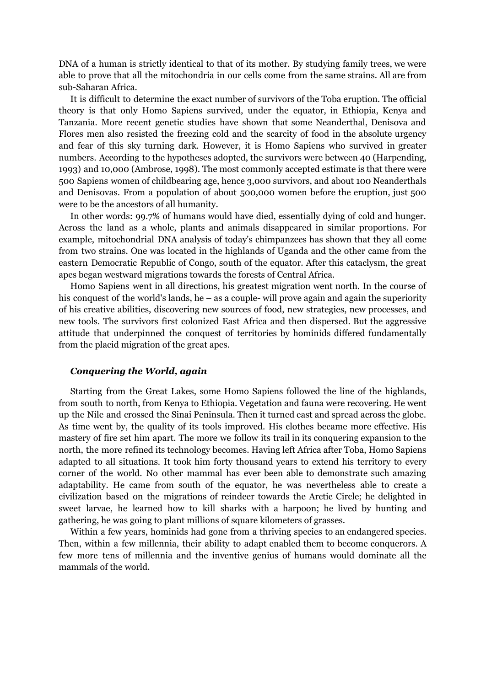DNA of a human is strictly identical to that of its mother. By studying family trees, we were able to prove that all the mitochondria in our cells come from the same strains. All are from sub-Saharan Africa.

It is difficult to determine the exact number of survivors of the Toba eruption. The official theory is that only Homo Sapiens survived, under the equator, in Ethiopia, Kenya and Tanzania. More recent genetic studies have shown that some Neanderthal, Denisova and Flores men also resisted the freezing cold and the scarcity of food in the absolute urgency and fear of this sky turning dark. However, it is Homo Sapiens who survived in greater numbers. According to the hypotheses adopted, the survivors were between 40 (Harpending, 1993) and 10,000 (Ambrose, 1998). The most commonly accepted estimate is that there were 500 Sapiens women of childbearing age, hence 3,000 survivors, and about 100 Neanderthals and Denisovas. From a population of about 500,000 women before the eruption, just 500 were to be the ancestors of all humanity.

In other words: 99.7% of humans would have died, essentially dying of cold and hunger. Across the land as a whole, plants and animals disappeared in similar proportions. For example, mitochondrial DNA analysis of today's chimpanzees has shown that they all come from two strains. One was located in the highlands of Uganda and the other came from the eastern Democratic Republic of Congo, south of the equator. After this cataclysm, the great apes began westward migrations towards the forests of Central Africa.

Homo Sapiens went in all directions, his greatest migration went north. In the course of his conquest of the world's lands, he – as a couple- will prove again and again the superiority of his creative abilities, discovering new sources of food, new strategies, new processes, and new tools. The survivors first colonized East Africa and then dispersed. But the aggressive attitude that underpinned the conquest of territories by hominids differed fundamentally from the placid migration of the great apes.

### <span id="page-8-0"></span>*Conquering the World, again*

Starting from the Great Lakes, some Homo Sapiens followed the line of the highlands, from south to north, from Kenya to Ethiopia. Vegetation and fauna were recovering. He went up the Nile and crossed the Sinai Peninsula. Then it turned east and spread across the globe. As time went by, the quality of its tools improved. His clothes became more effective. His mastery of fire set him apart. The more we follow its trail in its conquering expansion to the north, the more refined its technology becomes. Having left Africa after Toba, Homo Sapiens adapted to all situations. It took him forty thousand years to extend his territory to every corner of the world. No other mammal has ever been able to demonstrate such amazing adaptability. He came from south of the equator, he was nevertheless able to create a civilization based on the migrations of reindeer towards the Arctic Circle; he delighted in sweet larvae, he learned how to kill sharks with a harpoon; he lived by hunting and gathering, he was going to plant millions of square kilometers of grasses.

Within a few years, hominids had gone from a thriving species to an endangered species. Then, within a few millennia, their ability to adapt enabled them to become conquerors. A few more tens of millennia and the inventive genius of humans would dominate all the mammals of the world.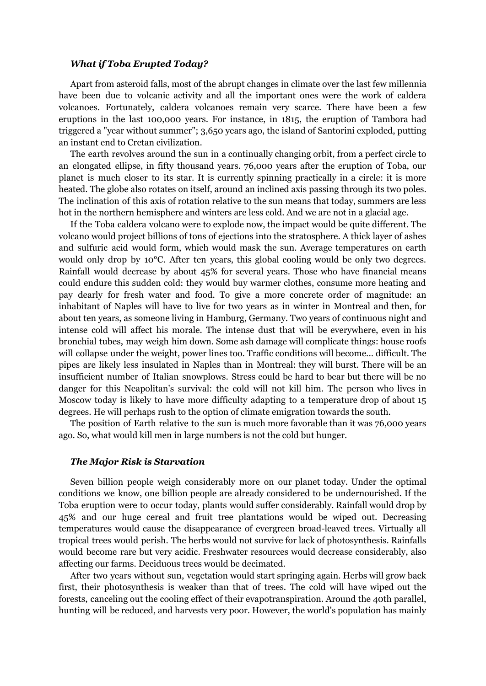### <span id="page-9-0"></span>*What if Toba Erupted Today?*

Apart from asteroid falls, most of the abrupt changes in climate over the last few millennia have been due to volcanic activity and all the important ones were the work of caldera volcanoes. Fortunately, caldera volcanoes remain very scarce. There have been a few eruptions in the last 100,000 years. For instance, in 1815, the eruption of Tambora had triggered a "year without summer"; 3,650 years ago, the island of Santorini exploded, putting an instant end to Cretan civilization.

The earth revolves around the sun in a continually changing orbit, from a perfect circle to an elongated ellipse, in fifty thousand years. 76,000 years after the eruption of Toba, our planet is much closer to its star. It is currently spinning practically in a circle: it is more heated. The globe also rotates on itself, around an inclined axis passing through its two poles. The inclination of this axis of rotation relative to the sun means that today, summers are less hot in the northern hemisphere and winters are less cold. And we are not in a glacial age.

If the Toba caldera volcano were to explode now, the impact would be quite different. The volcano would project billions of tons of ejections into the stratosphere. A thick layer of ashes and sulfuric acid would form, which would mask the sun. Average temperatures on earth would only drop by 10<sup>o</sup>C. After ten years, this global cooling would be only two degrees. Rainfall would decrease by about 45% for several years. Those who have financial means could endure this sudden cold: they would buy warmer clothes, consume more heating and pay dearly for fresh water and food. To give a more concrete order of magnitude: an inhabitant of Naples will have to live for two years as in winter in Montreal and then, for about ten years, as someone living in Hamburg, Germany. Two years of continuous night and intense cold will affect his morale. The intense dust that will be everywhere, even in his bronchial tubes, may weigh him down. Some ash damage will complicate things: house roofs will collapse under the weight, power lines too. Traffic conditions will become... difficult. The pipes are likely less insulated in Naples than in Montreal: they will burst. There will be an insufficient number of Italian snowplows. Stress could be hard to bear but there will be no danger for this Neapolitan's survival: the cold will not kill him. The person who lives in Moscow today is likely to have more difficulty adapting to a temperature drop of about 15 degrees. He will perhaps rush to the option of climate emigration towards the south.

The position of Earth relative to the sun is much more favorable than it was 76,000 years ago. So, what would kill men in large numbers is not the cold but hunger.

### <span id="page-9-1"></span>*The Major Risk is Starvation*

Seven billion people weigh considerably more on our planet today. Under the optimal conditions we know, one billion people are already considered to be undernourished. If the Toba eruption were to occur today, plants would suffer considerably. Rainfall would drop by 45% and our huge cereal and fruit tree plantations would be wiped out. Decreasing temperatures would cause the disappearance of evergreen broad-leaved trees. Virtually all tropical trees would perish. The herbs would not survive for lack of photosynthesis. Rainfalls would become rare but very acidic. Freshwater resources would decrease considerably, also affecting our farms. Deciduous trees would be decimated.

After two years without sun, vegetation would start springing again. Herbs will grow back first, their photosynthesis is weaker than that of trees. The cold will have wiped out the forests, canceling out the cooling effect of their evapotranspiration. Around the 40th parallel, hunting will be reduced, and harvests very poor. However, the world's population has mainly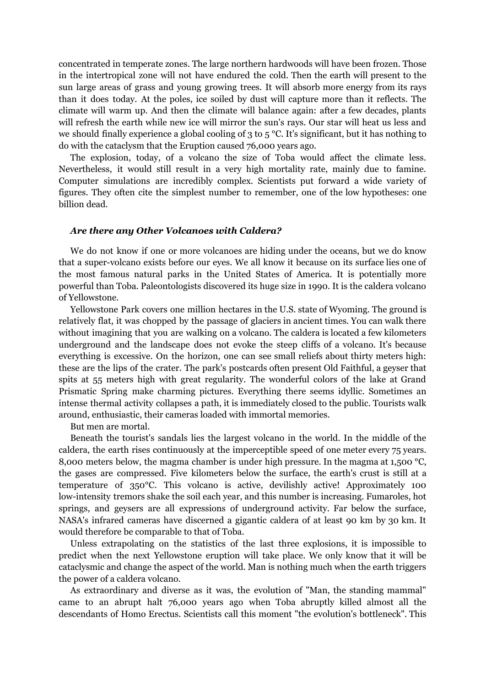concentrated in temperate zones. The large northern hardwoods will have been frozen. Those in the intertropical zone will not have endured the cold. Then the earth will present to the sun large areas of grass and young growing trees. It will absorb more energy from its rays than it does today. At the poles, ice soiled by dust will capture more than it reflects. The climate will warm up. And then the climate will balance again: after a few decades, plants will refresh the earth while new ice will mirror the sun's rays. Our star will heat us less and we should finally experience a global cooling of 3 to  $5^{\circ}$ C. It's significant, but it has nothing to do with the cataclysm that the Eruption caused 76,000 years ago.

The explosion, today, of a volcano the size of Toba would affect the climate less. Nevertheless, it would still result in a very high mortality rate, mainly due to famine. Computer simulations are incredibly complex. Scientists put forward a wide variety of figures. They often cite the simplest number to remember, one of the low hypotheses: one billion dead.

#### <span id="page-10-0"></span>*Are there any Other Volcanoes with Caldera?*

We do not know if one or more volcanoes are hiding under the oceans, but we do know that a super-volcano exists before our eyes. We all know it because on its surface lies one of the most famous natural parks in the United States of America. It is potentially more powerful than Toba. Paleontologists discovered its huge size in 1990. It is the caldera volcano of Yellowstone.

Yellowstone Park covers one million hectares in the U.S. state of Wyoming. The ground is relatively flat, it was chopped by the passage of glaciers in ancient times. You can walk there without imagining that you are walking on a volcano. The caldera is located a few kilometers underground and the landscape does not evoke the steep cliffs of a volcano. It's because everything is excessive. On the horizon, one can see small reliefs about thirty meters high: these are the lips of the crater. The park's postcards often present Old Faithful, a geyser that spits at 55 meters high with great regularity. The wonderful colors of the lake at Grand Prismatic Spring make charming pictures. Everything there seems idyllic. Sometimes an intense thermal activity collapses a path, it is immediately closed to the public. Tourists walk around, enthusiastic, their cameras loaded with immortal memories.

But men are mortal.

Beneath the tourist's sandals lies the largest volcano in the world. In the middle of the caldera, the earth rises continuously at the imperceptible speed of one meter every 75 years. 8,000 meters below, the magma chamber is under high pressure. In the magma at 1,500 °C, the gases are compressed. Five kilometers below the surface, the earth's crust is still at a temperature of 350°C. This volcano is active, devilishly active! Approximately 100 low-intensity tremors shake the soil each year, and this number is increasing. Fumaroles, hot springs, and geysers are all expressions of underground activity. Far below the surface, NASA's infrared cameras have discerned a gigantic caldera of at least 90 km by 30 km. It would therefore be comparable to that of Toba.

Unless extrapolating on the statistics of the last three explosions, it is impossible to predict when the next Yellowstone eruption will take place. We only know that it will be cataclysmic and change the aspect of the world. Man is nothing much when the earth triggers the power of a caldera volcano.

As extraordinary and diverse as it was, the evolution of "Man, the standing mammal" came to an abrupt halt 76,000 years ago when Toba abruptly killed almost all the descendants of Homo Erectus. Scientists call this moment "the evolution's bottleneck". This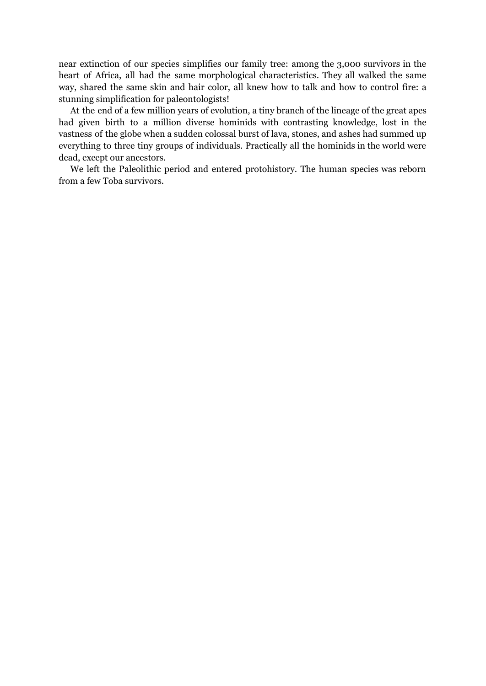near extinction of our species simplifies our family tree: among the 3,000 survivors in the heart of Africa, all had the same morphological characteristics. They all walked the same way, shared the same skin and hair color, all knew how to talk and how to control fire: a stunning simplification for paleontologists!

At the end of a few million years of evolution, a tiny branch of the lineage of the great apes had given birth to a million diverse hominids with contrasting knowledge, lost in the vastness of the globe when a sudden colossal burst of lava, stones, and ashes had summed up everything to three tiny groups of individuals. Practically all the hominids in the world were dead, except our ancestors.

We left the Paleolithic period and entered protohistory. The human species was reborn from a few Toba survivors.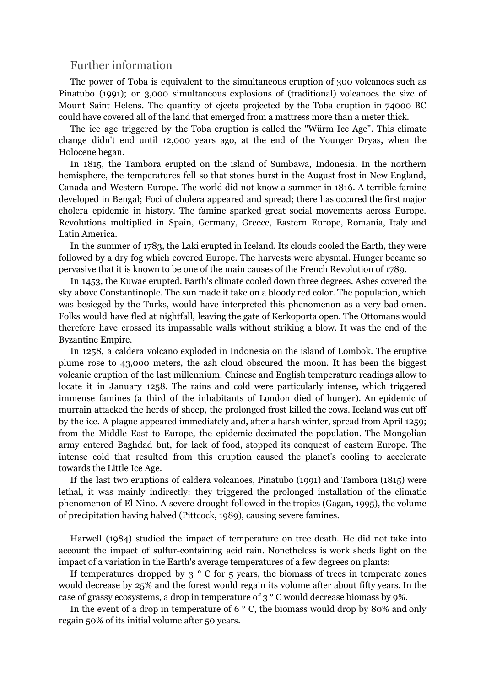### <span id="page-12-0"></span>Further information

The power of Toba is equivalent to the simultaneous eruption of 300 volcanoes such as Pinatubo (1991); or 3,000 simultaneous explosions of (traditional) volcanoes the size of Mount Saint Helens. The quantity of ejecta projected by the Toba eruption in 74000 BC could have covered all of the land that emerged from a mattress more than a meter thick.

The ice age triggered by the Toba eruption is called the "Würm Ice Age". This climate change didn't end until 12,000 years ago, at the end of the Younger Dryas, when the Holocene began.

In 1815, the Tambora erupted on the island of Sumbawa, Indonesia. In the northern hemisphere, the temperatures fell so that stones burst in the August frost in New England, Canada and Western Europe. The world did not know a summer in 1816. A terrible famine developed in Bengal; Foci of cholera appeared and spread; there has occured the first major cholera epidemic in history. The famine sparked great social movements across Europe. Revolutions multiplied in Spain, Germany, Greece, Eastern Europe, Romania, Italy and Latin America.

In the summer of 1783, the Laki erupted in Iceland. Its clouds cooled the Earth, they were followed by a dry fog which covered Europe. The harvests were abysmal. Hunger became so pervasive that it is known to be one of the main causes of the French Revolution of 1789.

In 1453, the Kuwae erupted. Earth's climate cooled down three degrees. Ashes covered the sky above Constantinople. The sun made it take on a bloody red color. The population, which was besieged by the Turks, would have interpreted this phenomenon as a very bad omen. Folks would have fled at nightfall, leaving the gate of Kerkoporta open. The Ottomans would therefore have crossed its impassable walls without striking a blow. It was the end of the Byzantine Empire.

In 1258, a caldera volcano exploded in Indonesia on the island of Lombok. The eruptive plume rose to 43,000 meters, the ash cloud obscured the moon. It has been the biggest volcanic eruption of the last millennium. Chinese and English temperature readings allow to locate it in January 1258. The rains and cold were particularly intense, which triggered immense famines (a third of the inhabitants of London died of hunger). An epidemic of murrain attacked the herds of sheep, the prolonged frost killed the cows. Iceland was cut off by the ice. A plague appeared immediately and, after a harsh winter, spread from April 1259; from the Middle East to Europe, the epidemic decimated the population. The Mongolian army entered Baghdad but, for lack of food, stopped its conquest of eastern Europe. The intense cold that resulted from this eruption caused the planet's cooling to accelerate towards the Little Ice Age.

If the last two eruptions of caldera volcanoes, Pinatubo (1991) and Tambora (1815) were lethal, it was mainly indirectly: they triggered the prolonged installation of the climatic phenomenon of El Nino. A severe drought followed in the tropics (Gagan, 1995), the volume of precipitation having halved (Pittcock, 1989), causing severe famines.

Harwell (1984) studied the impact of temperature on tree death. He did not take into account the impact of sulfur-containing acid rain. Nonetheless is work sheds light on the impact of a variation in the Earth's average temperatures of a few degrees on plants:

If temperatures dropped by  $3 \degree$  C for  $5$  years, the biomass of trees in temperate zones would decrease by 25% and the forest would regain its volume after about fifty years. In the case of grassy ecosystems, a drop in temperature of 3 ° C would decrease biomass by 9%.

In the event of a drop in temperature of 6  $\degree$  C, the biomass would drop by 80% and only regain 50% of its initial volume after 50 years.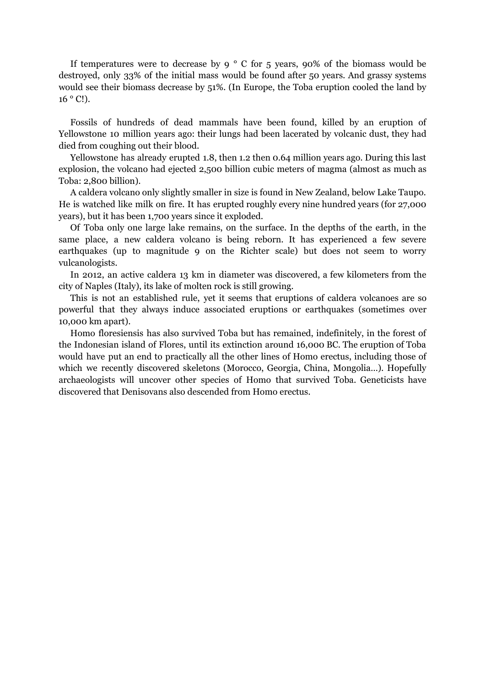If temperatures were to decrease by 9  $\degree$  C for 5 years, 90% of the biomass would be destroyed, only 33% of the initial mass would be found after 50 years. And grassy systems would see their biomass decrease by 51%. (In Europe, the Toba eruption cooled the land by  $16^{\circ}$  C!).

Fossils of hundreds of dead mammals have been found, killed by an eruption of Yellowstone 10 million years ago: their lungs had been lacerated by volcanic dust, they had died from coughing out their blood.

Yellowstone has already erupted 1.8, then 1.2 then 0.64 million years ago. During this last explosion, the volcano had ejected 2,500 billion cubic meters of magma (almost as much as Toba: 2,800 billion).

A caldera volcano only slightly smaller in size is found in New Zealand, below Lake Taupo. He is watched like milk on fire. It has erupted roughly every nine hundred years (for 27,000 years), but it has been 1,700 years since it exploded.

Of Toba only one large lake remains, on the surface. In the depths of the earth, in the same place, a new caldera volcano is being reborn. It has experienced a few severe earthquakes (up to magnitude 9 on the Richter scale) but does not seem to worry vulcanologists.

In 2012, an active caldera 13 km in diameter was discovered, a few kilometers from the city of Naples (Italy), its lake of molten rock is still growing.

This is not an established rule, yet it seems that eruptions of caldera volcanoes are so powerful that they always induce associated eruptions or earthquakes (sometimes over 10,000 km apart).

Homo floresiensis has also survived Toba but has remained, indefinitely, in the forest of the Indonesian island of Flores, until its extinction around 16,000 BC. The eruption of Toba would have put an end to practically all the other lines of Homo erectus, including those of which we recently discovered skeletons (Morocco, Georgia, China, Mongolia…). Hopefully archaeologists will uncover other species of Homo that survived Toba. Geneticists have discovered that Denisovans also descended from Homo erectus.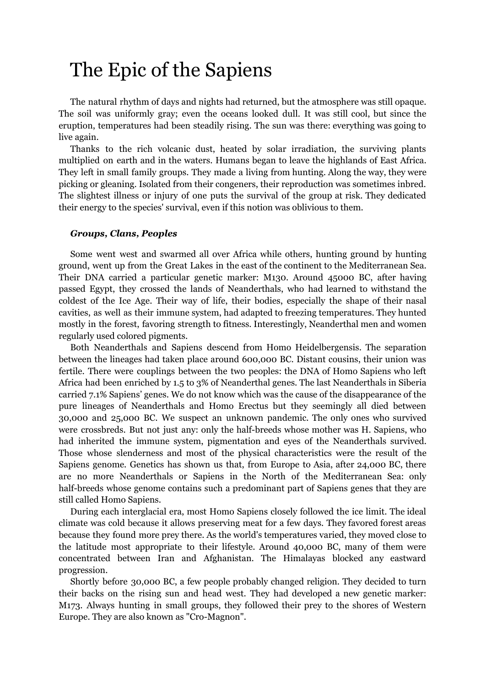# <span id="page-14-0"></span>The Epic of the Sapiens

The natural rhythm of days and nights had returned, but the atmosphere was still opaque. The soil was uniformly gray; even the oceans looked dull. It was still cool, but since the eruption, temperatures had been steadily rising. The sun was there: everything was going to live again.

Thanks to the rich volcanic dust, heated by solar irradiation, the surviving plants multiplied on earth and in the waters. Humans began to leave the highlands of East Africa. They left in small family groups. They made a living from hunting. Along the way, they were picking or gleaning. Isolated from their congeners, their reproduction was sometimes inbred. The slightest illness or injury of one puts the survival of the group at risk. They dedicated their energy to the species' survival, even if this notion was oblivious to them.

### <span id="page-14-1"></span>*Groups, Clans, Peoples*

Some went west and swarmed all over Africa while others, hunting ground by hunting ground, went up from the Great Lakes in the east of the continent to the Mediterranean Sea. Their DNA carried a particular genetic marker: M130. Around 45000 BC, after having passed Egypt, they crossed the lands of Neanderthals, who had learned to withstand the coldest of the Ice Age. Their way of life, their bodies, especially the shape of their nasal cavities, as well as their immune system, had adapted to freezing temperatures. They hunted mostly in the forest, favoring strength to fitness. Interestingly, Neanderthal men and women regularly used colored pigments.

Both Neanderthals and Sapiens descend from Homo Heidelbergensis. The separation between the lineages had taken place around 600,000 BC. Distant cousins, their union was fertile. There were couplings between the two peoples: the DNA of Homo Sapiens who left Africa had been enriched by 1.5 to 3% of Neanderthal genes. The last Neanderthals in Siberia carried 7.1% Sapiens' genes. We do not know which was the cause of the disappearance of the pure lineages of Neanderthals and Homo Erectus but they seemingly all died between 30,000 and 25,000 BC. We suspect an unknown pandemic. The only ones who survived were crossbreds. But not just any: only the half-breeds whose mother was H. Sapiens, who had inherited the immune system, pigmentation and eyes of the Neanderthals survived. Those whose slenderness and most of the physical characteristics were the result of the Sapiens genome. Genetics has shown us that, from Europe to Asia, after 24,000 BC, there are no more Neanderthals or Sapiens in the North of the Mediterranean Sea: only half-breeds whose genome contains such a predominant part of Sapiens genes that they are still called Homo Sapiens.

During each interglacial era, most Homo Sapiens closely followed the ice limit. The ideal climate was cold because it allows preserving meat for a few days. They favored forest areas because they found more prey there. As the world's temperatures varied, they moved close to the latitude most appropriate to their lifestyle. Around 40,000 BC, many of them were concentrated between Iran and Afghanistan. The Himalayas blocked any eastward progression.

Shortly before 30,000 BC, a few people probably changed religion. They decided to turn their backs on the rising sun and head west. They had developed a new genetic marker: M173. Always hunting in small groups, they followed their prey to the shores of Western Europe. They are also known as "Cro-Magnon".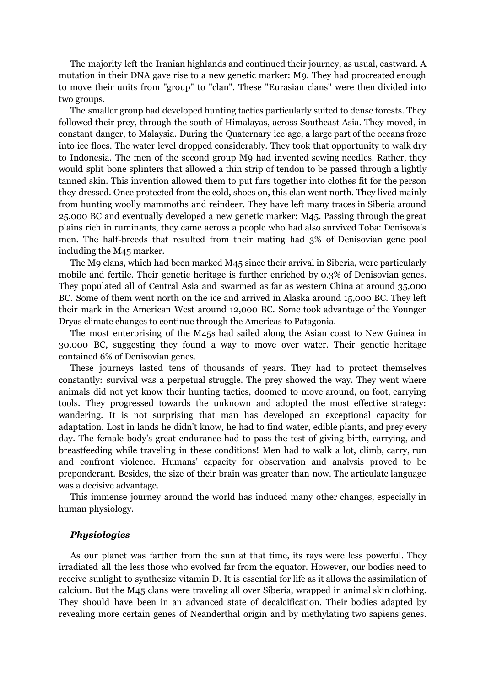The majority left the Iranian highlands and continued their journey, as usual, eastward. A mutation in their DNA gave rise to a new genetic marker: M9. They had procreated enough to move their units from "group" to "clan". These "Eurasian clans" were then divided into two groups.

The smaller group had developed hunting tactics particularly suited to dense forests. They followed their prey, through the south of Himalayas, across Southeast Asia. They moved, in constant danger, to Malaysia. During the Quaternary ice age, a large part of the oceans froze into ice floes. The water level dropped considerably. They took that opportunity to walk dry to Indonesia. The men of the second group M9 had invented sewing needles. Rather, they would split bone splinters that allowed a thin strip of tendon to be passed through a lightly tanned skin. This invention allowed them to put furs together into clothes fit for the person they dressed. Once protected from the cold, shoes on, this clan went north. They lived mainly from hunting woolly mammoths and reindeer. They have left many traces in Siberia around 25,000 BC and eventually developed a new genetic marker: M45. Passing through the great plains rich in ruminants, they came across a people who had also survived Toba: Denisova's men. The half-breeds that resulted from their mating had 3% of Denisovian gene pool including the M45 marker.

The M9 clans, which had been marked M45 since their arrival in Siberia, were particularly mobile and fertile. Their genetic heritage is further enriched by 0.3% of Denisovian genes. They populated all of Central Asia and swarmed as far as western China at around 35,000 BC. Some of them went north on the ice and arrived in Alaska around 15,000 BC. They left their mark in the American West around 12,000 BC. Some took advantage of the Younger Dryas climate changes to continue through the Americas to Patagonia.

The most enterprising of the M45s had sailed along the Asian coast to New Guinea in 30,000 BC, suggesting they found a way to move over water. Their genetic heritage contained 6% of Denisovian genes.

These journeys lasted tens of thousands of years. They had to protect themselves constantly: survival was a perpetual struggle. The prey showed the way. They went where animals did not yet know their hunting tactics, doomed to move around, on foot, carrying tools. They progressed towards the unknown and adopted the most effective strategy: wandering. It is not surprising that man has developed an exceptional capacity for adaptation. Lost in lands he didn't know, he had to find water, edible plants, and prey every day. The female body's great endurance had to pass the test of giving birth, carrying, and breastfeeding while traveling in these conditions! Men had to walk a lot, climb, carry, run and confront violence. Humans' capacity for observation and analysis proved to be preponderant. Besides, the size of their brain was greater than now. The articulate language was a decisive advantage.

This immense journey around the world has induced many other changes, especially in human physiology.

#### <span id="page-15-0"></span>*Physiologies*

As our planet was farther from the sun at that time, its rays were less powerful. They irradiated all the less those who evolved far from the equator. However, our bodies need to receive sunlight to synthesize vitamin D. It is essential for life as it allows the assimilation of calcium. But the M45 clans were traveling all over Siberia, wrapped in animal skin clothing. They should have been in an advanced state of decalcification. Their bodies adapted by revealing more certain genes of Neanderthal origin and by methylating two sapiens genes.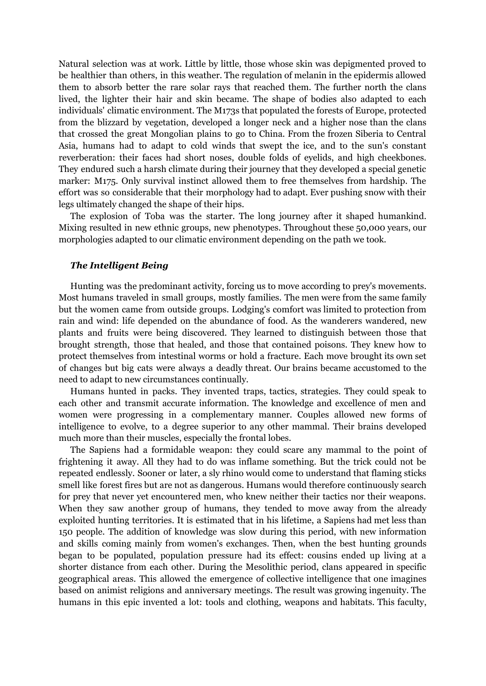Natural selection was at work. Little by little, those whose skin was depigmented proved to be healthier than others, in this weather. The regulation of melanin in the epidermis allowed them to absorb better the rare solar rays that reached them. The further north the clans lived, the lighter their hair and skin became. The shape of bodies also adapted to each individuals' climatic environment. The M173s that populated the forests of Europe, protected from the blizzard by vegetation, developed a longer neck and a higher nose than the clans that crossed the great Mongolian plains to go to China. From the frozen Siberia to Central Asia, humans had to adapt to cold winds that swept the ice, and to the sun's constant reverberation: their faces had short noses, double folds of eyelids, and high cheekbones. They endured such a harsh climate during their journey that they developed a special genetic marker: M175. Only survival instinct allowed them to free themselves from hardship. The effort was so considerable that their morphology had to adapt. Ever pushing snow with their legs ultimately changed the shape of their hips.

The explosion of Toba was the starter. The long journey after it shaped humankind. Mixing resulted in new ethnic groups, new phenotypes. Throughout these 50,000 years, our morphologies adapted to our climatic environment depending on the path we took.

### <span id="page-16-0"></span>*The Intelligent Being*

Hunting was the predominant activity, forcing us to move according to prey's movements. Most humans traveled in small groups, mostly families. The men were from the same family but the women came from outside groups. Lodging's comfort was limited to protection from rain and wind: life depended on the abundance of food. As the wanderers wandered, new plants and fruits were being discovered. They learned to distinguish between those that brought strength, those that healed, and those that contained poisons. They knew how to protect themselves from intestinal worms or hold a fracture. Each move brought its own set of changes but big cats were always a deadly threat. Our brains became accustomed to the need to adapt to new circumstances continually.

Humans hunted in packs. They invented traps, tactics, strategies. They could speak to each other and transmit accurate information. The knowledge and excellence of men and women were progressing in a complementary manner. Couples allowed new forms of intelligence to evolve, to a degree superior to any other mammal. Their brains developed much more than their muscles, especially the frontal lobes.

The Sapiens had a formidable weapon: they could scare any mammal to the point of frightening it away. All they had to do was inflame something. But the trick could not be repeated endlessly. Sooner or later, a sly rhino would come to understand that flaming sticks smell like forest fires but are not as dangerous. Humans would therefore continuously search for prey that never yet encountered men, who knew neither their tactics nor their weapons. When they saw another group of humans, they tended to move away from the already exploited hunting territories. It is estimated that in his lifetime, a Sapiens had met less than 150 people. The addition of knowledge was slow during this period, with new information and skills coming mainly from women's exchanges. Then, when the best hunting grounds began to be populated, population pressure had its effect: cousins ended up living at a shorter distance from each other. During the Mesolithic period, clans appeared in specific geographical areas. This allowed the emergence of collective intelligence that one imagines based on animist religions and anniversary meetings. The result was growing ingenuity. The humans in this epic invented a lot: tools and clothing, weapons and habitats. This faculty,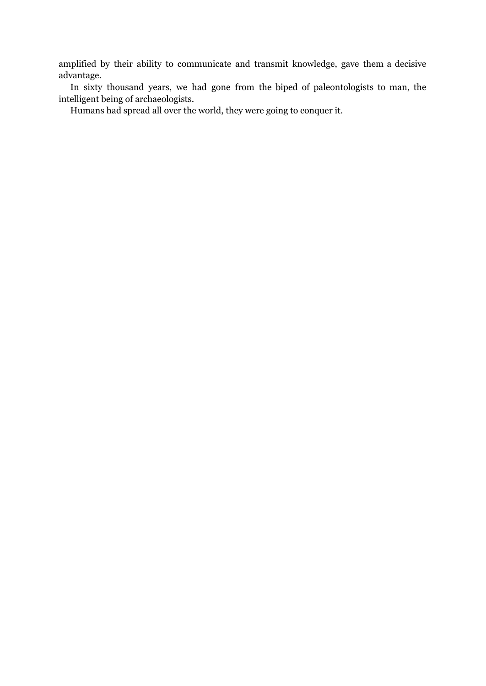amplified by their ability to communicate and transmit knowledge, gave them a decisive advantage.

In sixty thousand years, we had gone from the biped of paleontologists to man, the intelligent being of archaeologists.

Humans had spread all over the world, they were going to conquer it.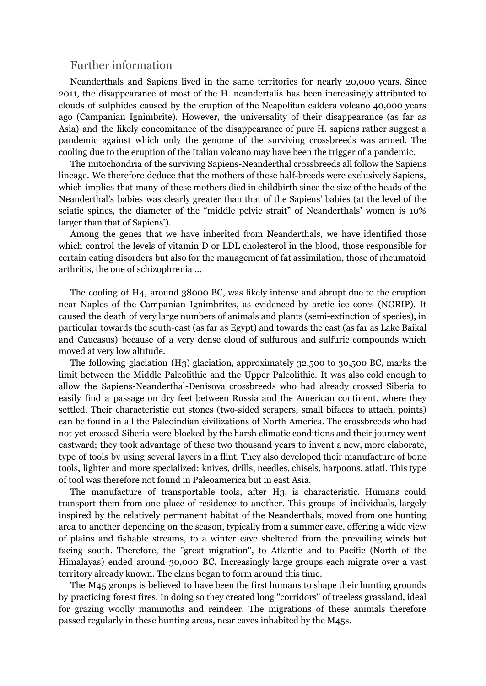### <span id="page-18-0"></span>Further information

Neanderthals and Sapiens lived in the same territories for nearly 20,000 years. Since 2011, the disappearance of most of the H. neandertalis has been increasingly attributed to clouds of sulphides caused by the eruption of the Neapolitan caldera volcano 40,000 years ago (Campanian Ignimbrite). However, the universality of their disappearance (as far as Asia) and the likely concomitance of the disappearance of pure H. sapiens rather suggest a pandemic against which only the genome of the surviving crossbreeds was armed. The cooling due to the eruption of the Italian volcano may have been the trigger of a pandemic.

The mitochondria of the surviving Sapiens-Neanderthal crossbreeds all follow the Sapiens lineage. We therefore deduce that the mothers of these half-breeds were exclusively Sapiens, which implies that many of these mothers died in childbirth since the size of the heads of the Neanderthal's babies was clearly greater than that of the Sapiens' babies (at the level of the sciatic spines, the diameter of the "middle pelvic strait" of Neanderthals' women is 10% larger than that of Sapiens').

Among the genes that we have inherited from Neanderthals, we have identified those which control the levels of vitamin D or LDL cholesterol in the blood, those responsible for certain eating disorders but also for the management of fat assimilation, those of rheumatoid arthritis, the one of schizophrenia ...

The cooling of H4, around 38000 BC, was likely intense and abrupt due to the eruption near Naples of the Campanian Ignimbrites, as evidenced by arctic ice cores (NGRIP). It caused the death of very large numbers of animals and plants (semi-extinction of species), in particular towards the south-east (as far as Egypt) and towards the east (as far as Lake Baikal and Caucasus) because of a very dense cloud of sulfurous and sulfuric compounds which moved at very low altitude.

The following glaciation (H3) glaciation, approximately 32,500 to 30,500 BC, marks the limit between the Middle Paleolithic and the Upper Paleolithic. It was also cold enough to allow the Sapiens-Neanderthal-Denisova crossbreeds who had already crossed Siberia to easily find a passage on dry feet between Russia and the American continent, where they settled. Their characteristic cut stones (two-sided scrapers, small bifaces to attach, points) can be found in all the Paleoindian civilizations of North America. The crossbreeds who had not yet crossed Siberia were blocked by the harsh climatic conditions and their journey went eastward; they took advantage of these two thousand years to invent a new, more elaborate, type of tools by using several layers in a flint. They also developed their manufacture of bone tools, lighter and more specialized: knives, drills, needles, chisels, harpoons, atlatl. This type of tool was therefore not found in Paleoamerica but in east Asia.

The manufacture of transportable tools, after H3, is characteristic. Humans could transport them from one place of residence to another. This groups of individuals, largely inspired by the relatively permanent habitat of the Neanderthals, moved from one hunting area to another depending on the season, typically from a summer cave, offering a wide view of plains and fishable streams, to a winter cave sheltered from the prevailing winds but facing south. Therefore, the "great migration", to Atlantic and to Pacific (North of the Himalayas) ended around 30,000 BC. Increasingly large groups each migrate over a vast territory already known. The clans began to form around this time.

The M45 groups is believed to have been the first humans to shape their hunting grounds by practicing forest fires. In doing so they created long "corridors" of treeless grassland, ideal for grazing woolly mammoths and reindeer. The migrations of these animals therefore passed regularly in these hunting areas, near caves inhabited by the M45s.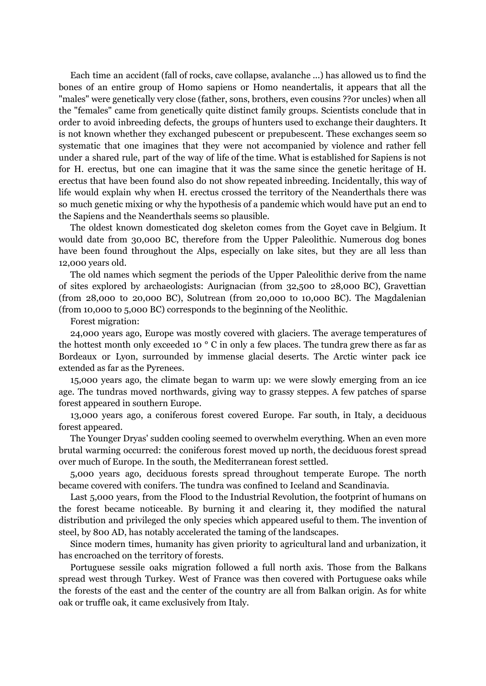Each time an accident (fall of rocks, cave collapse, avalanche ...) has allowed us to find the bones of an entire group of Homo sapiens or Homo neandertalis, it appears that all the "males" were genetically very close (father, sons, brothers, even cousins ??or uncles) when all the "females" came from genetically quite distinct family groups. Scientists conclude that in order to avoid inbreeding defects, the groups of hunters used to exchange their daughters. It is not known whether they exchanged pubescent or prepubescent. These exchanges seem so systematic that one imagines that they were not accompanied by violence and rather fell under a shared rule, part of the way of life of the time. What is established for Sapiens is not for H. erectus, but one can imagine that it was the same since the genetic heritage of H. erectus that have been found also do not show repeated inbreeding. Incidentally, this way of life would explain why when H. erectus crossed the territory of the Neanderthals there was so much genetic mixing or why the hypothesis of a pandemic which would have put an end to the Sapiens and the Neanderthals seems so plausible.

The oldest known domesticated dog skeleton comes from the Goyet cave in Belgium. It would date from 30,000 BC, therefore from the Upper Paleolithic. Numerous dog bones have been found throughout the Alps, especially on lake sites, but they are all less than 12,000 years old.

The old names which segment the periods of the Upper Paleolithic derive from the name of sites explored by archaeologists: Aurignacian (from 32,500 to 28,000 BC), Gravettian (from 28,000 to 20,000 BC), Solutrean (from 20,000 to 10,000 BC). The Magdalenian (from 10,000 to 5,000 BC) corresponds to the beginning of the Neolithic.

Forest migration:

24,000 years ago, Europe was mostly covered with glaciers. The average temperatures of the hottest month only exceeded 10 ° C in only a few places. The tundra grew there as far as Bordeaux or Lyon, surrounded by immense glacial deserts. The Arctic winter pack ice extended as far as the Pyrenees.

15,000 years ago, the climate began to warm up: we were slowly emerging from an ice age. The tundras moved northwards, giving way to grassy steppes. A few patches of sparse forest appeared in southern Europe.

13,000 years ago, a coniferous forest covered Europe. Far south, in Italy, a deciduous forest appeared.

The Younger Dryas' sudden cooling seemed to overwhelm everything. When an even more brutal warming occurred: the coniferous forest moved up north, the deciduous forest spread over much of Europe. In the south, the Mediterranean forest settled.

5,000 years ago, deciduous forests spread throughout temperate Europe. The north became covered with conifers. The tundra was confined to Iceland and Scandinavia.

Last 5,000 years, from the Flood to the Industrial Revolution, the footprint of humans on the forest became noticeable. By burning it and clearing it, they modified the natural distribution and privileged the only species which appeared useful to them. The invention of steel, by 800 AD, has notably accelerated the taming of the landscapes.

Since modern times, humanity has given priority to agricultural land and urbanization, it has encroached on the territory of forests.

Portuguese sessile oaks migration followed a full north axis. Those from the Balkans spread west through Turkey. West of France was then covered with Portuguese oaks while the forests of the east and the center of the country are all from Balkan origin. As for white oak or truffle oak, it came exclusively from Italy.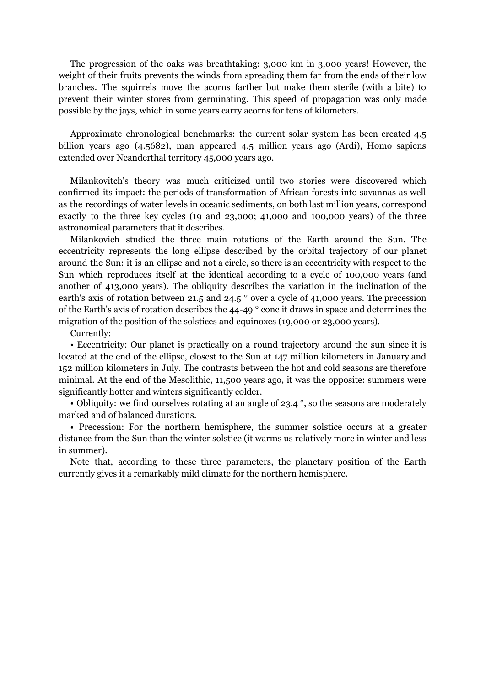The progression of the oaks was breathtaking: 3,000 km in 3,000 years! However, the weight of their fruits prevents the winds from spreading them far from the ends of their low branches. The squirrels move the acorns farther but make them sterile (with a bite) to prevent their winter stores from germinating. This speed of propagation was only made possible by the jays, which in some years carry acorns for tens of kilometers.

Approximate chronological benchmarks: the current solar system has been created 4.5 billion years ago (4.5682), man appeared 4.5 million years ago (Ardi), Homo sapiens extended over Neanderthal territory 45,000 years ago.

Milankovitch's theory was much criticized until two stories were discovered which confirmed its impact: the periods of transformation of African forests into savannas as well as the recordings of water levels in oceanic sediments, on both last million years, correspond exactly to the three key cycles (19 and 23,000; 41,000 and 100,000 years) of the three astronomical parameters that it describes.

Milankovich studied the three main rotations of the Earth around the Sun. The eccentricity represents the long ellipse described by the orbital trajectory of our planet around the Sun: it is an ellipse and not a circle, so there is an eccentricity with respect to the Sun which reproduces itself at the identical according to a cycle of 100,000 years (and another of 413,000 years). The obliquity describes the variation in the inclination of the earth's axis of rotation between 21.5 and 24.5 ° over a cycle of 41,000 years. The precession of the Earth's axis of rotation describes the 44-49 ° cone it draws in space and determines the migration of the position of the solstices and equinoxes (19,000 or 23,000 years).

Currently:

• Eccentricity: Our planet is practically on a round trajectory around the sun since it is located at the end of the ellipse, closest to the Sun at 147 million kilometers in January and 152 million kilometers in July. The contrasts between the hot and cold seasons are therefore minimal. At the end of the Mesolithic, 11,500 years ago, it was the opposite: summers were significantly hotter and winters significantly colder.

• Obliquity: we find ourselves rotating at an angle of 23.4°, so the seasons are moderately marked and of balanced durations.

• Precession: For the northern hemisphere, the summer solstice occurs at a greater distance from the Sun than the winter solstice (it warms us relatively more in winter and less in summer).

Note that, according to these three parameters, the planetary position of the Earth currently gives it a remarkably mild climate for the northern hemisphere.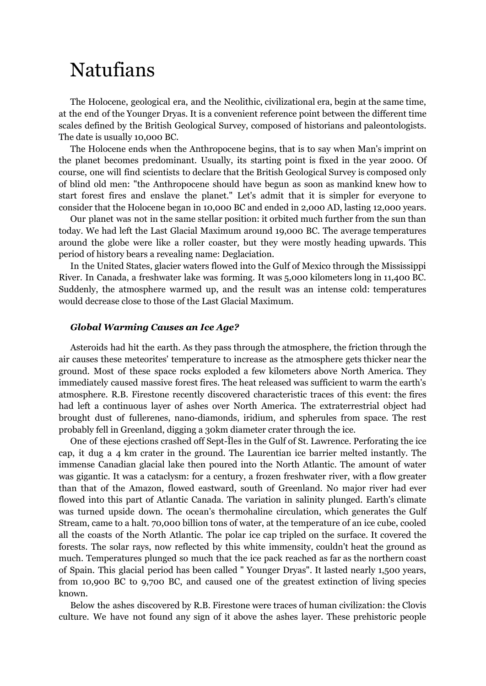# <span id="page-21-0"></span>Natufians

The Holocene, geological era, and the Neolithic, civilizational era, begin at the same time, at the end of the Younger Dryas. It is a convenient reference point between the different time scales defined by the British Geological Survey, composed of historians and paleontologists. The date is usually 10,000 BC.

The Holocene ends when the Anthropocene begins, that is to say when Man's imprint on the planet becomes predominant. Usually, its starting point is fixed in the year 2000. Of course, one will find scientists to declare that the British Geological Survey is composed only of blind old men: "the Anthropocene should have begun as soon as mankind knew how to start forest fires and enslave the planet." Let's admit that it is simpler for everyone to consider that the Holocene began in 10,000 BC and ended in 2,000 AD, lasting 12,000 years.

Our planet was not in the same stellar position: it orbited much further from the sun than today. We had left the Last Glacial Maximum around 19,000 BC. The average temperatures around the globe were like a roller coaster, but they were mostly heading upwards. This period of history bears a revealing name: Deglaciation.

In the United States, glacier waters flowed into the Gulf of Mexico through the Mississippi River. In Canada, a freshwater lake was forming. It was 5,000 kilometers long in 11,400 BC. Suddenly, the atmosphere warmed up, and the result was an intense cold: temperatures would decrease close to those of the Last Glacial Maximum.

### <span id="page-21-1"></span>*Global Warming Causes an Ice Age?*

Asteroids had hit the earth. As they pass through the atmosphere, the friction through the air causes these meteorites' temperature to increase as the atmosphere gets thicker near the ground. Most of these space rocks exploded a few kilometers above North America. They immediately caused massive forest fires. The heat released was sufficient to warm the earth's atmosphere. R.B. Firestone recently discovered characteristic traces of this event: the fires had left a continuous layer of ashes over North America. The extraterrestrial object had brought dust of fullerenes, nano-diamonds, iridium, and spherules from space. The rest probably fell in Greenland, digging a 30km diameter crater through the ice.

One of these ejections crashed off Sept-Îles in the Gulf of St. Lawrence. Perforating the ice cap, it dug a 4 km crater in the ground. The Laurentian ice barrier melted instantly. The immense Canadian glacial lake then poured into the North Atlantic. The amount of water was gigantic. It was a cataclysm: for a century, a frozen freshwater river, with a flow greater than that of the Amazon, flowed eastward, south of Greenland. No major river had ever flowed into this part of Atlantic Canada. The variation in salinity plunged. Earth's climate was turned upside down. The ocean's thermohaline circulation, which generates the Gulf Stream, came to a halt. 70,000 billion tons of water, at the temperature of an ice cube, cooled all the coasts of the North Atlantic. The polar ice cap tripled on the surface. It covered the forests. The solar rays, now reflected by this white immensity, couldn't heat the ground as much. Temperatures plunged so much that the ice pack reached as far as the northern coast of Spain. This glacial period has been called " Younger Dryas". It lasted nearly 1,500 years, from 10,900 BC to 9,700 BC, and caused one of the greatest extinction of living species known.

Below the ashes discovered by R.B. Firestone were traces of human civilization: the Clovis culture. We have not found any sign of it above the ashes layer. These prehistoric people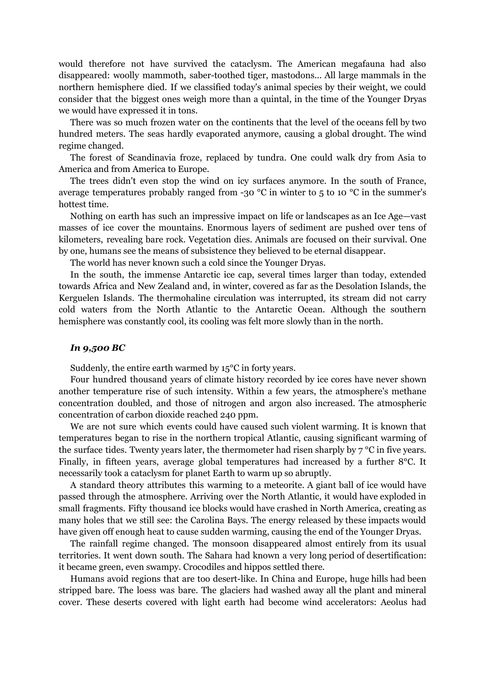would therefore not have survived the cataclysm. The American megafauna had also disappeared: woolly mammoth, saber-toothed tiger, mastodons... All large mammals in the northern hemisphere died. If we classified today's animal species by their weight, we could consider that the biggest ones weigh more than a quintal, in the time of the Younger Dryas we would have expressed it in tons.

There was so much frozen water on the continents that the level of the oceans fell by two hundred meters. The seas hardly evaporated anymore, causing a global drought. The wind regime changed.

The forest of Scandinavia froze, replaced by tundra. One could walk dry from Asia to America and from America to Europe.

The trees didn't even stop the wind on icy surfaces anymore. In the south of France, average temperatures probably ranged from -30 °C in winter to 5 to 10 °C in the summer's hottest time.

Nothing on earth has such an impressive impact on life or landscapes as an Ice Age—vast masses of ice cover the mountains. Enormous layers of sediment are pushed over tens of kilometers, revealing bare rock. Vegetation dies. Animals are focused on their survival. One by one, humans see the means of subsistence they believed to be eternal disappear.

The world has never known such a cold since the Younger Dryas.

In the south, the immense Antarctic ice cap, several times larger than today, extended towards Africa and New Zealand and, in winter, covered as far as the Desolation Islands, the Kerguelen Islands. The thermohaline circulation was interrupted, its stream did not carry cold waters from the North Atlantic to the Antarctic Ocean. Although the southern hemisphere was constantly cool, its cooling was felt more slowly than in the north.

### <span id="page-22-0"></span>*In 9,500 BC*

Suddenly, the entire earth warmed by 15°C in forty years.

Four hundred thousand years of climate history recorded by ice cores have never shown another temperature rise of such intensity. Within a few years, the atmosphere's methane concentration doubled, and those of nitrogen and argon also increased. The atmospheric concentration of carbon dioxide reached 240 ppm.

We are not sure which events could have caused such violent warming. It is known that temperatures began to rise in the northern tropical Atlantic, causing significant warming of the surface tides. Twenty years later, the thermometer had risen sharply by  $7^{\circ}$ C in five years. Finally, in fifteen years, average global temperatures had increased by a further 8°C. It necessarily took a cataclysm for planet Earth to warm up so abruptly.

A standard theory attributes this warming to a meteorite. A giant ball of ice would have passed through the atmosphere. Arriving over the North Atlantic, it would have exploded in small fragments. Fifty thousand ice blocks would have crashed in North America, creating as many holes that we still see: the Carolina Bays. The energy released by these impacts would have given off enough heat to cause sudden warming, causing the end of the Younger Dryas.

The rainfall regime changed. The monsoon disappeared almost entirely from its usual territories. It went down south. The Sahara had known a very long period of desertification: it became green, even swampy. Crocodiles and hippos settled there.

Humans avoid regions that are too desert-like. In China and Europe, huge hills had been stripped bare. The loess was bare. The glaciers had washed away all the plant and mineral cover. These deserts covered with light earth had become wind accelerators: Aeolus had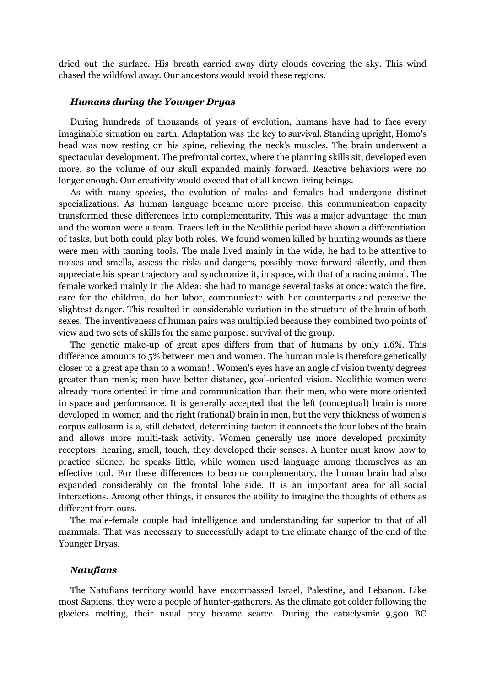dried out the surface. His breath carried away dirty clouds covering the sky. This wind chased the wildfowl away. Our ancestors would avoid these regions.

### <span id="page-23-0"></span>*Humans during the Younger Dryas*

During hundreds of thousands of years of evolution, humans have had to face every imaginable situation on earth. Adaptation was the key to survival. Standing upright, Homo's head was now resting on his spine, relieving the neck's muscles. The brain underwent a spectacular development. The prefrontal cortex, where the planning skills sit, developed even more, so the volume of our skull expanded mainly forward. Reactive behaviors were no longer enough. Our creativity would exceed that of all known living beings.

As with many species, the evolution of males and females had undergone distinct specializations. As human language became more precise, this communication capacity transformed these differences into complementarity. This was a major advantage: the man and the woman were a team. Traces left in the Neolithic period have shown a differentiation of tasks, but both could play both roles. We found women killed by hunting wounds as there were men with tanning tools. The male lived mainly in the wide, he had to be attentive to noises and smells, assess the risks and dangers, possibly move forward silently, and then appreciate his spear trajectory and synchronize it, in space, with that of a racing animal. The female worked mainly in the Aldea: she had to manage several tasks at once: watch the fire, care for the children, do her labor, communicate with her counterparts and perceive the slightest danger. This resulted in considerable variation in the structure of the brain of both sexes. The inventiveness of human pairs was multiplied because they combined two points of view and two sets of skills for the same purpose: survival of the group.

The genetic make-up of great apes differs from that of humans by only 1.6%. This difference amounts to 5% between men and women. The human male is therefore genetically closer to a great ape than to a woman!.. Women's eyes have an angle of vision twenty degrees greater than men's; men have better distance, goal-oriented vision. Neolithic women were already more oriented in time and communication than their men, who were more oriented in space and performance. It is generally accepted that the left (conceptual) brain is more developed in women and the right (rational) brain in men, but the very thickness of women's corpus callosum is a, still debated, determining factor: it connects the four lobes of the brain and allows more multi-task activity. Women generally use more developed proximity receptors: hearing, smell, touch, they developed their senses. A hunter must know how to practice silence, he speaks little, while women used language among themselves as an effective tool. For these differences to become complementary, the human brain had also expanded considerably on the frontal lobe side. It is an important area for all social interactions. Among other things, it ensures the ability to imagine the thoughts of others as different from ours.

The male-female couple had intelligence and understanding far superior to that of all mammals. That was necessary to successfully adapt to the climate change of the end of the Younger Dryas.

### <span id="page-23-1"></span>*Natufians*

The Natufians territory would have encompassed Israel, Palestine, and Lebanon. Like most Sapiens, they were a people of hunter-gatherers. As the climate got colder following the glaciers melting, their usual prey became scarce. During the cataclysmic 9,500 BC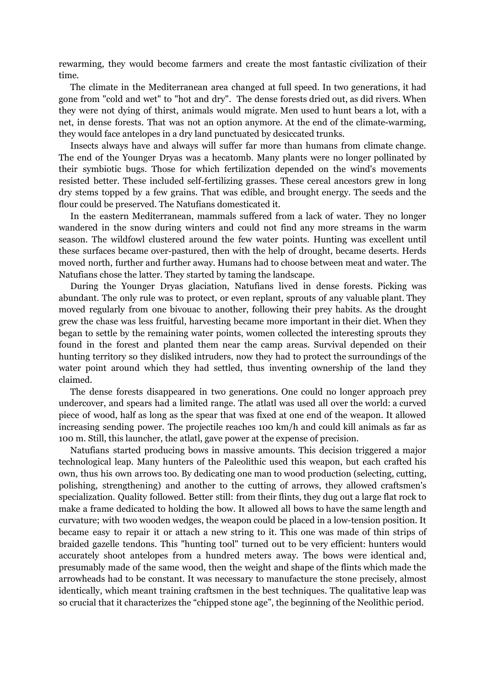rewarming, they would become farmers and create the most fantastic civilization of their time.

The climate in the Mediterranean area changed at full speed. In two generations, it had gone from "cold and wet" to "hot and dry". The dense forests dried out, as did rivers. When they were not dying of thirst, animals would migrate. Men used to hunt bears a lot, with a net, in dense forests. That was not an option anymore. At the end of the climate-warming, they would face antelopes in a dry land punctuated by desiccated trunks.

Insects always have and always will suffer far more than humans from climate change. The end of the Younger Dryas was a hecatomb. Many plants were no longer pollinated by their symbiotic bugs. Those for which fertilization depended on the wind's movements resisted better. These included self-fertilizing grasses. These cereal ancestors grew in long dry stems topped by a few grains. That was edible, and brought energy. The seeds and the flour could be preserved. The Natufians domesticated it.

In the eastern Mediterranean, mammals suffered from a lack of water. They no longer wandered in the snow during winters and could not find any more streams in the warm season. The wildfowl clustered around the few water points. Hunting was excellent until these surfaces became over-pastured, then with the help of drought, became deserts. Herds moved north, further and further away. Humans had to choose between meat and water. The Natufians chose the latter. They started by taming the landscape.

During the Younger Dryas glaciation, Natufians lived in dense forests. Picking was abundant. The only rule was to protect, or even replant, sprouts of any valuable plant. They moved regularly from one bivouac to another, following their prey habits. As the drought grew the chase was less fruitful, harvesting became more important in their diet. When they began to settle by the remaining water points, women collected the interesting sprouts they found in the forest and planted them near the camp areas. Survival depended on their hunting territory so they disliked intruders, now they had to protect the surroundings of the water point around which they had settled, thus inventing ownership of the land they claimed.

The dense forests disappeared in two generations. One could no longer approach prey undercover, and spears had a limited range. The atlatl was used all over the world: a curved piece of wood, half as long as the spear that was fixed at one end of the weapon. It allowed increasing sending power. The projectile reaches 100 km/h and could kill animals as far as 100 m. Still, this launcher, the atlatl, gave power at the expense of precision.

Natufians started producing bows in massive amounts. This decision triggered a major technological leap. Many hunters of the Paleolithic used this weapon, but each crafted his own, thus his own arrows too. By dedicating one man to wood production (selecting, cutting, polishing, strengthening) and another to the cutting of arrows, they allowed craftsmen's specialization. Quality followed. Better still: from their flints, they dug out a large flat rock to make a frame dedicated to holding the bow. It allowed all bows to have the same length and curvature; with two wooden wedges, the weapon could be placed in a low-tension position. It became easy to repair it or attach a new string to it. This one was made of thin strips of braided gazelle tendons. This "hunting tool" turned out to be very efficient: hunters would accurately shoot antelopes from a hundred meters away. The bows were identical and, presumably made of the same wood, then the weight and shape of the flints which made the arrowheads had to be constant. It was necessary to manufacture the stone precisely, almost identically, which meant training craftsmen in the best techniques. The qualitative leap was so crucial that it characterizes the "chipped stone age", the beginning of the Neolithic period.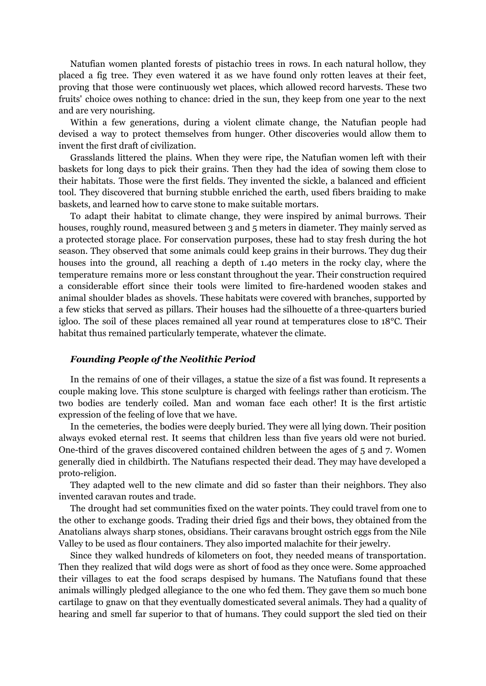Natufian women planted forests of pistachio trees in rows. In each natural hollow, they placed a fig tree. They even watered it as we have found only rotten leaves at their feet, proving that those were continuously wet places, which allowed record harvests. These two fruits' choice owes nothing to chance: dried in the sun, they keep from one year to the next and are very nourishing.

Within a few generations, during a violent climate change, the Natufian people had devised a way to protect themselves from hunger. Other discoveries would allow them to invent the first draft of civilization.

Grasslands littered the plains. When they were ripe, the Natufian women left with their baskets for long days to pick their grains. Then they had the idea of sowing them close to their habitats. Those were the first fields. They invented the sickle, a balanced and efficient tool. They discovered that burning stubble enriched the earth, used fibers braiding to make baskets, and learned how to carve stone to make suitable mortars.

To adapt their habitat to climate change, they were inspired by animal burrows. Their houses, roughly round, measured between 3 and 5 meters in diameter. They mainly served as a protected storage place. For conservation purposes, these had to stay fresh during the hot season. They observed that some animals could keep grains in their burrows. They dug their houses into the ground, all reaching a depth of 1.40 meters in the rocky clay, where the temperature remains more or less constant throughout the year. Their construction required a considerable effort since their tools were limited to fire-hardened wooden stakes and animal shoulder blades as shovels. These habitats were covered with branches, supported by a few sticks that served as pillars. Their houses had the silhouette of a three-quarters buried igloo. The soil of these places remained all year round at temperatures close to 18°C. Their habitat thus remained particularly temperate, whatever the climate.

### <span id="page-25-0"></span>*Founding People of the Neolithic Period*

In the remains of one of their villages, a statue the size of a fist was found. It represents a couple making love. This stone sculpture is charged with feelings rather than eroticism. The two bodies are tenderly coiled. Man and woman face each other! It is the first artistic expression of the feeling of love that we have.

In the cemeteries, the bodies were deeply buried. They were all lying down. Their position always evoked eternal rest. It seems that children less than five years old were not buried. One-third of the graves discovered contained children between the ages of 5 and 7. Women generally died in childbirth. The Natufians respected their dead. They may have developed a proto-religion.

They adapted well to the new climate and did so faster than their neighbors. They also invented caravan routes and trade.

The drought had set communities fixed on the water points. They could travel from one to the other to exchange goods. Trading their dried figs and their bows, they obtained from the Anatolians always sharp stones, obsidians. Their caravans brought ostrich eggs from the Nile Valley to be used as flour containers. They also imported malachite for their jewelry.

Since they walked hundreds of kilometers on foot, they needed means of transportation. Then they realized that wild dogs were as short of food as they once were. Some approached their villages to eat the food scraps despised by humans. The Natufians found that these animals willingly pledged allegiance to the one who fed them. They gave them so much bone cartilage to gnaw on that they eventually domesticated several animals. They had a quality of hearing and smell far superior to that of humans. They could support the sled tied on their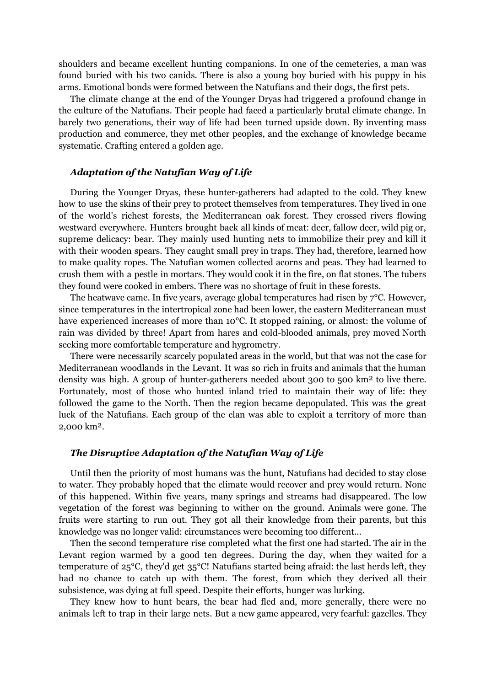shoulders and became excellent hunting companions. In one of the cemeteries, a man was found buried with his two canids. There is also a young boy buried with his puppy in his arms. Emotional bonds were formed between the Natufians and their dogs, the first pets.

The climate change at the end of the Younger Dryas had triggered a profound change in the culture of the Natufians. Their people had faced a particularly brutal climate change. In barely two generations, their way of life had been turned upside down. By inventing mass production and commerce, they met other peoples, and the exchange of knowledge became systematic. Crafting entered a golden age.

### <span id="page-26-0"></span>*Adaptation of the Natufian Way of Life*

During the Younger Dryas, these hunter-gatherers had adapted to the cold. They knew how to use the skins of their prey to protect themselves from temperatures. They lived in one of the world's richest forests, the Mediterranean oak forest. They crossed rivers flowing westward everywhere. Hunters brought back all kinds of meat: deer, fallow deer, wild pig or, supreme delicacy: bear. They mainly used hunting nets to immobilize their prey and kill it with their wooden spears. They caught small prey in traps. They had, therefore, learned how to make quality ropes. The Natufian women collected acorns and peas. They had learned to crush them with a pestle in mortars. They would cook it in the fire, on flat stones. The tubers they found were cooked in embers. There was no shortage of fruit in these forests.

The heatwave came. In five years, average global temperatures had risen by 7°C. However, since temperatures in the intertropical zone had been lower, the eastern Mediterranean must have experienced increases of more than 10<sup>o</sup>C. It stopped raining, or almost: the volume of rain was divided by three! Apart from hares and cold-blooded animals, prey moved North seeking more comfortable temperature and hygrometry.

There were necessarily scarcely populated areas in the world, but that was not the case for Mediterranean woodlands in the Levant. It was so rich in fruits and animals that the human density was high. A group of hunter-gatherers needed about 300 to 500 km² to live there. Fortunately, most of those who hunted inland tried to maintain their way of life: they followed the game to the North. Then the region became depopulated. This was the great luck of the Natufians. Each group of the clan was able to exploit a territory of more than 2,000 km².

#### <span id="page-26-1"></span>*The Disruptive Adaptation of the Natufian Way of Life*

Until then the priority of most humans was the hunt, Natufians had decided to stay close to water. They probably hoped that the climate would recover and prey would return. None of this happened. Within five years, many springs and streams had disappeared. The low vegetation of the forest was beginning to wither on the ground. Animals were gone. The fruits were starting to run out. They got all their knowledge from their parents, but this knowledge was no longer valid: circumstances were becoming too different...

Then the second temperature rise completed what the first one had started. The air in the Levant region warmed by a good ten degrees. During the day, when they waited for a temperature of 25°C, they'd get 35°C! Natufians started being afraid: the last herds left, they had no chance to catch up with them. The forest, from which they derived all their subsistence, was dying at full speed. Despite their efforts, hunger was lurking.

They knew how to hunt bears, the bear had fled and, more generally, there were no animals left to trap in their large nets. But a new game appeared, very fearful: gazelles. They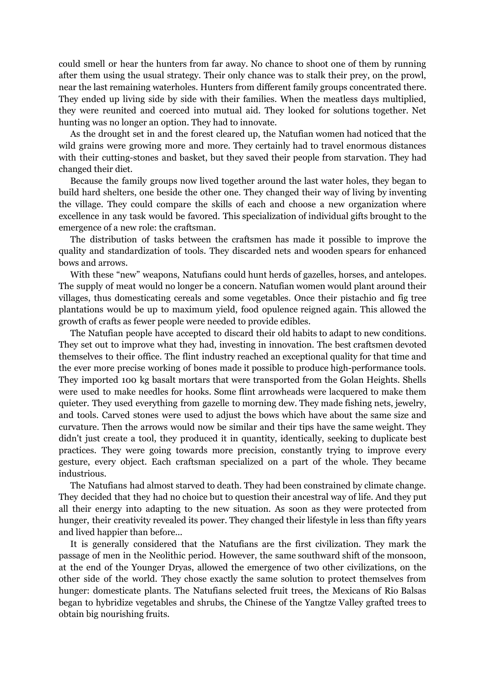could smell or hear the hunters from far away. No chance to shoot one of them by running after them using the usual strategy. Their only chance was to stalk their prey, on the prowl, near the last remaining waterholes. Hunters from different family groups concentrated there. They ended up living side by side with their families. When the meatless days multiplied, they were reunited and coerced into mutual aid. They looked for solutions together. Net hunting was no longer an option. They had to innovate.

As the drought set in and the forest cleared up, the Natufian women had noticed that the wild grains were growing more and more. They certainly had to travel enormous distances with their cutting-stones and basket, but they saved their people from starvation. They had changed their diet.

Because the family groups now lived together around the last water holes, they began to build hard shelters, one beside the other one. They changed their way of living by inventing the village. They could compare the skills of each and choose a new organization where excellence in any task would be favored. This specialization of individual gifts brought to the emergence of a new role: the craftsman.

The distribution of tasks between the craftsmen has made it possible to improve the quality and standardization of tools. They discarded nets and wooden spears for enhanced bows and arrows.

With these "new" weapons, Natufians could hunt herds of gazelles, horses, and antelopes. The supply of meat would no longer be a concern. Natufian women would plant around their villages, thus domesticating cereals and some vegetables. Once their pistachio and fig tree plantations would be up to maximum yield, food opulence reigned again. This allowed the growth of crafts as fewer people were needed to provide edibles.

The Natufian people have accepted to discard their old habits to adapt to new conditions. They set out to improve what they had, investing in innovation. The best craftsmen devoted themselves to their office. The flint industry reached an exceptional quality for that time and the ever more precise working of bones made it possible to produce high-performance tools. They imported 100 kg basalt mortars that were transported from the Golan Heights. Shells were used to make needles for hooks. Some flint arrowheads were lacquered to make them quieter. They used everything from gazelle to morning dew. They made fishing nets, jewelry, and tools. Carved stones were used to adjust the bows which have about the same size and curvature. Then the arrows would now be similar and their tips have the same weight. They didn't just create a tool, they produced it in quantity, identically, seeking to duplicate best practices. They were going towards more precision, constantly trying to improve every gesture, every object. Each craftsman specialized on a part of the whole. They became industrious.

The Natufians had almost starved to death. They had been constrained by climate change. They decided that they had no choice but to question their ancestral way of life. And they put all their energy into adapting to the new situation. As soon as they were protected from hunger, their creativity revealed its power. They changed their lifestyle in less than fifty years and lived happier than before...

It is generally considered that the Natufians are the first civilization. They mark the passage of men in the Neolithic period. However, the same southward shift of the monsoon, at the end of the Younger Dryas, allowed the emergence of two other civilizations, on the other side of the world. They chose exactly the same solution to protect themselves from hunger: domesticate plants. The Natufians selected fruit trees, the Mexicans of Rio Balsas began to hybridize vegetables and shrubs, the Chinese of the Yangtze Valley grafted trees to obtain big nourishing fruits.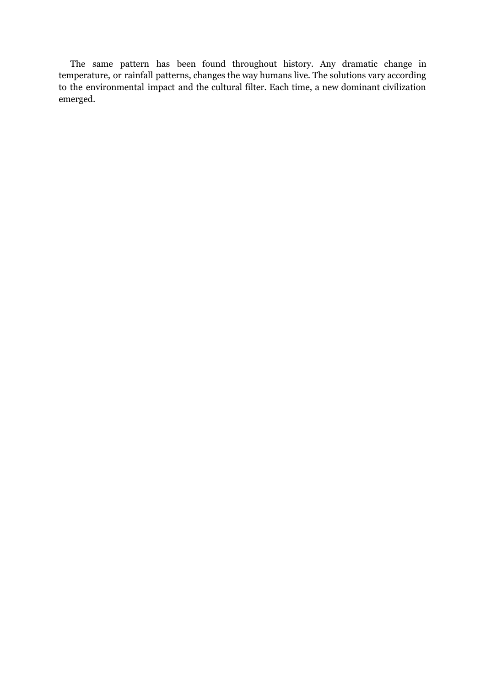The same pattern has been found throughout history. Any dramatic change in temperature, or rainfall patterns, changes the way humans live. The solutions vary according to the environmental impact and the cultural filter. Each time, a new dominant civilization emerged.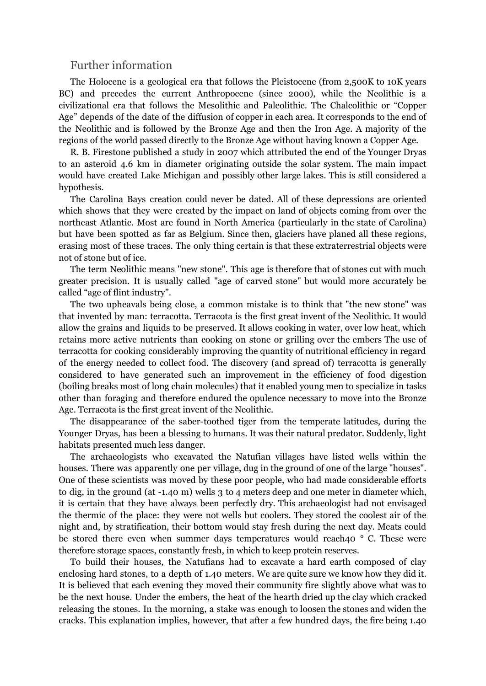### <span id="page-29-0"></span>Further information

The Holocene is a geological era that follows the Pleistocene (from 2,500K to 10K years BC) and precedes the current Anthropocene (since 2000), while the Neolithic is a civilizational era that follows the Mesolithic and Paleolithic. The Chalcolithic or "Copper Age" depends of the date of the diffusion of copper in each area. It corresponds to the end of the Neolithic and is followed by the Bronze Age and then the Iron Age. A majority of the regions of the world passed directly to the Bronze Age without having known a Copper Age.

R. B. Firestone published a study in 2007 which attributed the end of the Younger Dryas to an asteroid 4.6 km in diameter originating outside the solar system. The main impact would have created Lake Michigan and possibly other large lakes. This is still considered a hypothesis.

The Carolina Bays creation could never be dated. All of these depressions are oriented which shows that they were created by the impact on land of objects coming from over the northeast Atlantic. Most are found in North America (particularly in the state of Carolina) but have been spotted as far as Belgium. Since then, glaciers have planed all these regions, erasing most of these traces. The only thing certain is that these extraterrestrial objects were not of stone but of ice.

The term Neolithic means "new stone". This age is therefore that of stones cut with much greater precision. It is usually called "age of carved stone" but would more accurately be called "age of flint industry".

The two upheavals being close, a common mistake is to think that "the new stone" was that invented by man: terracotta. Terracota is the first great invent of the Neolithic. It would allow the grains and liquids to be preserved. It allows cooking in water, over low heat, which retains more active nutrients than cooking on stone or grilling over the embers The use of terracotta for cooking considerably improving the quantity of nutritional efficiency in regard of the energy needed to collect food. The discovery (and spread of) terracotta is generally considered to have generated such an improvement in the efficiency of food digestion (boiling breaks most of long chain molecules) that it enabled young men to specialize in tasks other than foraging and therefore endured the opulence necessary to move into the Bronze Age. Terracota is the first great invent of the Neolithic.

The disappearance of the saber-toothed tiger from the temperate latitudes, during the Younger Dryas, has been a blessing to humans. It was their natural predator. Suddenly, light habitats presented much less danger.

The archaeologists who excavated the Natufian villages have listed wells within the houses. There was apparently one per village, dug in the ground of one of the large "houses". One of these scientists was moved by these poor people, who had made considerable efforts to dig, in the ground (at -1.40 m) wells 3 to 4 meters deep and one meter in diameter which, it is certain that they have always been perfectly dry. This archaeologist had not envisaged the thermic of the place: they were not wells but coolers. They stored the coolest air of the night and, by stratification, their bottom would stay fresh during the next day. Meats could be stored there even when summer days temperatures would reach40 ° C. These were therefore storage spaces, constantly fresh, in which to keep protein reserves.

To build their houses, the Natufians had to excavate a hard earth composed of clay enclosing hard stones, to a depth of 1.40 meters. We are quite sure we know how they did it. It is believed that each evening they moved their community fire slightly above what was to be the next house. Under the embers, the heat of the hearth dried up the clay which cracked releasing the stones. In the morning, a stake was enough to loosen the stones and widen the cracks. This explanation implies, however, that after a few hundred days, the fire being 1.40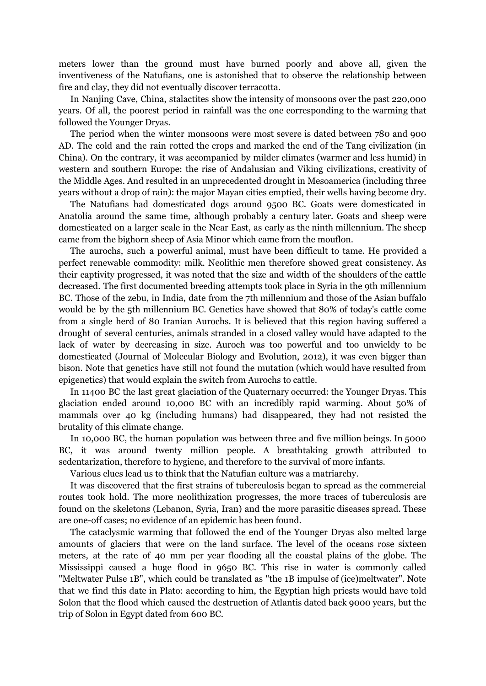meters lower than the ground must have burned poorly and above all, given the inventiveness of the Natufians, one is astonished that to observe the relationship between fire and clay, they did not eventually discover terracotta.

In Nanjing Cave, China, stalactites show the intensity of monsoons over the past 220,000 years. Of all, the poorest period in rainfall was the one corresponding to the warming that followed the Younger Dryas.

The period when the winter monsoons were most severe is dated between 780 and 900 AD. The cold and the rain rotted the crops and marked the end of the Tang civilization (in China). On the contrary, it was accompanied by milder climates (warmer and less humid) in western and southern Europe: the rise of Andalusian and Viking civilizations, creativity of the Middle Ages. And resulted in an unprecedented drought in Mesoamerica (including three years without a drop of rain): the major Mayan cities emptied, their wells having become dry.

The Natufians had domesticated dogs around 9500 BC. Goats were domesticated in Anatolia around the same time, although probably a century later. Goats and sheep were domesticated on a larger scale in the Near East, as early as the ninth millennium. The sheep came from the bighorn sheep of Asia Minor which came from the mouflon.

The aurochs, such a powerful animal, must have been difficult to tame. He provided a perfect renewable commodity: milk. Neolithic men therefore showed great consistency. As their captivity progressed, it was noted that the size and width of the shoulders of the cattle decreased. The first documented breeding attempts took place in Syria in the 9th millennium BC. Those of the zebu, in India, date from the 7th millennium and those of the Asian buffalo would be by the 5th millennium BC. Genetics have showed that 80% of today's cattle come from a single herd of 80 Iranian Aurochs. It is believed that this region having suffered a drought of several centuries, animals stranded in a closed valley would have adapted to the lack of water by decreasing in size. Auroch was too powerful and too unwieldy to be domesticated (Journal of Molecular Biology and Evolution, 2012), it was even bigger than bison. Note that genetics have still not found the mutation (which would have resulted from epigenetics) that would explain the switch from Aurochs to cattle.

In 11400 BC the last great glaciation of the Quaternary occurred: the Younger Dryas. This glaciation ended around 10,000 BC with an incredibly rapid warming. About 50% of mammals over 40 kg (including humans) had disappeared, they had not resisted the brutality of this climate change.

In 10,000 BC, the human population was between three and five million beings. In 5000 BC, it was around twenty million people. A breathtaking growth attributed to sedentarization, therefore to hygiene, and therefore to the survival of more infants.

Various clues lead us to think that the Natufian culture was a matriarchy.

It was discovered that the first strains of tuberculosis began to spread as the commercial routes took hold. The more neolithization progresses, the more traces of tuberculosis are found on the skeletons (Lebanon, Syria, Iran) and the more parasitic diseases spread. These are one-off cases; no evidence of an epidemic has been found.

The cataclysmic warming that followed the end of the Younger Dryas also melted large amounts of glaciers that were on the land surface. The level of the oceans rose sixteen meters, at the rate of 40 mm per year flooding all the coastal plains of the globe. The Mississippi caused a huge flood in 9650 BC. This rise in water is commonly called "Meltwater Pulse 1B", which could be translated as "the 1B impulse of (ice)meltwater". Note that we find this date in Plato: according to him, the Egyptian high priests would have told Solon that the flood which caused the destruction of Atlantis dated back 9000 years, but the trip of Solon in Egypt dated from 600 BC.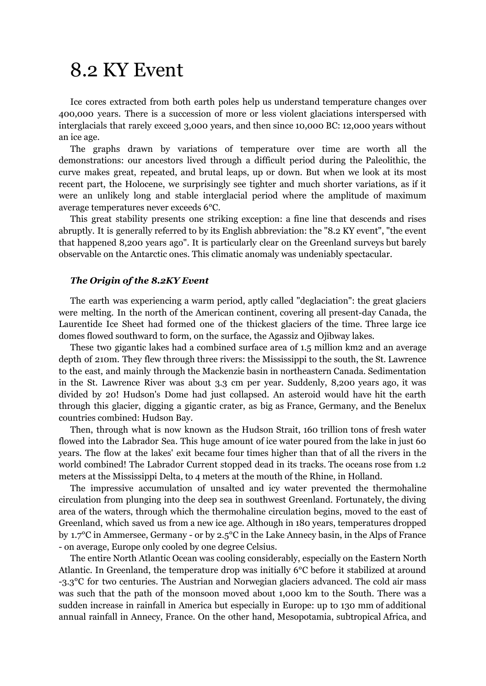### <span id="page-31-0"></span>8.2 KY Event

Ice cores extracted from both earth poles help us understand temperature changes over 400,000 years. There is a succession of more or less violent glaciations interspersed with interglacials that rarely exceed 3,000 years, and then since 10,000 BC: 12,000 years without an ice age.

The graphs drawn by variations of temperature over time are worth all the demonstrations: our ancestors lived through a difficult period during the Paleolithic, the curve makes great, repeated, and brutal leaps, up or down. But when we look at its most recent part, the Holocene, we surprisingly see tighter and much shorter variations, as if it were an unlikely long and stable interglacial period where the amplitude of maximum average temperatures never exceeds 6°C.

This great stability presents one striking exception: a fine line that descends and rises abruptly. It is generally referred to by its English abbreviation: the "8.2 KY event", "the event that happened 8,200 years ago". It is particularly clear on the Greenland surveys but barely observable on the Antarctic ones. This climatic anomaly was undeniably spectacular.

### <span id="page-31-1"></span>*The Origin of the 8.2KY Event*

The earth was experiencing a warm period, aptly called "deglaciation": the great glaciers were melting. In the north of the American continent, covering all present-day Canada, the Laurentide Ice Sheet had formed one of the thickest glaciers of the time. Three large ice domes flowed southward to form, on the surface, the Agassiz and Ojibway lakes.

These two gigantic lakes had a combined surface area of 1.5 million km2 and an average depth of 210m. They flew through three rivers: the Mississippi to the south, the St. Lawrence to the east, and mainly through the Mackenzie basin in northeastern Canada. Sedimentation in the St. Lawrence River was about 3.3 cm per year. Suddenly, 8,200 years ago, it was divided by 20! Hudson's Dome had just collapsed. An asteroid would have hit the earth through this glacier, digging a gigantic crater, as big as France, Germany, and the Benelux countries combined: Hudson Bay.

Then, through what is now known as the Hudson Strait, 160 trillion tons of fresh water flowed into the Labrador Sea. This huge amount of ice water poured from the lake in just 60 years. The flow at the lakes' exit became four times higher than that of all the rivers in the world combined! The Labrador Current stopped dead in its tracks. The oceans rose from 1.2 meters at the Mississippi Delta, to 4 meters at the mouth of the Rhine, in Holland.

The impressive accumulation of unsalted and icy water prevented the thermohaline circulation from plunging into the deep sea in southwest Greenland. Fortunately, the diving area of the waters, through which the thermohaline circulation begins, moved to the east of Greenland, which saved us from a new ice age. Although in 180 years, temperatures dropped by 1.7°C in Ammersee, Germany - or by 2.5°C in the Lake Annecy basin, in the Alps of France - on average, Europe only cooled by one degree Celsius.

The entire North Atlantic Ocean was cooling considerably, especially on the Eastern North Atlantic. In Greenland, the temperature drop was initially 6°C before it stabilized at around -3.3°C for two centuries. The Austrian and Norwegian glaciers advanced. The cold air mass was such that the path of the monsoon moved about 1,000 km to the South. There was a sudden increase in rainfall in America but especially in Europe: up to 130 mm of additional annual rainfall in Annecy, France. On the other hand, Mesopotamia, subtropical Africa, and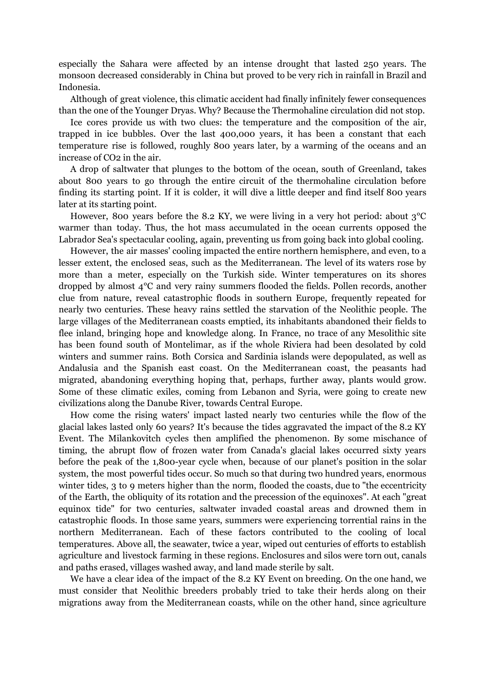especially the Sahara were affected by an intense drought that lasted 250 years. The monsoon decreased considerably in China but proved to be very rich in rainfall in Brazil and Indonesia.

Although of great violence, this climatic accident had finally infinitely fewer consequences than the one of the Younger Dryas. Why? Because the Thermohaline circulation did not stop.

Ice cores provide us with two clues: the temperature and the composition of the air, trapped in ice bubbles. Over the last 400,000 years, it has been a constant that each temperature rise is followed, roughly 800 years later, by a warming of the oceans and an increase of CO2 in the air.

A drop of saltwater that plunges to the bottom of the ocean, south of Greenland, takes about 800 years to go through the entire circuit of the thermohaline circulation before finding its starting point. If it is colder, it will dive a little deeper and find itself 800 years later at its starting point.

However, 800 years before the 8.2 KY, we were living in a very hot period: about 3°C warmer than today. Thus, the hot mass accumulated in the ocean currents opposed the Labrador Sea's spectacular cooling, again, preventing us from going back into global cooling.

However, the air masses' cooling impacted the entire northern hemisphere, and even, to a lesser extent, the enclosed seas, such as the Mediterranean. The level of its waters rose by more than a meter, especially on the Turkish side. Winter temperatures on its shores dropped by almost 4°C and very rainy summers flooded the fields. Pollen records, another clue from nature, reveal catastrophic floods in southern Europe, frequently repeated for nearly two centuries. These heavy rains settled the starvation of the Neolithic people. The large villages of the Mediterranean coasts emptied, its inhabitants abandoned their fields to flee inland, bringing hope and knowledge along. In France, no trace of any Mesolithic site has been found south of Montelimar, as if the whole Riviera had been desolated by cold winters and summer rains. Both Corsica and Sardinia islands were depopulated, as well as Andalusia and the Spanish east coast. On the Mediterranean coast, the peasants had migrated, abandoning everything hoping that, perhaps, further away, plants would grow. Some of these climatic exiles, coming from Lebanon and Syria, were going to create new civilizations along the Danube River, towards Central Europe.

How come the rising waters' impact lasted nearly two centuries while the flow of the glacial lakes lasted only 60 years? It's because the tides aggravated the impact of the 8.2 KY Event. The Milankovitch cycles then amplified the phenomenon. By some mischance of timing, the abrupt flow of frozen water from Canada's glacial lakes occurred sixty years before the peak of the 1,800-year cycle when, because of our planet's position in the solar system, the most powerful tides occur. So much so that during two hundred years, enormous winter tides, 3 to 9 meters higher than the norm, flooded the coasts, due to "the eccentricity of the Earth, the obliquity of its rotation and the precession of the equinoxes". At each "great equinox tide" for two centuries, saltwater invaded coastal areas and drowned them in catastrophic floods. In those same years, summers were experiencing torrential rains in the northern Mediterranean. Each of these factors contributed to the cooling of local temperatures. Above all, the seawater, twice a year, wiped out centuries of efforts to establish agriculture and livestock farming in these regions. Enclosures and silos were torn out, canals and paths erased, villages washed away, and land made sterile by salt.

We have a clear idea of the impact of the 8.2 KY Event on breeding. On the one hand, we must consider that Neolithic breeders probably tried to take their herds along on their migrations away from the Mediterranean coasts, while on the other hand, since agriculture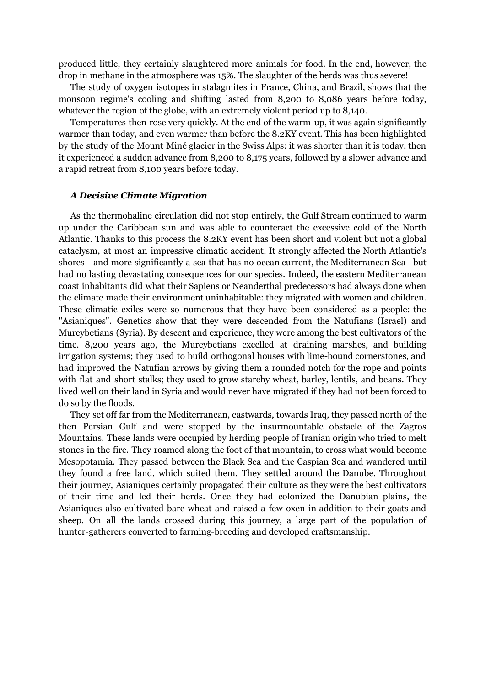produced little, they certainly slaughtered more animals for food. In the end, however, the drop in methane in the atmosphere was 15%. The slaughter of the herds was thus severe!

The study of oxygen isotopes in stalagmites in France, China, and Brazil, shows that the monsoon regime's cooling and shifting lasted from 8,200 to 8,086 years before today, whatever the region of the globe, with an extremely violent period up to 8,140.

Temperatures then rose very quickly. At the end of the warm-up, it was again significantly warmer than today, and even warmer than before the 8.2KY event. This has been highlighted by the study of the Mount Miné glacier in the Swiss Alps: it was shorter than it is today, then it experienced a sudden advance from 8,200 to 8,175 years, followed by a slower advance and a rapid retreat from 8,100 years before today.

### <span id="page-33-0"></span>*A Decisive Climate Migration*

As the thermohaline circulation did not stop entirely, the Gulf Stream continued to warm up under the Caribbean sun and was able to counteract the excessive cold of the North Atlantic. Thanks to this process the 8.2KY event has been short and violent but not a global cataclysm, at most an impressive climatic accident. It strongly affected the North Atlantic's shores - and more significantly a sea that has no ocean current, the Mediterranean Sea - but had no lasting devastating consequences for our species. Indeed, the eastern Mediterranean coast inhabitants did what their Sapiens or Neanderthal predecessors had always done when the climate made their environment uninhabitable: they migrated with women and children. These climatic exiles were so numerous that they have been considered as a people: the "Asianiques". Genetics show that they were descended from the Natufians (Israel) and Mureybetians (Syria). By descent and experience, they were among the best cultivators of the time. 8,200 years ago, the Mureybetians excelled at draining marshes, and building irrigation systems; they used to build orthogonal houses with lime-bound cornerstones, and had improved the Natufian arrows by giving them a rounded notch for the rope and points with flat and short stalks; they used to grow starchy wheat, barley, lentils, and beans. They lived well on their land in Syria and would never have migrated if they had not been forced to do so by the floods.

They set off far from the Mediterranean, eastwards, towards Iraq, they passed north of the then Persian Gulf and were stopped by the insurmountable obstacle of the Zagros Mountains. These lands were occupied by herding people of Iranian origin who tried to melt stones in the fire. They roamed along the foot of that mountain, to cross what would become Mesopotamia. They passed between the Black Sea and the Caspian Sea and wandered until they found a free land, which suited them. They settled around the Danube. Throughout their journey, Asianiques certainly propagated their culture as they were the best cultivators of their time and led their herds. Once they had colonized the Danubian plains, the Asianiques also cultivated bare wheat and raised a few oxen in addition to their goats and sheep. On all the lands crossed during this journey, a large part of the population of hunter-gatherers converted to farming-breeding and developed craftsmanship.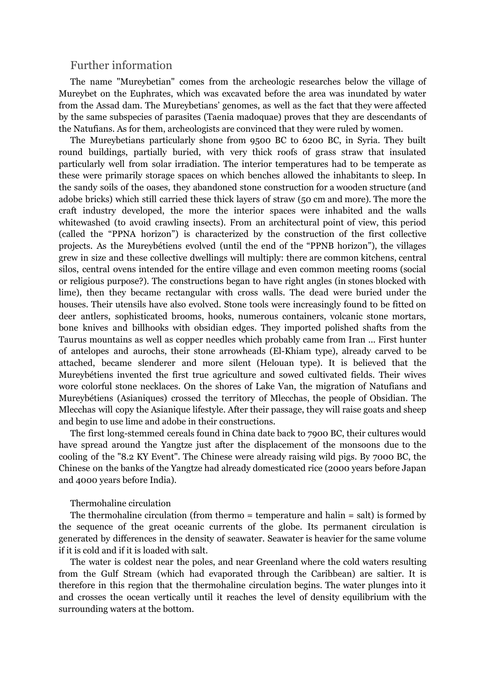### <span id="page-34-0"></span>Further information

The name "Mureybetian" comes from the archeologic researches below the village of Mureybet on the Euphrates, which was excavated before the area was inundated by water from the Assad dam. The Mureybetians' genomes, as well as the fact that they were affected by the same subspecies of parasites (Taenia madoquae) proves that they are descendants of the Natufians. As for them, archeologists are convinced that they were ruled by women.

The Mureybetians particularly shone from 9500 BC to 6200 BC, in Syria. They built round buildings, partially buried, with very thick roofs of grass straw that insulated particularly well from solar irradiation. The interior temperatures had to be temperate as these were primarily storage spaces on which benches allowed the inhabitants to sleep. In the sandy soils of the oases, they abandoned stone construction for a wooden structure (and adobe bricks) which still carried these thick layers of straw (50 cm and more). The more the craft industry developed, the more the interior spaces were inhabited and the walls whitewashed (to avoid crawling insects). From an architectural point of view, this period (called the "PPNA horizon") is characterized by the construction of the first collective projects. As the Mureybétiens evolved (until the end of the "PPNB horizon"), the villages grew in size and these collective dwellings will multiply: there are common kitchens, central silos, central ovens intended for the entire village and even common meeting rooms (social or religious purpose?). The constructions began to have right angles (in stones blocked with lime), then they became rectangular with cross walls. The dead were buried under the houses. Their utensils have also evolved. Stone tools were increasingly found to be fitted on deer antlers, sophisticated brooms, hooks, numerous containers, volcanic stone mortars, bone knives and billhooks with obsidian edges. They imported polished shafts from the Taurus mountains as well as copper needles which probably came from Iran ... First hunter of antelopes and aurochs, their stone arrowheads (El-Khiam type), already carved to be attached, became slenderer and more silent (Helouan type). It is believed that the Mureybétiens invented the first true agriculture and sowed cultivated fields. Their wives wore colorful stone necklaces. On the shores of Lake Van, the migration of Natufians and Mureybétiens (Asianiques) crossed the territory of Mlecchas, the people of Obsidian. The Mlecchas will copy the Asianique lifestyle. After their passage, they will raise goats and sheep and begin to use lime and adobe in their constructions.

The first long-stemmed cereals found in China date back to 7900 BC, their cultures would have spread around the Yangtze just after the displacement of the monsoons due to the cooling of the "8.2 KY Event". The Chinese were already raising wild pigs. By 7000 BC, the Chinese on the banks of the Yangtze had already domesticated rice (2000 years before Japan and 4000 years before India).

### Thermohaline circulation

The thermohaline circulation (from thermo = temperature and halin = salt) is formed by the sequence of the great oceanic currents of the globe. Its permanent circulation is generated by differences in the density of seawater. Seawater is heavier for the same volume if it is cold and if it is loaded with salt.

The water is coldest near the poles, and near Greenland where the cold waters resulting from the Gulf Stream (which had evaporated through the Caribbean) are saltier. It is therefore in this region that the thermohaline circulation begins. The water plunges into it and crosses the ocean vertically until it reaches the level of density equilibrium with the surrounding waters at the bottom.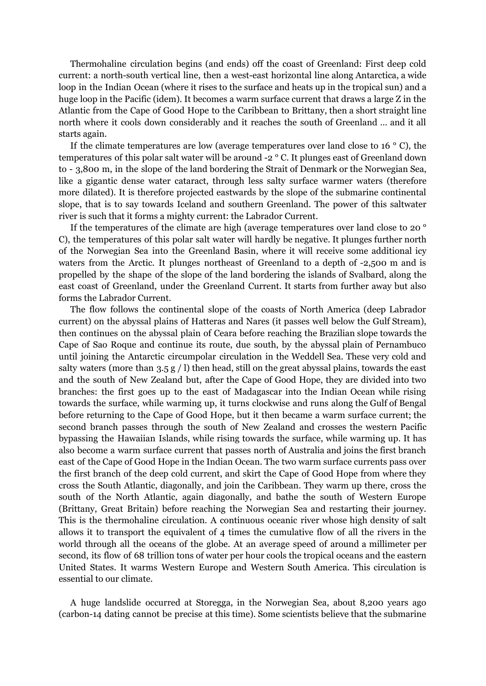Thermohaline circulation begins (and ends) off the coast of Greenland: First deep cold current: a north-south vertical line, then a west-east horizontal line along Antarctica, a wide loop in the Indian Ocean (where it rises to the surface and heats up in the tropical sun) and a huge loop in the Pacific (idem). It becomes a warm surface current that draws a large Z in the Atlantic from the Cape of Good Hope to the Caribbean to Brittany, then a short straight line north where it cools down considerably and it reaches the south of Greenland … and it all starts again.

If the climate temperatures are low (average temperatures over land close to 16  $\degree$  C), the temperatures of this polar salt water will be around -2 ° C. It plunges east of Greenland down to - 3,800 m, in the slope of the land bordering the Strait of Denmark or the Norwegian Sea, like a gigantic dense water cataract, through less salty surface warmer waters (therefore more dilated). It is therefore projected eastwards by the slope of the submarine continental slope, that is to say towards Iceland and southern Greenland. The power of this saltwater river is such that it forms a mighty current: the Labrador Current.

If the temperatures of the climate are high (average temperatures over land close to 20 ° C), the temperatures of this polar salt water will hardly be negative. It plunges further north of the Norwegian Sea into the Greenland Basin, where it will receive some additional icy waters from the Arctic. It plunges northeast of Greenland to a depth of -2,500 m and is propelled by the shape of the slope of the land bordering the islands of Svalbard, along the east coast of Greenland, under the Greenland Current. It starts from further away but also forms the Labrador Current.

The flow follows the continental slope of the coasts of North America (deep Labrador current) on the abyssal plains of Hatteras and Nares (it passes well below the Gulf Stream), then continues on the abyssal plain of Ceara before reaching the Brazilian slope towards the Cape of Sao Roque and continue its route, due south, by the abyssal plain of Pernambuco until joining the Antarctic circumpolar circulation in the Weddell Sea. These very cold and salty waters (more than  $3.5 g / 1$ ) then head, still on the great abyssal plains, towards the east and the south of New Zealand but, after the Cape of Good Hope, they are divided into two branches: the first goes up to the east of Madagascar into the Indian Ocean while rising towards the surface, while warming up, it turns clockwise and runs along the Gulf of Bengal before returning to the Cape of Good Hope, but it then became a warm surface current; the second branch passes through the south of New Zealand and crosses the western Pacific bypassing the Hawaiian Islands, while rising towards the surface, while warming up. It has also become a warm surface current that passes north of Australia and joins the first branch east of the Cape of Good Hope in the Indian Ocean. The two warm surface currents pass over the first branch of the deep cold current, and skirt the Cape of Good Hope from where they cross the South Atlantic, diagonally, and join the Caribbean. They warm up there, cross the south of the North Atlantic, again diagonally, and bathe the south of Western Europe (Brittany, Great Britain) before reaching the Norwegian Sea and restarting their journey. This is the thermohaline circulation. A continuous oceanic river whose high density of salt allows it to transport the equivalent of 4 times the cumulative flow of all the rivers in the world through all the oceans of the globe. At an average speed of around a millimeter per second, its flow of 68 trillion tons of water per hour cools the tropical oceans and the eastern United States. It warms Western Europe and Western South America. This circulation is essential to our climate.

A huge landslide occurred at Storegga, in the Norwegian Sea, about 8,200 years ago (carbon-14 dating cannot be precise at this time). Some scientists believe that the submarine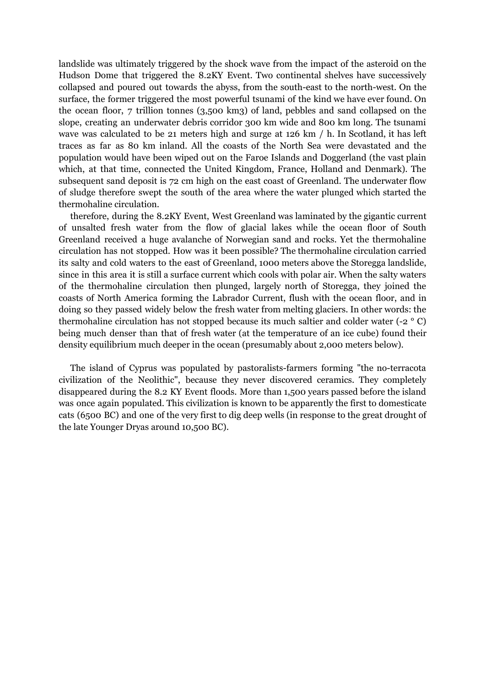landslide was ultimately triggered by the shock wave from the impact of the asteroid on the Hudson Dome that triggered the 8.2KY Event. Two continental shelves have successively collapsed and poured out towards the abyss, from the south-east to the north-west. On the surface, the former triggered the most powerful tsunami of the kind we have ever found. On the ocean floor, 7 trillion tonnes (3,500 km3) of land, pebbles and sand collapsed on the slope, creating an underwater debris corridor 300 km wide and 800 km long. The tsunami wave was calculated to be 21 meters high and surge at 126 km / h. In Scotland, it has left traces as far as 80 km inland. All the coasts of the North Sea were devastated and the population would have been wiped out on the Faroe Islands and Doggerland (the vast plain which, at that time, connected the United Kingdom, France, Holland and Denmark). The subsequent sand deposit is 72 cm high on the east coast of Greenland. The underwater flow of sludge therefore swept the south of the area where the water plunged which started the thermohaline circulation.

therefore, during the 8.2KY Event, West Greenland was laminated by the gigantic current of unsalted fresh water from the flow of glacial lakes while the ocean floor of South Greenland received a huge avalanche of Norwegian sand and rocks. Yet the thermohaline circulation has not stopped. How was it been possible? The thermohaline circulation carried its salty and cold waters to the east of Greenland, 1000 meters above the Storegga landslide, since in this area it is still a surface current which cools with polar air. When the salty waters of the thermohaline circulation then plunged, largely north of Storegga, they joined the coasts of North America forming the Labrador Current, flush with the ocean floor, and in doing so they passed widely below the fresh water from melting glaciers. In other words: the thermohaline circulation has not stopped because its much saltier and colder water (-2 ° C) being much denser than that of fresh water (at the temperature of an ice cube) found their density equilibrium much deeper in the ocean (presumably about 2,000 meters below).

The island of Cyprus was populated by pastoralists-farmers forming "the no-terracota civilization of the Neolithic", because they never discovered ceramics. They completely disappeared during the 8.2 KY Event floods. More than 1,500 years passed before the island was once again populated. This civilization is known to be apparently the first to domesticate cats (6500 BC) and one of the very first to dig deep wells (in response to the great drought of the late Younger Dryas around 10,500 BC).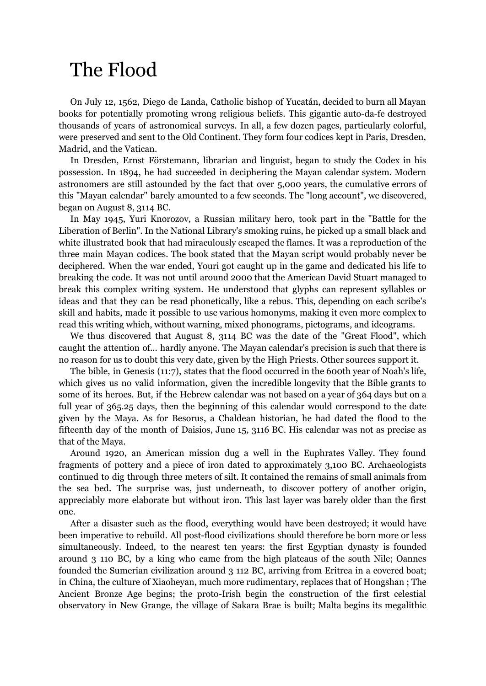# The Flood

On July 12, 1562, Diego de Landa, Catholic bishop of Yucatán, decided to burn all Mayan books for potentially promoting wrong religious beliefs. This gigantic auto-da-fe destroyed thousands of years of astronomical surveys. In all, a few dozen pages, particularly colorful, were preserved and sent to the Old Continent. They form four codices kept in Paris, Dresden, Madrid, and the Vatican.

In Dresden, Ernst Förstemann, librarian and linguist, began to study the Codex in his possession. In 1894, he had succeeded in deciphering the Mayan calendar system. Modern astronomers are still astounded by the fact that over 5,000 years, the cumulative errors of this "Mayan calendar" barely amounted to a few seconds. The "long account", we discovered, began on August 8, 3114 BC.

In May 1945, Yuri Knorozov, a Russian military hero, took part in the "Battle for the Liberation of Berlin". In the National Library's smoking ruins, he picked up a small black and white illustrated book that had miraculously escaped the flames. It was a reproduction of the three main Mayan codices. The book stated that the Mayan script would probably never be deciphered. When the war ended, Youri got caught up in the game and dedicated his life to breaking the code. It was not until around 2000 that the American David Stuart managed to break this complex writing system. He understood that glyphs can represent syllables or ideas and that they can be read phonetically, like a rebus. This, depending on each scribe's skill and habits, made it possible to use various homonyms, making it even more complex to read this writing which, without warning, mixed phonograms, pictograms, and ideograms.

We thus discovered that August 8, 3114 BC was the date of the "Great Flood", which caught the attention of... hardly anyone. The Mayan calendar's precision is such that there is no reason for us to doubt this very date, given by the High Priests. Other sources support it.

The bible, in Genesis (11:7), states that the flood occurred in the 600th year of Noah's life, which gives us no valid information, given the incredible longevity that the Bible grants to some of its heroes. But, if the Hebrew calendar was not based on a year of 364 days but on a full year of 365.25 days, then the beginning of this calendar would correspond to the date given by the Maya. As for Besorus, a Chaldean historian, he had dated the flood to the fifteenth day of the month of Daisios, June 15, 3116 BC. His calendar was not as precise as that of the Maya.

Around 1920, an American mission dug a well in the Euphrates Valley. They found fragments of pottery and a piece of iron dated to approximately 3,100 BC. Archaeologists continued to dig through three meters of silt. It contained the remains of small animals from the sea bed. The surprise was, just underneath, to discover pottery of another origin, appreciably more elaborate but without iron. This last layer was barely older than the first one.

After a disaster such as the flood, everything would have been destroyed; it would have been imperative to rebuild. All post-flood civilizations should therefore be born more or less simultaneously. Indeed, to the nearest ten years: the first Egyptian dynasty is founded around 3 110 BC, by a king who came from the high plateaus of the south Nile; Oannes founded the Sumerian civilization around 3 112 BC, arriving from Eritrea in a covered boat; in China, the culture of Xiaoheyan, much more rudimentary, replaces that of Hongshan ; The Ancient Bronze Age begins; the proto-Irish begin the construction of the first celestial observatory in New Grange, the village of Sakara Brae is built; Malta begins its megalithic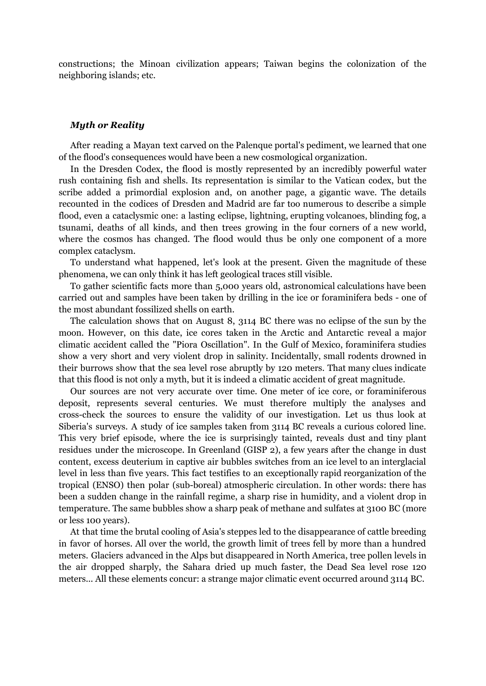constructions; the Minoan civilization appears; Taiwan begins the colonization of the neighboring islands; etc.

#### *Myth or Reality*

After reading a Mayan text carved on the Palenque portal's pediment, we learned that one of the flood's consequences would have been a new cosmological organization.

In the Dresden Codex, the flood is mostly represented by an incredibly powerful water rush containing fish and shells. Its representation is similar to the Vatican codex, but the scribe added a primordial explosion and, on another page, a gigantic wave. The details recounted in the codices of Dresden and Madrid are far too numerous to describe a simple flood, even a cataclysmic one: a lasting eclipse, lightning, erupting volcanoes, blinding fog, a tsunami, deaths of all kinds, and then trees growing in the four corners of a new world, where the cosmos has changed. The flood would thus be only one component of a more complex cataclysm.

To understand what happened, let's look at the present. Given the magnitude of these phenomena, we can only think it has left geological traces still visible.

To gather scientific facts more than 5,000 years old, astronomical calculations have been carried out and samples have been taken by drilling in the ice or foraminifera beds - one of the most abundant fossilized shells on earth.

The calculation shows that on August 8, 3114 BC there was no eclipse of the sun by the moon. However, on this date, ice cores taken in the Arctic and Antarctic reveal a major climatic accident called the "Piora Oscillation". In the Gulf of Mexico, foraminifera studies show a very short and very violent drop in salinity. Incidentally, small rodents drowned in their burrows show that the sea level rose abruptly by 120 meters. That many clues indicate that this flood is not only a myth, but it is indeed a climatic accident of great magnitude.

Our sources are not very accurate over time. One meter of ice core, or foraminiferous deposit, represents several centuries. We must therefore multiply the analyses and cross-check the sources to ensure the validity of our investigation. Let us thus look at Siberia's surveys. A study of ice samples taken from 3114 BC reveals a curious colored line. This very brief episode, where the ice is surprisingly tainted, reveals dust and tiny plant residues under the microscope. In Greenland (GISP 2), a few years after the change in dust content, excess deuterium in captive air bubbles switches from an ice level to an interglacial level in less than five years. This fact testifies to an exceptionally rapid reorganization of the tropical (ENSO) then polar (sub-boreal) atmospheric circulation. In other words: there has been a sudden change in the rainfall regime, a sharp rise in humidity, and a violent drop in temperature. The same bubbles show a sharp peak of methane and sulfates at 3100 BC (more or less 100 years).

At that time the brutal cooling of Asia's steppes led to the disappearance of cattle breeding in favor of horses. All over the world, the growth limit of trees fell by more than a hundred meters. Glaciers advanced in the Alps but disappeared in North America, tree pollen levels in the air dropped sharply, the Sahara dried up much faster, the Dead Sea level rose 120 meters... All these elements concur: a strange major climatic event occurred around 3114 BC.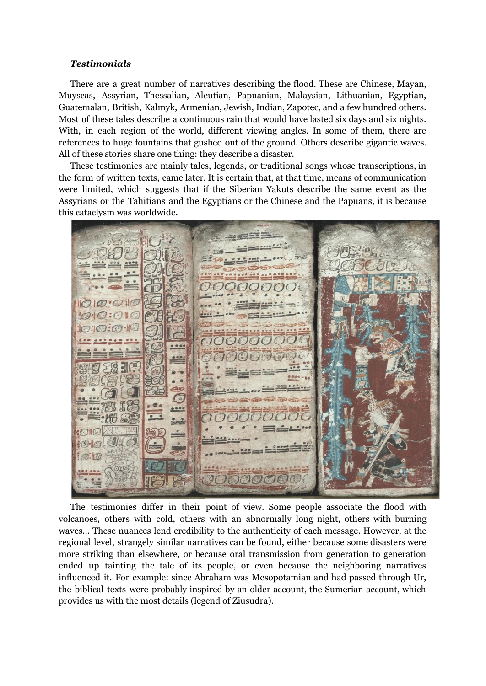## *Testimonials*

There are a great number of narratives describing the flood. These are Chinese, Mayan, Muyscas, Assyrian, Thessalian, Aleutian, Papuanian, Malaysian, Lithuanian, Egyptian, Guatemalan, British, Kalmyk, Armenian, Jewish, Indian, Zapotec, and a few hundred others. Most of these tales describe a continuous rain that would have lasted six days and six nights. With, in each region of the world, different viewing angles. In some of them, there are references to huge fountains that gushed out of the ground. Others describe gigantic waves. All of these stories share one thing: they describe a disaster.

These testimonies are mainly tales, legends, or traditional songs whose transcriptions, in the form of written texts, came later. It is certain that, at that time, means of communication were limited, which suggests that if the Siberian Yakuts describe the same event as the Assyrians or the Tahitians and the Egyptians or the Chinese and the Papuans, it is because this cataclysm was worldwide.

 $\epsilon$  $\bullet$ div  $\sqrt{a}$ 

The testimonies differ in their point of view. Some people associate the flood with volcanoes, others with cold, others with an abnormally long night, others with burning waves... These nuances lend credibility to the authenticity of each message. However, at the regional level, strangely similar narratives can be found, either because some disasters were more striking than elsewhere, or because oral transmission from generation to generation ended up tainting the tale of its people, or even because the neighboring narratives influenced it. For example: since Abraham was Mesopotamian and had passed through Ur, the biblical texts were probably inspired by an older account, the Sumerian account, which provides us with the most details (legend of Ziusudra).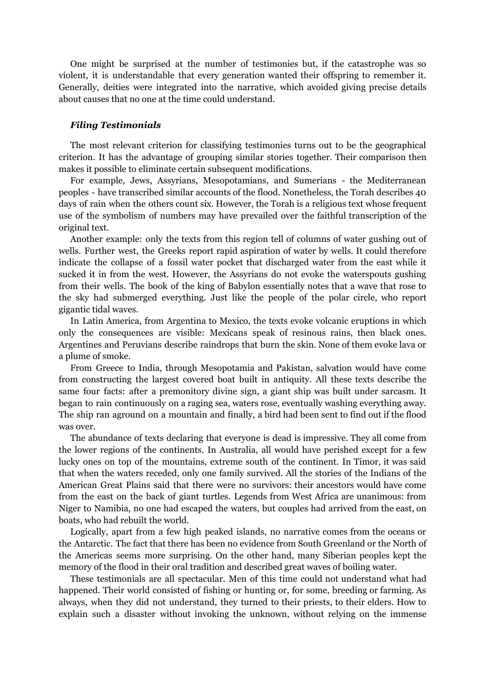One might be surprised at the number of testimonies but, if the catastrophe was so violent, it is understandable that every generation wanted their offspring to remember it. Generally, deities were integrated into the narrative, which avoided giving precise details about causes that no one at the time could understand.

### *Filing Testimonials*

The most relevant criterion for classifying testimonies turns out to be the geographical criterion. It has the advantage of grouping similar stories together. Their comparison then makes it possible to eliminate certain subsequent modifications.

For example, Jews, Assyrians, Mesopotamians, and Sumerians - the Mediterranean peoples - have transcribed similar accounts of the flood. Nonetheless, the Torah describes 40 days of rain when the others count six. However, the Torah is a religious text whose frequent use of the symbolism of numbers may have prevailed over the faithful transcription of the original text.

Another example: only the texts from this region tell of columns of water gushing out of wells. Further west, the Greeks report rapid aspiration of water by wells. It could therefore indicate the collapse of a fossil water pocket that discharged water from the east while it sucked it in from the west. However, the Assyrians do not evoke the waterspouts gushing from their wells. The book of the king of Babylon essentially notes that a wave that rose to the sky had submerged everything. Just like the people of the polar circle, who report gigantic tidal waves.

In Latin America, from Argentina to Mexico, the texts evoke volcanic eruptions in which only the consequences are visible: Mexicans speak of resinous rains, then black ones. Argentines and Peruvians describe raindrops that burn the skin. None of them evoke lava or a plume of smoke.

From Greece to India, through Mesopotamia and Pakistan, salvation would have come from constructing the largest covered boat built in antiquity. All these texts describe the same four facts: after a premonitory divine sign, a giant ship was built under sarcasm. It began to rain continuously on a raging sea, waters rose, eventually washing everything away. The ship ran aground on a mountain and finally, a bird had been sent to find out if the flood was over.

The abundance of texts declaring that everyone is dead is impressive. They all come from the lower regions of the continents. In Australia, all would have perished except for a few lucky ones on top of the mountains, extreme south of the continent. In Timor, it was said that when the waters receded, only one family survived. All the stories of the Indians of the American Great Plains said that there were no survivors: their ancestors would have come from the east on the back of giant turtles. Legends from West Africa are unanimous: from Niger to Namibia, no one had escaped the waters, but couples had arrived from the east, on boats, who had rebuilt the world.

Logically, apart from a few high peaked islands, no narrative comes from the oceans or the Antarctic. The fact that there has been no evidence from South Greenland or the North of the Americas seems more surprising. On the other hand, many Siberian peoples kept the memory of the flood in their oral tradition and described great waves of boiling water.

These testimonials are all spectacular. Men of this time could not understand what had happened. Their world consisted of fishing or hunting or, for some, breeding or farming. As always, when they did not understand, they turned to their priests, to their elders. How to explain such a disaster without invoking the unknown, without relying on the immense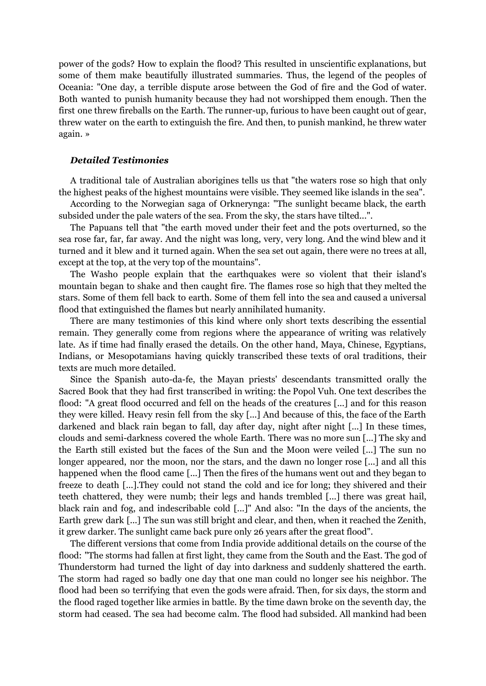power of the gods? How to explain the flood? This resulted in unscientific explanations, but some of them make beautifully illustrated summaries. Thus, the legend of the peoples of Oceania: "One day, a terrible dispute arose between the God of fire and the God of water. Both wanted to punish humanity because they had not worshipped them enough. Then the first one threw fireballs on the Earth. The runner-up, furious to have been caught out of gear, threw water on the earth to extinguish the fire. And then, to punish mankind, he threw water again. »

# *Detailed Testimonies*

A traditional tale of Australian aborigines tells us that "the waters rose so high that only the highest peaks of the highest mountains were visible. They seemed like islands in the sea".

According to the Norwegian saga of Orknerynga: "The sunlight became black, the earth subsided under the pale waters of the sea. From the sky, the stars have tilted...".

The Papuans tell that "the earth moved under their feet and the pots overturned, so the sea rose far, far, far away. And the night was long, very, very long. And the wind blew and it turned and it blew and it turned again. When the sea set out again, there were no trees at all, except at the top, at the very top of the mountains".

The Washo people explain that the earthquakes were so violent that their island's mountain began to shake and then caught fire. The flames rose so high that they melted the stars. Some of them fell back to earth. Some of them fell into the sea and caused a universal flood that extinguished the flames but nearly annihilated humanity.

There are many testimonies of this kind where only short texts describing the essential remain. They generally come from regions where the appearance of writing was relatively late. As if time had finally erased the details. On the other hand, Maya, Chinese, Egyptians, Indians, or Mesopotamians having quickly transcribed these texts of oral traditions, their texts are much more detailed.

Since the Spanish auto-da-fe, the Mayan priests' descendants transmitted orally the Sacred Book that they had first transcribed in writing: the Popol Vuh. One text describes the flood: "A great flood occurred and fell on the heads of the creatures [...] and for this reason they were killed. Heavy resin fell from the sky [...] And because of this, the face of the Earth darkened and black rain began to fall, day after day, night after night [...] In these times, clouds and semi-darkness covered the whole Earth. There was no more sun [...] The sky and the Earth still existed but the faces of the Sun and the Moon were veiled [...] The sun no longer appeared, nor the moon, nor the stars, and the dawn no longer rose [...] and all this happened when the flood came [...] Then the fires of the humans went out and they began to freeze to death [...].They could not stand the cold and ice for long; they shivered and their teeth chattered, they were numb; their legs and hands trembled [...] there was great hail, black rain and fog, and indescribable cold [...]" And also: "In the days of the ancients, the Earth grew dark [...] The sun was still bright and clear, and then, when it reached the Zenith, it grew darker. The sunlight came back pure only 26 years after the great flood".

The different versions that come from India provide additional details on the course of the flood: "The storms had fallen at first light, they came from the South and the East. The god of Thunderstorm had turned the light of day into darkness and suddenly shattered the earth. The storm had raged so badly one day that one man could no longer see his neighbor. The flood had been so terrifying that even the gods were afraid. Then, for six days, the storm and the flood raged together like armies in battle. By the time dawn broke on the seventh day, the storm had ceased. The sea had become calm. The flood had subsided. All mankind had been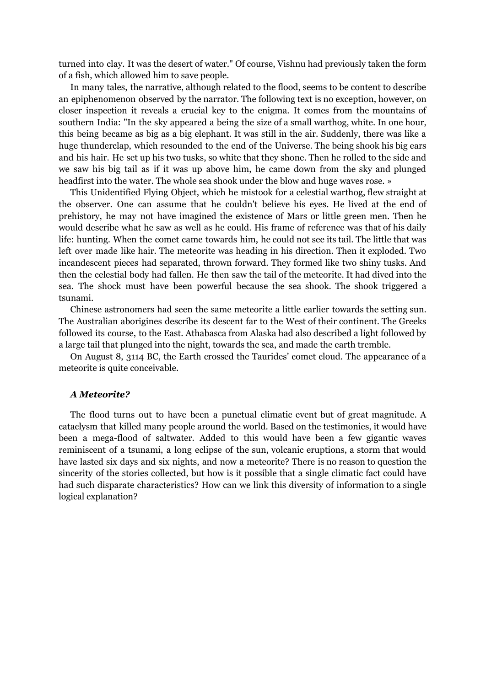turned into clay. It was the desert of water." Of course, Vishnu had previously taken the form of a fish, which allowed him to save people.

In many tales, the narrative, although related to the flood, seems to be content to describe an epiphenomenon observed by the narrator. The following text is no exception, however, on closer inspection it reveals a crucial key to the enigma. It comes from the mountains of southern India: "In the sky appeared a being the size of a small warthog, white. In one hour, this being became as big as a big elephant. It was still in the air. Suddenly, there was like a huge thunderclap, which resounded to the end of the Universe. The being shook his big ears and his hair. He set up his two tusks, so white that they shone. Then he rolled to the side and we saw his big tail as if it was up above him, he came down from the sky and plunged headfirst into the water. The whole sea shook under the blow and huge waves rose. »

This Unidentified Flying Object, which he mistook for a celestial warthog, flew straight at the observer. One can assume that he couldn't believe his eyes. He lived at the end of prehistory, he may not have imagined the existence of Mars or little green men. Then he would describe what he saw as well as he could. His frame of reference was that of his daily life: hunting. When the comet came towards him, he could not see its tail. The little that was left over made like hair. The meteorite was heading in his direction. Then it exploded. Two incandescent pieces had separated, thrown forward. They formed like two shiny tusks. And then the celestial body had fallen. He then saw the tail of the meteorite. It had dived into the sea. The shock must have been powerful because the sea shook. The shook triggered a tsunami.

Chinese astronomers had seen the same meteorite a little earlier towards the setting sun. The Australian aborigines describe its descent far to the West of their continent. The Greeks followed its course, to the East. Athabasca from Alaska had also described a light followed by a large tail that plunged into the night, towards the sea, and made the earth tremble.

On August 8, 3114 BC, the Earth crossed the Taurides' comet cloud. The appearance of a meteorite is quite conceivable.

## *A Meteorite?*

The flood turns out to have been a punctual climatic event but of great magnitude. A cataclysm that killed many people around the world. Based on the testimonies, it would have been a mega-flood of saltwater. Added to this would have been a few gigantic waves reminiscent of a tsunami, a long eclipse of the sun, volcanic eruptions, a storm that would have lasted six days and six nights, and now a meteorite? There is no reason to question the sincerity of the stories collected, but how is it possible that a single climatic fact could have had such disparate characteristics? How can we link this diversity of information to a single logical explanation?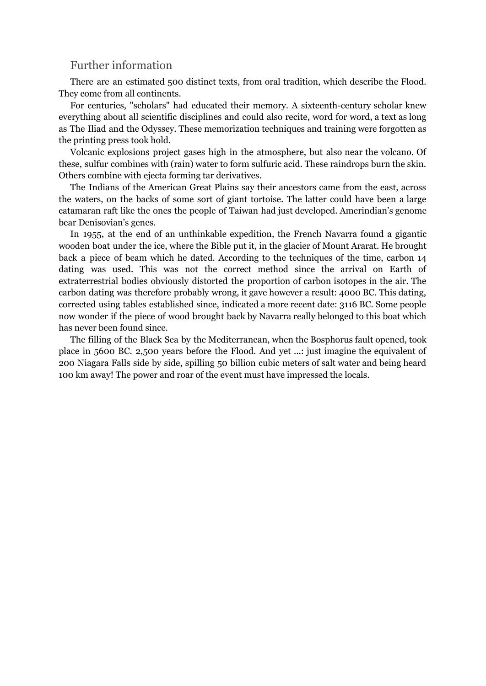# Further information

There are an estimated 500 distinct texts, from oral tradition, which describe the Flood. They come from all continents.

For centuries, "scholars" had educated their memory. A sixteenth-century scholar knew everything about all scientific disciplines and could also recite, word for word, a text as long as The Iliad and the Odyssey. These memorization techniques and training were forgotten as the printing press took hold.

Volcanic explosions project gases high in the atmosphere, but also near the volcano. Of these, sulfur combines with (rain) water to form sulfuric acid. These raindrops burn the skin. Others combine with ejecta forming tar derivatives.

The Indians of the American Great Plains say their ancestors came from the east, across the waters, on the backs of some sort of giant tortoise. The latter could have been a large catamaran raft like the ones the people of Taiwan had just developed. Amerindian's genome bear Denisovian's genes.

In 1955, at the end of an unthinkable expedition, the French Navarra found a gigantic wooden boat under the ice, where the Bible put it, in the glacier of Mount Ararat. He brought back a piece of beam which he dated. According to the techniques of the time, carbon 14 dating was used. This was not the correct method since the arrival on Earth of extraterrestrial bodies obviously distorted the proportion of carbon isotopes in the air. The carbon dating was therefore probably wrong, it gave however a result: 4000 BC. This dating, corrected using tables established since, indicated a more recent date: 3116 BC. Some people now wonder if the piece of wood brought back by Navarra really belonged to this boat which has never been found since.

The filling of the Black Sea by the Mediterranean, when the Bosphorus fault opened, took place in 5600 BC. 2,500 years before the Flood. And yet ...: just imagine the equivalent of 200 Niagara Falls side by side, spilling 50 billion cubic meters of salt water and being heard 100 km away! The power and roar of the event must have impressed the locals.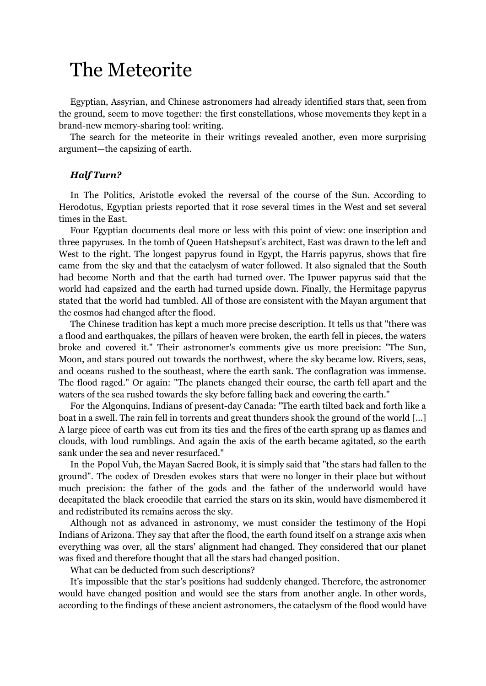# The Meteorite

Egyptian, Assyrian, and Chinese astronomers had already identified stars that, seen from the ground, seem to move together: the first constellations, whose movements they kept in a brand-new memory-sharing tool: writing.

The search for the meteorite in their writings revealed another, even more surprising argument—the capsizing of earth.

# *Half Turn?*

In The Politics, Aristotle evoked the reversal of the course of the Sun. According to Herodotus, Egyptian priests reported that it rose several times in the West and set several times in the East.

Four Egyptian documents deal more or less with this point of view: one inscription and three papyruses. In the tomb of Queen Hatshepsut's architect, East was drawn to the left and West to the right. The longest papyrus found in Egypt, the Harris papyrus, shows that fire came from the sky and that the cataclysm of water followed. It also signaled that the South had become North and that the earth had turned over. The Ipuwer papyrus said that the world had capsized and the earth had turned upside down. Finally, the Hermitage papyrus stated that the world had tumbled. All of those are consistent with the Mayan argument that the cosmos had changed after the flood.

The Chinese tradition has kept a much more precise description. It tells us that "there was a flood and earthquakes, the pillars of heaven were broken, the earth fell in pieces, the waters broke and covered it." Their astronomer's comments give us more precision: "The Sun, Moon, and stars poured out towards the northwest, where the sky became low. Rivers, seas, and oceans rushed to the southeast, where the earth sank. The conflagration was immense. The flood raged." Or again: "The planets changed their course, the earth fell apart and the waters of the sea rushed towards the sky before falling back and covering the earth."

For the Algonquins, Indians of present-day Canada: "The earth tilted back and forth like a boat in a swell. The rain fell in torrents and great thunders shook the ground of the world [...] A large piece of earth was cut from its ties and the fires of the earth sprang up as flames and clouds, with loud rumblings. And again the axis of the earth became agitated, so the earth sank under the sea and never resurfaced."

In the Popol Vuh, the Mayan Sacred Book, it is simply said that "the stars had fallen to the ground". The codex of Dresden evokes stars that were no longer in their place but without much precision: the father of the gods and the father of the underworld would have decapitated the black crocodile that carried the stars on its skin, would have dismembered it and redistributed its remains across the sky.

Although not as advanced in astronomy, we must consider the testimony of the Hopi Indians of Arizona. They say that after the flood, the earth found itself on a strange axis when everything was over, all the stars' alignment had changed. They considered that our planet was fixed and therefore thought that all the stars had changed position.

What can be deducted from such descriptions?

It's impossible that the star's positions had suddenly changed. Therefore, the astronomer would have changed position and would see the stars from another angle. In other words, according to the findings of these ancient astronomers, the cataclysm of the flood would have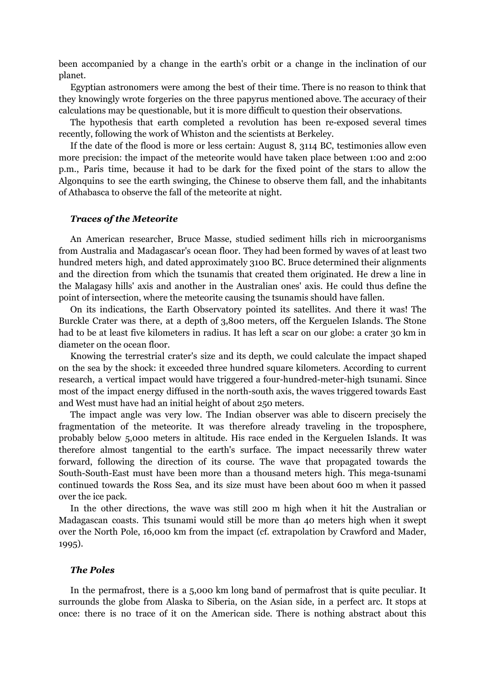been accompanied by a change in the earth's orbit or a change in the inclination of our planet.

Egyptian astronomers were among the best of their time. There is no reason to think that they knowingly wrote forgeries on the three papyrus mentioned above. The accuracy of their calculations may be questionable, but it is more difficult to question their observations.

The hypothesis that earth completed a revolution has been re-exposed several times recently, following the work of Whiston and the scientists at Berkeley.

If the date of the flood is more or less certain: August 8, 3114 BC, testimonies allow even more precision: the impact of the meteorite would have taken place between 1:00 and 2:00 p.m., Paris time, because it had to be dark for the fixed point of the stars to allow the Algonquins to see the earth swinging, the Chinese to observe them fall, and the inhabitants of Athabasca to observe the fall of the meteorite at night.

## *Traces of the Meteorite*

An American researcher, Bruce Masse, studied sediment hills rich in microorganisms from Australia and Madagascar's ocean floor. They had been formed by waves of at least two hundred meters high, and dated approximately 3100 BC. Bruce determined their alignments and the direction from which the tsunamis that created them originated. He drew a line in the Malagasy hills' axis and another in the Australian ones' axis. He could thus define the point of intersection, where the meteorite causing the tsunamis should have fallen.

On its indications, the Earth Observatory pointed its satellites. And there it was! The Burckle Crater was there, at a depth of 3,800 meters, off the Kerguelen Islands. The Stone had to be at least five kilometers in radius. It has left a scar on our globe: a crater 30 km in diameter on the ocean floor.

Knowing the terrestrial crater's size and its depth, we could calculate the impact shaped on the sea by the shock: it exceeded three hundred square kilometers. According to current research, a vertical impact would have triggered a four-hundred-meter-high tsunami. Since most of the impact energy diffused in the north-south axis, the waves triggered towards East and West must have had an initial height of about 250 meters.

The impact angle was very low. The Indian observer was able to discern precisely the fragmentation of the meteorite. It was therefore already traveling in the troposphere, probably below 5,000 meters in altitude. His race ended in the Kerguelen Islands. It was therefore almost tangential to the earth's surface. The impact necessarily threw water forward, following the direction of its course. The wave that propagated towards the South-South-East must have been more than a thousand meters high. This mega-tsunami continued towards the Ross Sea, and its size must have been about 600 m when it passed over the ice pack.

In the other directions, the wave was still 200 m high when it hit the Australian or Madagascan coasts. This tsunami would still be more than 40 meters high when it swept over the North Pole, 16,000 km from the impact (cf. extrapolation by Crawford and Mader, 1995).

# *The Poles*

In the permafrost, there is a 5,000 km long band of permafrost that is quite peculiar. It surrounds the globe from Alaska to Siberia, on the Asian side, in a perfect arc. It stops at once: there is no trace of it on the American side. There is nothing abstract about this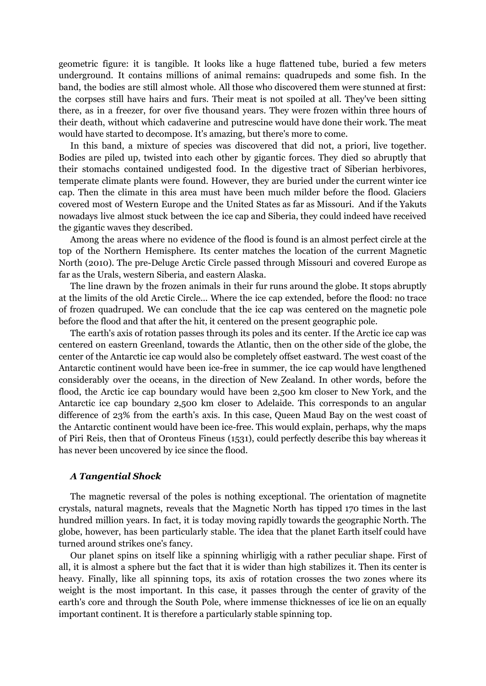geometric figure: it is tangible. It looks like a huge flattened tube, buried a few meters underground. It contains millions of animal remains: quadrupeds and some fish. In the band, the bodies are still almost whole. All those who discovered them were stunned at first: the corpses still have hairs and furs. Their meat is not spoiled at all. They've been sitting there, as in a freezer, for over five thousand years. They were frozen within three hours of their death, without which cadaverine and putrescine would have done their work. The meat would have started to decompose. It's amazing, but there's more to come.

In this band, a mixture of species was discovered that did not, a priori, live together. Bodies are piled up, twisted into each other by gigantic forces. They died so abruptly that their stomachs contained undigested food. In the digestive tract of Siberian herbivores, temperate climate plants were found. However, they are buried under the current winter ice cap. Then the climate in this area must have been much milder before the flood. Glaciers covered most of Western Europe and the United States as far as Missouri. And if the Yakuts nowadays live almost stuck between the ice cap and Siberia, they could indeed have received the gigantic waves they described.

Among the areas where no evidence of the flood is found is an almost perfect circle at the top of the Northern Hemisphere. Its center matches the location of the current Magnetic North (2010). The pre-Deluge Arctic Circle passed through Missouri and covered Europe as far as the Urals, western Siberia, and eastern Alaska.

The line drawn by the frozen animals in their fur runs around the globe. It stops abruptly at the limits of the old Arctic Circle... Where the ice cap extended, before the flood: no trace of frozen quadruped. We can conclude that the ice cap was centered on the magnetic pole before the flood and that after the hit, it centered on the present geographic pole.

The earth's axis of rotation passes through its poles and its center. If the Arctic ice cap was centered on eastern Greenland, towards the Atlantic, then on the other side of the globe, the center of the Antarctic ice cap would also be completely offset eastward. The west coast of the Antarctic continent would have been ice-free in summer, the ice cap would have lengthened considerably over the oceans, in the direction of New Zealand. In other words, before the flood, the Arctic ice cap boundary would have been 2,500 km closer to New York, and the Antarctic ice cap boundary 2,500 km closer to Adelaide. This corresponds to an angular difference of 23% from the earth's axis. In this case, Queen Maud Bay on the west coast of the Antarctic continent would have been ice-free. This would explain, perhaps, why the maps of Piri Reis, then that of Oronteus Fineus (1531), could perfectly describe this bay whereas it has never been uncovered by ice since the flood.

### *A Tangential Shock*

The magnetic reversal of the poles is nothing exceptional. The orientation of magnetite crystals, natural magnets, reveals that the Magnetic North has tipped 170 times in the last hundred million years. In fact, it is today moving rapidly towards the geographic North. The globe, however, has been particularly stable. The idea that the planet Earth itself could have turned around strikes one's fancy.

Our planet spins on itself like a spinning whirligig with a rather peculiar shape. First of all, it is almost a sphere but the fact that it is wider than high stabilizes it. Then its center is heavy. Finally, like all spinning tops, its axis of rotation crosses the two zones where its weight is the most important. In this case, it passes through the center of gravity of the earth's core and through the South Pole, where immense thicknesses of ice lie on an equally important continent. It is therefore a particularly stable spinning top.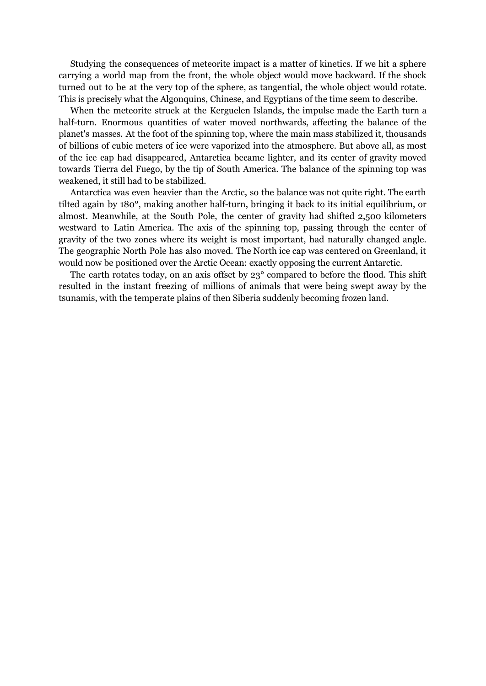Studying the consequences of meteorite impact is a matter of kinetics. If we hit a sphere carrying a world map from the front, the whole object would move backward. If the shock turned out to be at the very top of the sphere, as tangential, the whole object would rotate. This is precisely what the Algonquins, Chinese, and Egyptians of the time seem to describe.

When the meteorite struck at the Kerguelen Islands, the impulse made the Earth turn a half-turn. Enormous quantities of water moved northwards, affecting the balance of the planet's masses. At the foot of the spinning top, where the main mass stabilized it, thousands of billions of cubic meters of ice were vaporized into the atmosphere. But above all, as most of the ice cap had disappeared, Antarctica became lighter, and its center of gravity moved towards Tierra del Fuego, by the tip of South America. The balance of the spinning top was weakened, it still had to be stabilized.

Antarctica was even heavier than the Arctic, so the balance was not quite right. The earth tilted again by 180°, making another half-turn, bringing it back to its initial equilibrium, or almost. Meanwhile, at the South Pole, the center of gravity had shifted 2,500 kilometers westward to Latin America. The axis of the spinning top, passing through the center of gravity of the two zones where its weight is most important, had naturally changed angle. The geographic North Pole has also moved. The North ice cap was centered on Greenland, it would now be positioned over the Arctic Ocean: exactly opposing the current Antarctic.

The earth rotates today, on an axis offset by 23° compared to before the flood. This shift resulted in the instant freezing of millions of animals that were being swept away by the tsunamis, with the temperate plains of then Siberia suddenly becoming frozen land.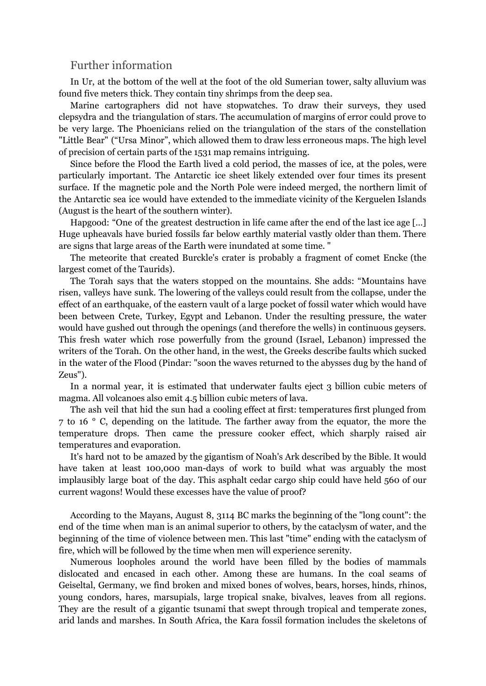# Further information

In Ur, at the bottom of the well at the foot of the old Sumerian tower, salty alluvium was found five meters thick. They contain tiny shrimps from the deep sea.

Marine cartographers did not have stopwatches. To draw their surveys, they used clepsydra and the triangulation of stars. The accumulation of margins of error could prove to be very large. The Phoenicians relied on the triangulation of the stars of the constellation "Little Bear" ("Ursa Minor", which allowed them to draw less erroneous maps. The high level of precision of certain parts of the 1531 map remains intriguing.

Since before the Flood the Earth lived a cold period, the masses of ice, at the poles, were particularly important. The Antarctic ice sheet likely extended over four times its present surface. If the magnetic pole and the North Pole were indeed merged, the northern limit of the Antarctic sea ice would have extended to the immediate vicinity of the Kerguelen Islands (August is the heart of the southern winter).

Hapgood: "One of the greatest destruction in life came after the end of the last ice age […] Huge upheavals have buried fossils far below earthly material vastly older than them. There are signs that large areas of the Earth were inundated at some time. "

The meteorite that created Burckle's crater is probably a fragment of comet Encke (the largest comet of the Taurids).

The Torah says that the waters stopped on the mountains. She adds: "Mountains have risen, valleys have sunk. The lowering of the valleys could result from the collapse, under the effect of an earthquake, of the eastern vault of a large pocket of fossil water which would have been between Crete, Turkey, Egypt and Lebanon. Under the resulting pressure, the water would have gushed out through the openings (and therefore the wells) in continuous geysers. This fresh water which rose powerfully from the ground (Israel, Lebanon) impressed the writers of the Torah. On the other hand, in the west, the Greeks describe faults which sucked in the water of the Flood (Pindar: "soon the waves returned to the abysses dug by the hand of Zeus").

In a normal year, it is estimated that underwater faults eject 3 billion cubic meters of magma. All volcanoes also emit 4.5 billion cubic meters of lava.

The ash veil that hid the sun had a cooling effect at first: temperatures first plunged from 7 to 16 ° C, depending on the latitude. The farther away from the equator, the more the temperature drops. Then came the pressure cooker effect, which sharply raised air temperatures and evaporation.

It's hard not to be amazed by the gigantism of Noah's Ark described by the Bible. It would have taken at least 100,000 man-days of work to build what was arguably the most implausibly large boat of the day. This asphalt cedar cargo ship could have held 560 of our current wagons! Would these excesses have the value of proof?

According to the Mayans, August 8, 3114 BC marks the beginning of the "long count": the end of the time when man is an animal superior to others, by the cataclysm of water, and the beginning of the time of violence between men. This last "time" ending with the cataclysm of fire, which will be followed by the time when men will experience serenity.

Numerous loopholes around the world have been filled by the bodies of mammals dislocated and encased in each other. Among these are humans. In the coal seams of Geiseltal, Germany, we find broken and mixed bones of wolves, bears, horses, hinds, rhinos, young condors, hares, marsupials, large tropical snake, bivalves, leaves from all regions. They are the result of a gigantic tsunami that swept through tropical and temperate zones, arid lands and marshes. In South Africa, the Kara fossil formation includes the skeletons of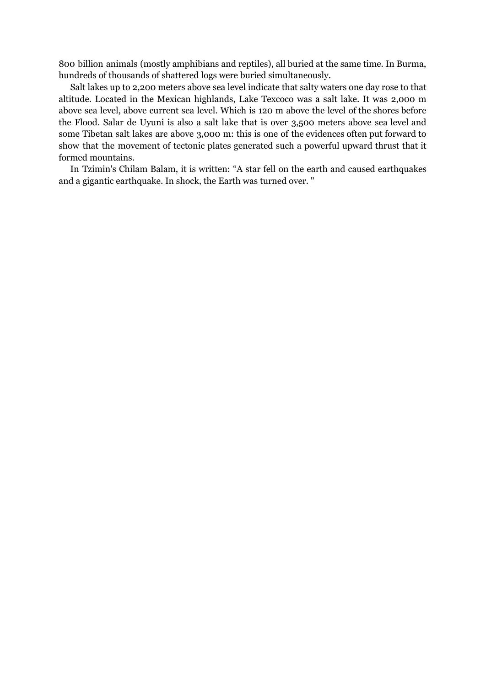800 billion animals (mostly amphibians and reptiles), all buried at the same time. In Burma, hundreds of thousands of shattered logs were buried simultaneously.

Salt lakes up to 2,200 meters above sea level indicate that salty waters one day rose to that altitude. Located in the Mexican highlands, Lake Texcoco was a salt lake. It was 2,000 m above sea level, above current sea level. Which is 120 m above the level of the shores before the Flood. Salar de Uyuni is also a salt lake that is over 3,500 meters above sea level and some Tibetan salt lakes are above 3,000 m: this is one of the evidences often put forward to show that the movement of tectonic plates generated such a powerful upward thrust that it formed mountains.

In Tzimin's Chilam Balam, it is written: "A star fell on the earth and caused earthquakes and a gigantic earthquake. In shock, the Earth was turned over. "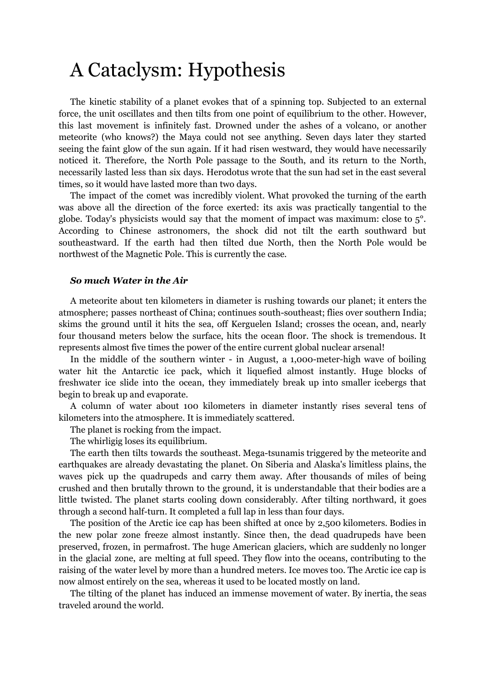# A Cataclysm: Hypothesis

The kinetic stability of a planet evokes that of a spinning top. Subjected to an external force, the unit oscillates and then tilts from one point of equilibrium to the other. However, this last movement is infinitely fast. Drowned under the ashes of a volcano, or another meteorite (who knows?) the Maya could not see anything. Seven days later they started seeing the faint glow of the sun again. If it had risen westward, they would have necessarily noticed it. Therefore, the North Pole passage to the South, and its return to the North, necessarily lasted less than six days. Herodotus wrote that the sun had set in the east several times, so it would have lasted more than two days.

The impact of the comet was incredibly violent. What provoked the turning of the earth was above all the direction of the force exerted: its axis was practically tangential to the globe. Today's physicists would say that the moment of impact was maximum: close to  $5^{\circ}$ . According to Chinese astronomers, the shock did not tilt the earth southward but southeastward. If the earth had then tilted due North, then the North Pole would be northwest of the Magnetic Pole. This is currently the case.

# *So much Water in the Air*

A meteorite about ten kilometers in diameter is rushing towards our planet; it enters the atmosphere; passes northeast of China; continues south-southeast; flies over southern India; skims the ground until it hits the sea, off Kerguelen Island; crosses the ocean, and, nearly four thousand meters below the surface, hits the ocean floor. The shock is tremendous. It represents almost five times the power of the entire current global nuclear arsenal!

In the middle of the southern winter - in August, a 1,000-meter-high wave of boiling water hit the Antarctic ice pack, which it liquefied almost instantly. Huge blocks of freshwater ice slide into the ocean, they immediately break up into smaller icebergs that begin to break up and evaporate.

A column of water about 100 kilometers in diameter instantly rises several tens of kilometers into the atmosphere. It is immediately scattered.

The planet is rocking from the impact.

The whirligig loses its equilibrium.

The earth then tilts towards the southeast. Mega-tsunamis triggered by the meteorite and earthquakes are already devastating the planet. On Siberia and Alaska's limitless plains, the waves pick up the quadrupeds and carry them away. After thousands of miles of being crushed and then brutally thrown to the ground, it is understandable that their bodies are a little twisted. The planet starts cooling down considerably. After tilting northward, it goes through a second half-turn. It completed a full lap in less than four days.

The position of the Arctic ice cap has been shifted at once by 2,500 kilometers. Bodies in the new polar zone freeze almost instantly. Since then, the dead quadrupeds have been preserved, frozen, in permafrost. The huge American glaciers, which are suddenly no longer in the glacial zone, are melting at full speed. They flow into the oceans, contributing to the raising of the water level by more than a hundred meters. Ice moves too. The Arctic ice cap is now almost entirely on the sea, whereas it used to be located mostly on land.

The tilting of the planet has induced an immense movement of water. By inertia, the seas traveled around the world.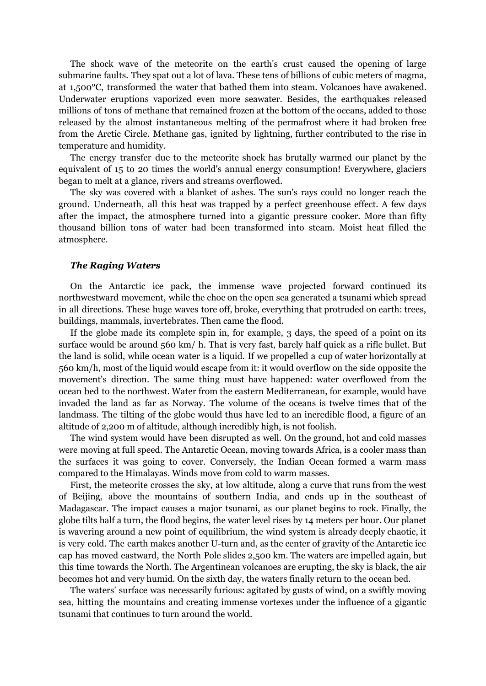The shock wave of the meteorite on the earth's crust caused the opening of large submarine faults. They spat out a lot of lava. These tens of billions of cubic meters of magma, at 1,500°C, transformed the water that bathed them into steam. Volcanoes have awakened. Underwater eruptions vaporized even more seawater. Besides, the earthquakes released millions of tons of methane that remained frozen at the bottom of the oceans, added to those released by the almost instantaneous melting of the permafrost where it had broken free from the Arctic Circle. Methane gas, ignited by lightning, further contributed to the rise in temperature and humidity.

The energy transfer due to the meteorite shock has brutally warmed our planet by the equivalent of 15 to 20 times the world's annual energy consumption! Everywhere, glaciers began to melt at a glance, rivers and streams overflowed.

The sky was covered with a blanket of ashes. The sun's rays could no longer reach the ground. Underneath, all this heat was trapped by a perfect greenhouse effect. A few days after the impact, the atmosphere turned into a gigantic pressure cooker. More than fifty thousand billion tons of water had been transformed into steam. Moist heat filled the atmosphere.

## *The Raging Waters*

On the Antarctic ice pack, the immense wave projected forward continued its northwestward movement, while the choc on the open sea generated a tsunami which spread in all directions. These huge waves tore off, broke, everything that protruded on earth: trees, buildings, mammals, invertebrates. Then came the flood.

If the globe made its complete spin in, for example, 3 days, the speed of a point on its surface would be around 560 km/ h. That is very fast, barely half quick as a rifle bullet. But the land is solid, while ocean water is a liquid. If we propelled a cup of water horizontally at 560 km/h, most of the liquid would escape from it: it would overflow on the side opposite the movement's direction. The same thing must have happened: water overflowed from the ocean bed to the northwest. Water from the eastern Mediterranean, for example, would have invaded the land as far as Norway. The volume of the oceans is twelve times that of the landmass. The tilting of the globe would thus have led to an incredible flood, a figure of an altitude of 2,200 m of altitude, although incredibly high, is not foolish.

The wind system would have been disrupted as well. On the ground, hot and cold masses were moving at full speed. The Antarctic Ocean, moving towards Africa, is a cooler mass than the surfaces it was going to cover. Conversely, the Indian Ocean formed a warm mass compared to the Himalayas. Winds move from cold to warm masses.

First, the meteorite crosses the sky, at low altitude, along a curve that runs from the west of Beijing, above the mountains of southern India, and ends up in the southeast of Madagascar. The impact causes a major tsunami, as our planet begins to rock. Finally, the globe tilts half a turn, the flood begins, the water level rises by 14 meters per hour. Our planet is wavering around a new point of equilibrium, the wind system is already deeply chaotic, it is very cold. The earth makes another U-turn and, as the center of gravity of the Antarctic ice cap has moved eastward, the North Pole slides 2,500 km. The waters are impelled again, but this time towards the North. The Argentinean volcanoes are erupting, the sky is black, the air becomes hot and very humid. On the sixth day, the waters finally return to the ocean bed.

The waters' surface was necessarily furious: agitated by gusts of wind, on a swiftly moving sea, hitting the mountains and creating immense vortexes under the influence of a gigantic tsunami that continues to turn around the world.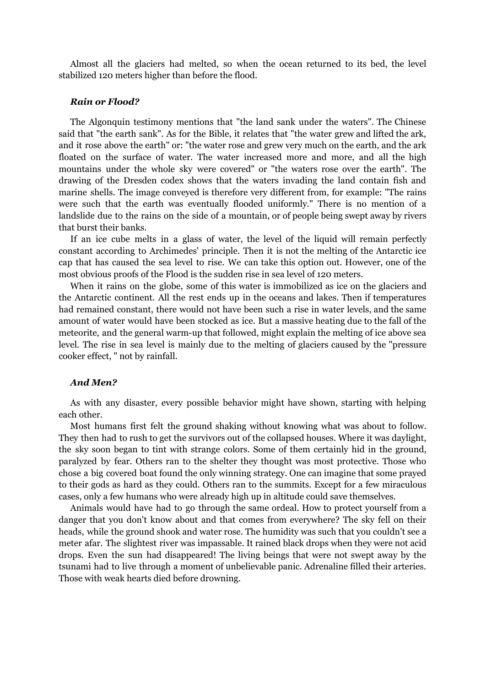Almost all the glaciers had melted, so when the ocean returned to its bed, the level stabilized 120 meters higher than before the flood.

### *Rain or Flood?*

The Algonquin testimony mentions that "the land sank under the waters". The Chinese said that "the earth sank". As for the Bible, it relates that "the water grew and lifted the ark, and it rose above the earth" or: "the water rose and grew very much on the earth, and the ark floated on the surface of water. The water increased more and more, and all the high mountains under the whole sky were covered" or "the waters rose over the earth". The drawing of the Dresden codex shows that the waters invading the land contain fish and marine shells. The image conveyed is therefore very different from, for example: "The rains were such that the earth was eventually flooded uniformly." There is no mention of a landslide due to the rains on the side of a mountain, or of people being swept away by rivers that burst their banks.

If an ice cube melts in a glass of water, the level of the liquid will remain perfectly constant according to Archimedes' principle. Then it is not the melting of the Antarctic ice cap that has caused the sea level to rise. We can take this option out. However, one of the most obvious proofs of the Flood is the sudden rise in sea level of 120 meters.

When it rains on the globe, some of this water is immobilized as ice on the glaciers and the Antarctic continent. All the rest ends up in the oceans and lakes. Then if temperatures had remained constant, there would not have been such a rise in water levels, and the same amount of water would have been stocked as ice. But a massive heating due to the fall of the meteorite, and the general warm-up that followed, might explain the melting of ice above sea level. The rise in sea level is mainly due to the melting of glaciers caused by the "pressure cooker effect, " not by rainfall.

# *And Men?*

As with any disaster, every possible behavior might have shown, starting with helping each other.

Most humans first felt the ground shaking without knowing what was about to follow. They then had to rush to get the survivors out of the collapsed houses. Where it was daylight, the sky soon began to tint with strange colors. Some of them certainly hid in the ground, paralyzed by fear. Others ran to the shelter they thought was most protective. Those who chose a big covered boat found the only winning strategy. One can imagine that some prayed to their gods as hard as they could. Others ran to the summits. Except for a few miraculous cases, only a few humans who were already high up in altitude could save themselves.

Animals would have had to go through the same ordeal. How to protect yourself from a danger that you don't know about and that comes from everywhere? The sky fell on their heads, while the ground shook and water rose. The humidity was such that you couldn't see a meter afar. The slightest river was impassable. It rained black drops when they were not acid drops. Even the sun had disappeared! The living beings that were not swept away by the tsunami had to live through a moment of unbelievable panic. Adrenaline filled their arteries. Those with weak hearts died before drowning.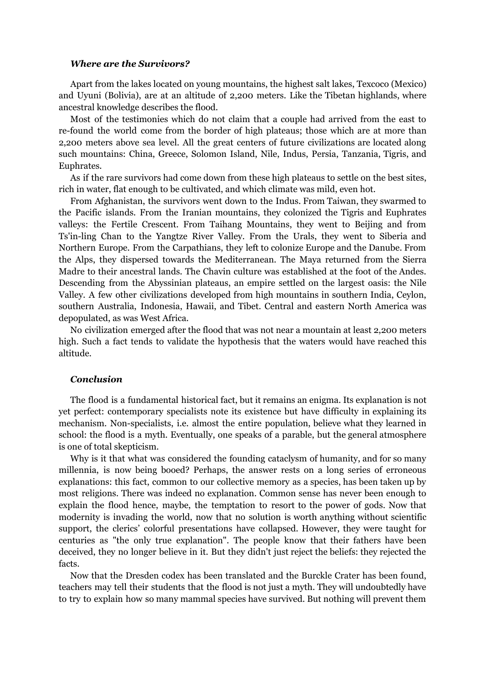### *Where are the Survivors?*

Apart from the lakes located on young mountains, the highest salt lakes, Texcoco (Mexico) and Uyuni (Bolivia), are at an altitude of 2,200 meters. Like the Tibetan highlands, where ancestral knowledge describes the flood.

Most of the testimonies which do not claim that a couple had arrived from the east to re-found the world come from the border of high plateaus; those which are at more than 2,200 meters above sea level. All the great centers of future civilizations are located along such mountains: China, Greece, Solomon Island, Nile, Indus, Persia, Tanzania, Tigris, and Euphrates.

As if the rare survivors had come down from these high plateaus to settle on the best sites, rich in water, flat enough to be cultivated, and which climate was mild, even hot.

From Afghanistan, the survivors went down to the Indus. From Taiwan, they swarmed to the Pacific islands. From the Iranian mountains, they colonized the Tigris and Euphrates valleys: the Fertile Crescent. From Taihang Mountains, they went to Beijing and from Ts'in-ling Chan to the Yangtze River Valley. From the Urals, they went to Siberia and Northern Europe. From the Carpathians, they left to colonize Europe and the Danube. From the Alps, they dispersed towards the Mediterranean. The Maya returned from the Sierra Madre to their ancestral lands. The Chavin culture was established at the foot of the Andes. Descending from the Abyssinian plateaus, an empire settled on the largest oasis: the Nile Valley. A few other civilizations developed from high mountains in southern India, Ceylon, southern Australia, Indonesia, Hawaii, and Tibet. Central and eastern North America was depopulated, as was West Africa.

No civilization emerged after the flood that was not near a mountain at least 2,200 meters high. Such a fact tends to validate the hypothesis that the waters would have reached this altitude.

# *Conclusion*

The flood is a fundamental historical fact, but it remains an enigma. Its explanation is not yet perfect: contemporary specialists note its existence but have difficulty in explaining its mechanism. Non-specialists, i.e. almost the entire population, believe what they learned in school: the flood is a myth. Eventually, one speaks of a parable, but the general atmosphere is one of total skepticism.

Why is it that what was considered the founding cataclysm of humanity, and for so many millennia, is now being booed? Perhaps, the answer rests on a long series of erroneous explanations: this fact, common to our collective memory as a species, has been taken up by most religions. There was indeed no explanation. Common sense has never been enough to explain the flood hence, maybe, the temptation to resort to the power of gods. Now that modernity is invading the world, now that no solution is worth anything without scientific support, the clerics' colorful presentations have collapsed. However, they were taught for centuries as "the only true explanation". The people know that their fathers have been deceived, they no longer believe in it. But they didn't just reject the beliefs: they rejected the facts.

Now that the Dresden codex has been translated and the Burckle Crater has been found, teachers may tell their students that the flood is not just a myth. They will undoubtedly have to try to explain how so many mammal species have survived. But nothing will prevent them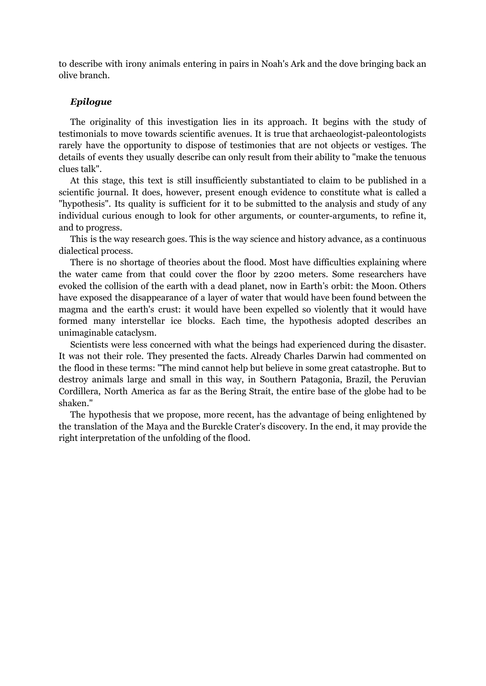to describe with irony animals entering in pairs in Noah's Ark and the dove bringing back an olive branch.

# *Epilogue*

The originality of this investigation lies in its approach. It begins with the study of testimonials to move towards scientific avenues. It is true that archaeologist-paleontologists rarely have the opportunity to dispose of testimonies that are not objects or vestiges. The details of events they usually describe can only result from their ability to "make the tenuous clues talk".

At this stage, this text is still insufficiently substantiated to claim to be published in a scientific journal. It does, however, present enough evidence to constitute what is called a "hypothesis". Its quality is sufficient for it to be submitted to the analysis and study of any individual curious enough to look for other arguments, or counter-arguments, to refine it, and to progress.

This is the way research goes. This is the way science and history advance, as a continuous dialectical process.

There is no shortage of theories about the flood. Most have difficulties explaining where the water came from that could cover the floor by 2200 meters. Some researchers have evoked the collision of the earth with a dead planet, now in Earth's orbit: the Moon. Others have exposed the disappearance of a layer of water that would have been found between the magma and the earth's crust: it would have been expelled so violently that it would have formed many interstellar ice blocks. Each time, the hypothesis adopted describes an unimaginable cataclysm.

Scientists were less concerned with what the beings had experienced during the disaster. It was not their role. They presented the facts. Already Charles Darwin had commented on the flood in these terms: "The mind cannot help but believe in some great catastrophe. But to destroy animals large and small in this way, in Southern Patagonia, Brazil, the Peruvian Cordillera, North America as far as the Bering Strait, the entire base of the globe had to be shaken."

The hypothesis that we propose, more recent, has the advantage of being enlightened by the translation of the Maya and the Burckle Crater's discovery. In the end, it may provide the right interpretation of the unfolding of the flood.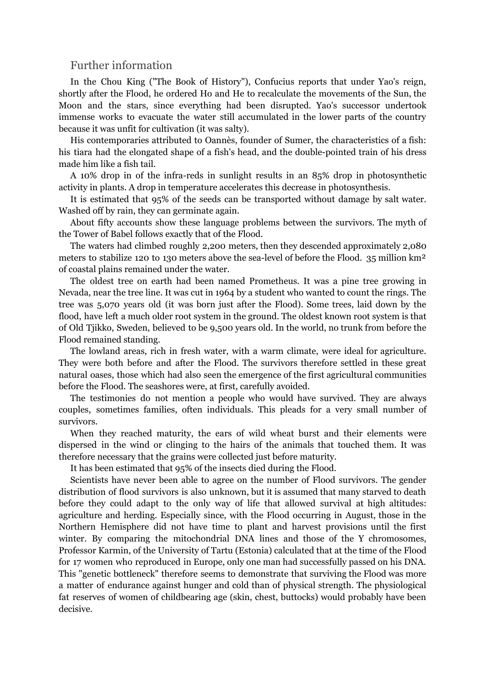# Further information

In the Chou King ("The Book of History"), Confucius reports that under Yao's reign, shortly after the Flood, he ordered Ho and He to recalculate the movements of the Sun, the Moon and the stars, since everything had been disrupted. Yao's successor undertook immense works to evacuate the water still accumulated in the lower parts of the country because it was unfit for cultivation (it was salty).

His contemporaries attributed to Oannès, founder of Sumer, the characteristics of a fish: his tiara had the elongated shape of a fish's head, and the double-pointed train of his dress made him like a fish tail.

A 10% drop in of the infra-reds in sunlight results in an 85% drop in photosynthetic activity in plants. A drop in temperature accelerates this decrease in photosynthesis.

It is estimated that 95% of the seeds can be transported without damage by salt water. Washed off by rain, they can germinate again.

About fifty accounts show these language problems between the survivors. The myth of the Tower of Babel follows exactly that of the Flood.

The waters had climbed roughly 2,200 meters, then they descended approximately 2,080 meters to stabilize 120 to 130 meters above the sea-level of before the Flood. 35 million  $km^2$ of coastal plains remained under the water.

The oldest tree on earth had been named Prometheus. It was a pine tree growing in Nevada, near the tree line. It was cut in 1964 by a student who wanted to count the rings. The tree was 5,070 years old (it was born just after the Flood). Some trees, laid down by the flood, have left a much older root system in the ground. The oldest known root system is that of Old Tjikko, Sweden, believed to be 9,500 years old. In the world, no trunk from before the Flood remained standing.

The lowland areas, rich in fresh water, with a warm climate, were ideal for agriculture. They were both before and after the Flood. The survivors therefore settled in these great natural oases, those which had also seen the emergence of the first agricultural communities before the Flood. The seashores were, at first, carefully avoided.

The testimonies do not mention a people who would have survived. They are always couples, sometimes families, often individuals. This pleads for a very small number of survivors.

When they reached maturity, the ears of wild wheat burst and their elements were dispersed in the wind or clinging to the hairs of the animals that touched them. It was therefore necessary that the grains were collected just before maturity.

It has been estimated that 95% of the insects died during the Flood.

Scientists have never been able to agree on the number of Flood survivors. The gender distribution of flood survivors is also unknown, but it is assumed that many starved to death before they could adapt to the only way of life that allowed survival at high altitudes: agriculture and herding. Especially since, with the Flood occurring in August, those in the Northern Hemisphere did not have time to plant and harvest provisions until the first winter. By comparing the mitochondrial DNA lines and those of the Y chromosomes, Professor Karmin, of the University of Tartu (Estonia) calculated that at the time of the Flood for 17 women who reproduced in Europe, only one man had successfully passed on his DNA. This "genetic bottleneck" therefore seems to demonstrate that surviving the Flood was more a matter of endurance against hunger and cold than of physical strength. The physiological fat reserves of women of childbearing age (skin, chest, buttocks) would probably have been decisive.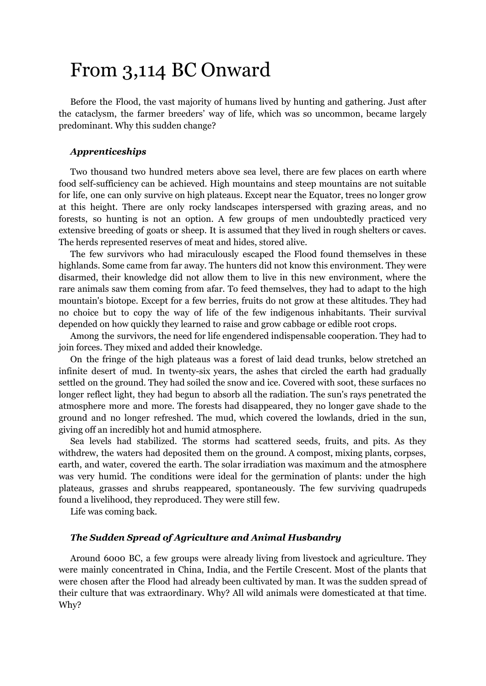# From 3,114 BC Onward

Before the Flood, the vast majority of humans lived by hunting and gathering. Just after the cataclysm, the farmer breeders' way of life, which was so uncommon, became largely predominant. Why this sudden change?

## *Apprenticeships*

Two thousand two hundred meters above sea level, there are few places on earth where food self-sufficiency can be achieved. High mountains and steep mountains are not suitable for life, one can only survive on high plateaus. Except near the Equator, trees no longer grow at this height. There are only rocky landscapes interspersed with grazing areas, and no forests, so hunting is not an option. A few groups of men undoubtedly practiced very extensive breeding of goats or sheep. It is assumed that they lived in rough shelters or caves. The herds represented reserves of meat and hides, stored alive.

The few survivors who had miraculously escaped the Flood found themselves in these highlands. Some came from far away. The hunters did not know this environment. They were disarmed, their knowledge did not allow them to live in this new environment, where the rare animals saw them coming from afar. To feed themselves, they had to adapt to the high mountain's biotope. Except for a few berries, fruits do not grow at these altitudes. They had no choice but to copy the way of life of the few indigenous inhabitants. Their survival depended on how quickly they learned to raise and grow cabbage or edible root crops.

Among the survivors, the need for life engendered indispensable cooperation. They had to join forces. They mixed and added their knowledge.

On the fringe of the high plateaus was a forest of laid dead trunks, below stretched an infinite desert of mud. In twenty-six years, the ashes that circled the earth had gradually settled on the ground. They had soiled the snow and ice. Covered with soot, these surfaces no longer reflect light, they had begun to absorb all the radiation. The sun's rays penetrated the atmosphere more and more. The forests had disappeared, they no longer gave shade to the ground and no longer refreshed. The mud, which covered the lowlands, dried in the sun, giving off an incredibly hot and humid atmosphere.

Sea levels had stabilized. The storms had scattered seeds, fruits, and pits. As they withdrew, the waters had deposited them on the ground. A compost, mixing plants, corpses, earth, and water, covered the earth. The solar irradiation was maximum and the atmosphere was very humid. The conditions were ideal for the germination of plants: under the high plateaus, grasses and shrubs reappeared, spontaneously. The few surviving quadrupeds found a livelihood, they reproduced. They were still few.

Life was coming back.

# *The Sudden Spread of Agriculture and Animal Husbandry*

Around 6000 BC, a few groups were already living from livestock and agriculture. They were mainly concentrated in China, India, and the Fertile Crescent. Most of the plants that were chosen after the Flood had already been cultivated by man. It was the sudden spread of their culture that was extraordinary. Why? All wild animals were domesticated at that time. Why?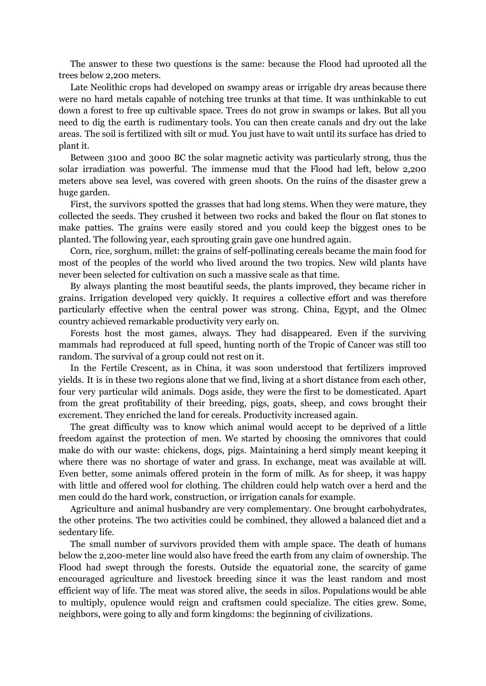The answer to these two questions is the same: because the Flood had uprooted all the trees below 2,200 meters.

Late Neolithic crops had developed on swampy areas or irrigable dry areas because there were no hard metals capable of notching tree trunks at that time. It was unthinkable to cut down a forest to free up cultivable space. Trees do not grow in swamps or lakes. But all you need to dig the earth is rudimentary tools. You can then create canals and dry out the lake areas. The soil is fertilized with silt or mud. You just have to wait until its surface has dried to plant it.

Between 3100 and 3000 BC the solar magnetic activity was particularly strong, thus the solar irradiation was powerful. The immense mud that the Flood had left, below 2,200 meters above sea level, was covered with green shoots. On the ruins of the disaster grew a huge garden.

First, the survivors spotted the grasses that had long stems. When they were mature, they collected the seeds. They crushed it between two rocks and baked the flour on flat stones to make patties. The grains were easily stored and you could keep the biggest ones to be planted. The following year, each sprouting grain gave one hundred again.

Corn, rice, sorghum, millet: the grains of self-pollinating cereals became the main food for most of the peoples of the world who lived around the two tropics. New wild plants have never been selected for cultivation on such a massive scale as that time.

By always planting the most beautiful seeds, the plants improved, they became richer in grains. Irrigation developed very quickly. It requires a collective effort and was therefore particularly effective when the central power was strong. China, Egypt, and the Olmec country achieved remarkable productivity very early on.

Forests host the most games, always. They had disappeared. Even if the surviving mammals had reproduced at full speed, hunting north of the Tropic of Cancer was still too random. The survival of a group could not rest on it.

In the Fertile Crescent, as in China, it was soon understood that fertilizers improved yields. It is in these two regions alone that we find, living at a short distance from each other, four very particular wild animals. Dogs aside, they were the first to be domesticated. Apart from the great profitability of their breeding, pigs, goats, sheep, and cows brought their excrement. They enriched the land for cereals. Productivity increased again.

The great difficulty was to know which animal would accept to be deprived of a little freedom against the protection of men. We started by choosing the omnivores that could make do with our waste: chickens, dogs, pigs. Maintaining a herd simply meant keeping it where there was no shortage of water and grass. In exchange, meat was available at will. Even better, some animals offered protein in the form of milk. As for sheep, it was happy with little and offered wool for clothing. The children could help watch over a herd and the men could do the hard work, construction, or irrigation canals for example.

Agriculture and animal husbandry are very complementary. One brought carbohydrates, the other proteins. The two activities could be combined, they allowed a balanced diet and a sedentary life.

The small number of survivors provided them with ample space. The death of humans below the 2,200-meter line would also have freed the earth from any claim of ownership. The Flood had swept through the forests. Outside the equatorial zone, the scarcity of game encouraged agriculture and livestock breeding since it was the least random and most efficient way of life. The meat was stored alive, the seeds in silos. Populations would be able to multiply, opulence would reign and craftsmen could specialize. The cities grew. Some, neighbors, were going to ally and form kingdoms: the beginning of civilizations.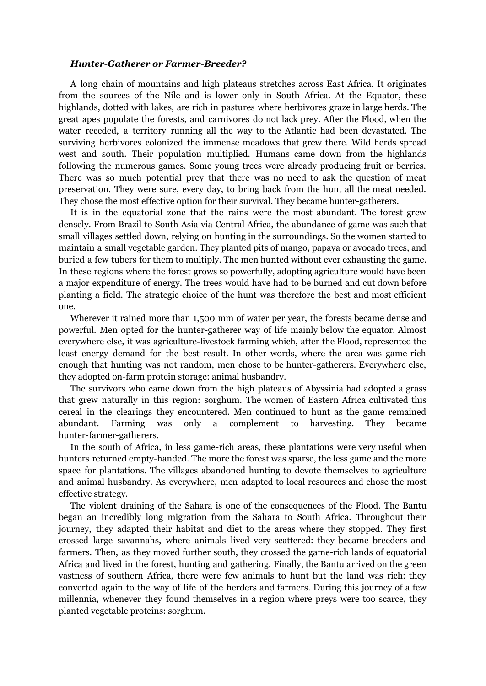### *Hunter-Gatherer or Farmer-Breeder?*

A long chain of mountains and high plateaus stretches across East Africa. It originates from the sources of the Nile and is lower only in South Africa. At the Equator, these highlands, dotted with lakes, are rich in pastures where herbivores graze in large herds. The great apes populate the forests, and carnivores do not lack prey. After the Flood, when the water receded, a territory running all the way to the Atlantic had been devastated. The surviving herbivores colonized the immense meadows that grew there. Wild herds spread west and south. Their population multiplied. Humans came down from the highlands following the numerous games. Some young trees were already producing fruit or berries. There was so much potential prey that there was no need to ask the question of meat preservation. They were sure, every day, to bring back from the hunt all the meat needed. They chose the most effective option for their survival. They became hunter-gatherers.

It is in the equatorial zone that the rains were the most abundant. The forest grew densely. From Brazil to South Asia via Central Africa, the abundance of game was such that small villages settled down, relying on hunting in the surroundings. So the women started to maintain a small vegetable garden. They planted pits of mango, papaya or avocado trees, and buried a few tubers for them to multiply. The men hunted without ever exhausting the game. In these regions where the forest grows so powerfully, adopting agriculture would have been a major expenditure of energy. The trees would have had to be burned and cut down before planting a field. The strategic choice of the hunt was therefore the best and most efficient one.

Wherever it rained more than 1,500 mm of water per year, the forests became dense and powerful. Men opted for the hunter-gatherer way of life mainly below the equator. Almost everywhere else, it was agriculture-livestock farming which, after the Flood, represented the least energy demand for the best result. In other words, where the area was game-rich enough that hunting was not random, men chose to be hunter-gatherers. Everywhere else, they adopted on-farm protein storage: animal husbandry.

The survivors who came down from the high plateaus of Abyssinia had adopted a grass that grew naturally in this region: sorghum. The women of Eastern Africa cultivated this cereal in the clearings they encountered. Men continued to hunt as the game remained abundant. Farming was only a complement to harvesting. They became hunter-farmer-gatherers.

In the south of Africa, in less game-rich areas, these plantations were very useful when hunters returned empty-handed. The more the forest was sparse, the less game and the more space for plantations. The villages abandoned hunting to devote themselves to agriculture and animal husbandry. As everywhere, men adapted to local resources and chose the most effective strategy.

The violent draining of the Sahara is one of the consequences of the Flood. The Bantu began an incredibly long migration from the Sahara to South Africa. Throughout their journey, they adapted their habitat and diet to the areas where they stopped. They first crossed large savannahs, where animals lived very scattered: they became breeders and farmers. Then, as they moved further south, they crossed the game-rich lands of equatorial Africa and lived in the forest, hunting and gathering. Finally, the Bantu arrived on the green vastness of southern Africa, there were few animals to hunt but the land was rich: they converted again to the way of life of the herders and farmers. During this journey of a few millennia, whenever they found themselves in a region where preys were too scarce, they planted vegetable proteins: sorghum.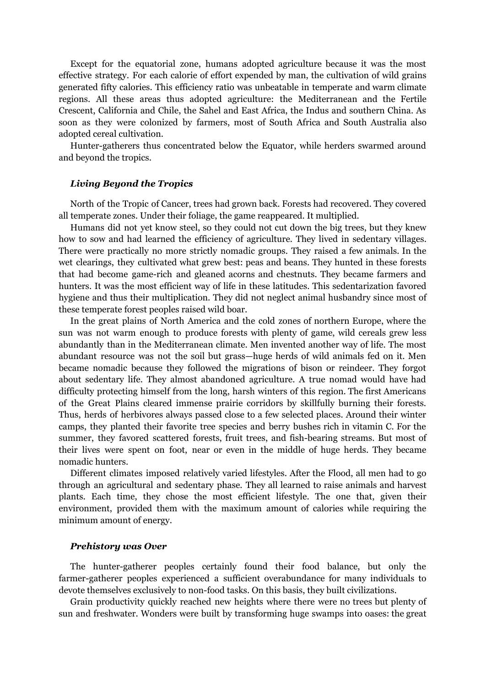Except for the equatorial zone, humans adopted agriculture because it was the most effective strategy. For each calorie of effort expended by man, the cultivation of wild grains generated fifty calories. This efficiency ratio was unbeatable in temperate and warm climate regions. All these areas thus adopted agriculture: the Mediterranean and the Fertile Crescent, California and Chile, the Sahel and East Africa, the Indus and southern China. As soon as they were colonized by farmers, most of South Africa and South Australia also adopted cereal cultivation.

Hunter-gatherers thus concentrated below the Equator, while herders swarmed around and beyond the tropics.

### *Living Beyond the Tropics*

North of the Tropic of Cancer, trees had grown back. Forests had recovered. They covered all temperate zones. Under their foliage, the game reappeared. It multiplied.

Humans did not yet know steel, so they could not cut down the big trees, but they knew how to sow and had learned the efficiency of agriculture. They lived in sedentary villages. There were practically no more strictly nomadic groups. They raised a few animals. In the wet clearings, they cultivated what grew best: peas and beans. They hunted in these forests that had become game-rich and gleaned acorns and chestnuts. They became farmers and hunters. It was the most efficient way of life in these latitudes. This sedentarization favored hygiene and thus their multiplication. They did not neglect animal husbandry since most of these temperate forest peoples raised wild boar.

In the great plains of North America and the cold zones of northern Europe, where the sun was not warm enough to produce forests with plenty of game, wild cereals grew less abundantly than in the Mediterranean climate. Men invented another way of life. The most abundant resource was not the soil but grass—huge herds of wild animals fed on it. Men became nomadic because they followed the migrations of bison or reindeer. They forgot about sedentary life. They almost abandoned agriculture. A true nomad would have had difficulty protecting himself from the long, harsh winters of this region. The first Americans of the Great Plains cleared immense prairie corridors by skillfully burning their forests. Thus, herds of herbivores always passed close to a few selected places. Around their winter camps, they planted their favorite tree species and berry bushes rich in vitamin C. For the summer, they favored scattered forests, fruit trees, and fish-bearing streams. But most of their lives were spent on foot, near or even in the middle of huge herds. They became nomadic hunters.

Different climates imposed relatively varied lifestyles. After the Flood, all men had to go through an agricultural and sedentary phase. They all learned to raise animals and harvest plants. Each time, they chose the most efficient lifestyle. The one that, given their environment, provided them with the maximum amount of calories while requiring the minimum amount of energy.

### *Prehistory was Over*

The hunter-gatherer peoples certainly found their food balance, but only the farmer-gatherer peoples experienced a sufficient overabundance for many individuals to devote themselves exclusively to non-food tasks. On this basis, they built civilizations.

Grain productivity quickly reached new heights where there were no trees but plenty of sun and freshwater. Wonders were built by transforming huge swamps into oases: the great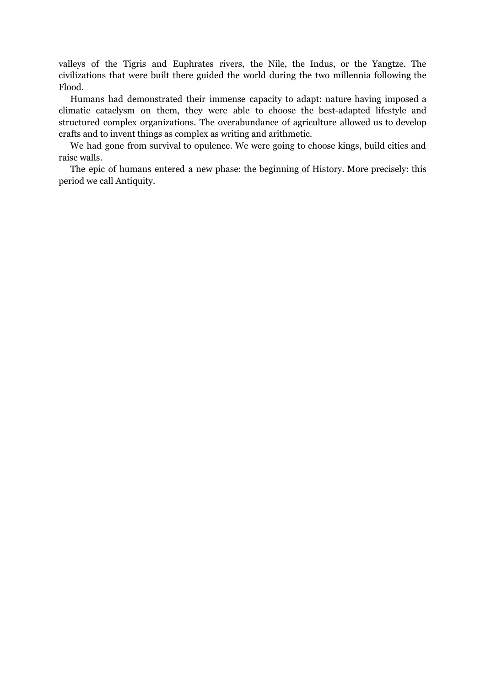valleys of the Tigris and Euphrates rivers, the Nile, the Indus, or the Yangtze. The civilizations that were built there guided the world during the two millennia following the Flood.

Humans had demonstrated their immense capacity to adapt: nature having imposed a climatic cataclysm on them, they were able to choose the best-adapted lifestyle and structured complex organizations. The overabundance of agriculture allowed us to develop crafts and to invent things as complex as writing and arithmetic.

We had gone from survival to opulence. We were going to choose kings, build cities and raise walls.

The epic of humans entered a new phase: the beginning of History. More precisely: this period we call Antiquity.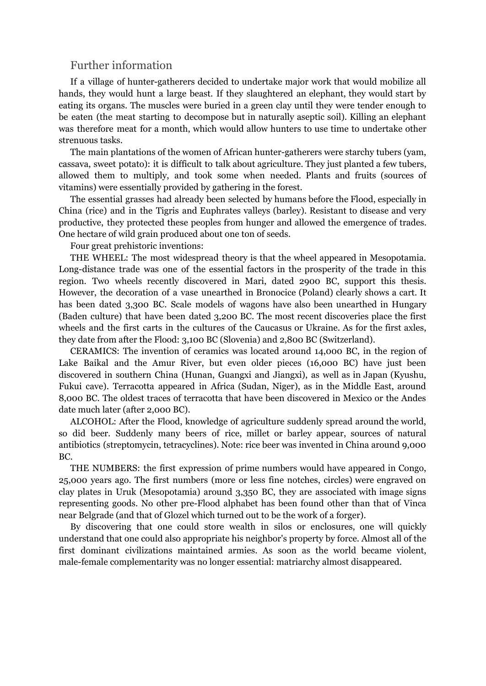# Further information

If a village of hunter-gatherers decided to undertake major work that would mobilize all hands, they would hunt a large beast. If they slaughtered an elephant, they would start by eating its organs. The muscles were buried in a green clay until they were tender enough to be eaten (the meat starting to decompose but in naturally aseptic soil). Killing an elephant was therefore meat for a month, which would allow hunters to use time to undertake other strenuous tasks.

The main plantations of the women of African hunter-gatherers were starchy tubers (yam, cassava, sweet potato): it is difficult to talk about agriculture. They just planted a few tubers, allowed them to multiply, and took some when needed. Plants and fruits (sources of vitamins) were essentially provided by gathering in the forest.

The essential grasses had already been selected by humans before the Flood, especially in China (rice) and in the Tigris and Euphrates valleys (barley). Resistant to disease and very productive, they protected these peoples from hunger and allowed the emergence of trades. One hectare of wild grain produced about one ton of seeds.

Four great prehistoric inventions:

THE WHEEL: The most widespread theory is that the wheel appeared in Mesopotamia. Long-distance trade was one of the essential factors in the prosperity of the trade in this region. Two wheels recently discovered in Mari, dated 2900 BC, support this thesis. However, the decoration of a vase unearthed in Bronocice (Poland) clearly shows a cart. It has been dated 3,300 BC. Scale models of wagons have also been unearthed in Hungary (Baden culture) that have been dated 3,200 BC. The most recent discoveries place the first wheels and the first carts in the cultures of the Caucasus or Ukraine. As for the first axles, they date from after the Flood: 3,100 BC (Slovenia) and 2,800 BC (Switzerland).

CERAMICS: The invention of ceramics was located around 14,000 BC, in the region of Lake Baikal and the Amur River, but even older pieces (16,000 BC) have just been discovered in southern China (Hunan, Guangxi and Jiangxi), as well as in Japan (Kyushu, Fukui cave). Terracotta appeared in Africa (Sudan, Niger), as in the Middle East, around 8,000 BC. The oldest traces of terracotta that have been discovered in Mexico or the Andes date much later (after 2,000 BC).

ALCOHOL: After the Flood, knowledge of agriculture suddenly spread around the world, so did beer. Suddenly many beers of rice, millet or barley appear, sources of natural antibiotics (streptomycin, tetracyclines). Note: rice beer was invented in China around 9,000 BC.

THE NUMBERS: the first expression of prime numbers would have appeared in Congo, 25,000 years ago. The first numbers (more or less fine notches, circles) were engraved on clay plates in Uruk (Mesopotamia) around 3,350 BC, they are associated with image signs representing goods. No other pre-Flood alphabet has been found other than that of Vinca near Belgrade (and that of Glozel which turned out to be the work of a forger).

By discovering that one could store wealth in silos or enclosures, one will quickly understand that one could also appropriate his neighbor's property by force. Almost all of the first dominant civilizations maintained armies. As soon as the world became violent, male-female complementarity was no longer essential: matriarchy almost disappeared.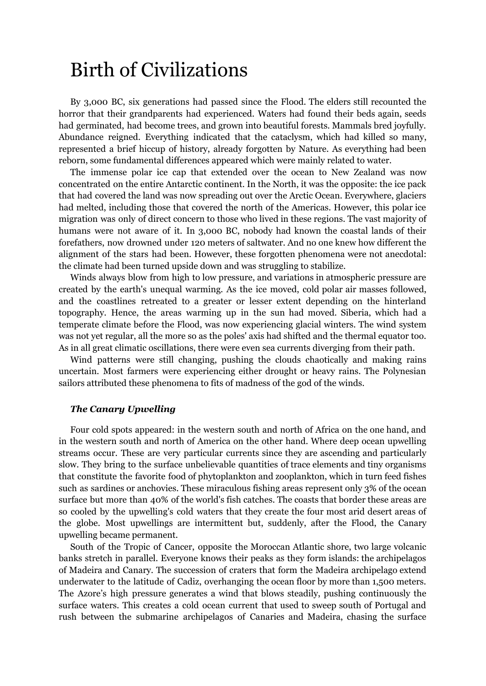# Birth of Civilizations

By 3,000 BC, six generations had passed since the Flood. The elders still recounted the horror that their grandparents had experienced. Waters had found their beds again, seeds had germinated, had become trees, and grown into beautiful forests. Mammals bred joyfully. Abundance reigned. Everything indicated that the cataclysm, which had killed so many, represented a brief hiccup of history, already forgotten by Nature. As everything had been reborn, some fundamental differences appeared which were mainly related to water.

The immense polar ice cap that extended over the ocean to New Zealand was now concentrated on the entire Antarctic continent. In the North, it was the opposite: the ice pack that had covered the land was now spreading out over the Arctic Ocean. Everywhere, glaciers had melted, including those that covered the north of the Americas. However, this polar ice migration was only of direct concern to those who lived in these regions. The vast majority of humans were not aware of it. In 3,000 BC, nobody had known the coastal lands of their forefathers, now drowned under 120 meters of saltwater. And no one knew how different the alignment of the stars had been. However, these forgotten phenomena were not anecdotal: the climate had been turned upside down and was struggling to stabilize.

Winds always blow from high to low pressure, and variations in atmospheric pressure are created by the earth's unequal warming. As the ice moved, cold polar air masses followed, and the coastlines retreated to a greater or lesser extent depending on the hinterland topography. Hence, the areas warming up in the sun had moved. Siberia, which had a temperate climate before the Flood, was now experiencing glacial winters. The wind system was not yet regular, all the more so as the poles' axis had shifted and the thermal equator too. As in all great climatic oscillations, there were even sea currents diverging from their path.

Wind patterns were still changing, pushing the clouds chaotically and making rains uncertain. Most farmers were experiencing either drought or heavy rains. The Polynesian sailors attributed these phenomena to fits of madness of the god of the winds.

## *The Canary Upwelling*

Four cold spots appeared: in the western south and north of Africa on the one hand, and in the western south and north of America on the other hand. Where deep ocean upwelling streams occur. These are very particular currents since they are ascending and particularly slow. They bring to the surface unbelievable quantities of trace elements and tiny organisms that constitute the favorite food of phytoplankton and zooplankton, which in turn feed fishes such as sardines or anchovies. These miraculous fishing areas represent only 3% of the ocean surface but more than 40% of the world's fish catches. The coasts that border these areas are so cooled by the upwelling's cold waters that they create the four most arid desert areas of the globe. Most upwellings are intermittent but, suddenly, after the Flood, the Canary upwelling became permanent.

South of the Tropic of Cancer, opposite the Moroccan Atlantic shore, two large volcanic banks stretch in parallel. Everyone knows their peaks as they form islands: the archipelagos of Madeira and Canary. The succession of craters that form the Madeira archipelago extend underwater to the latitude of Cadiz, overhanging the ocean floor by more than 1,500 meters. The Azore's high pressure generates a wind that blows steadily, pushing continuously the surface waters. This creates a cold ocean current that used to sweep south of Portugal and rush between the submarine archipelagos of Canaries and Madeira, chasing the surface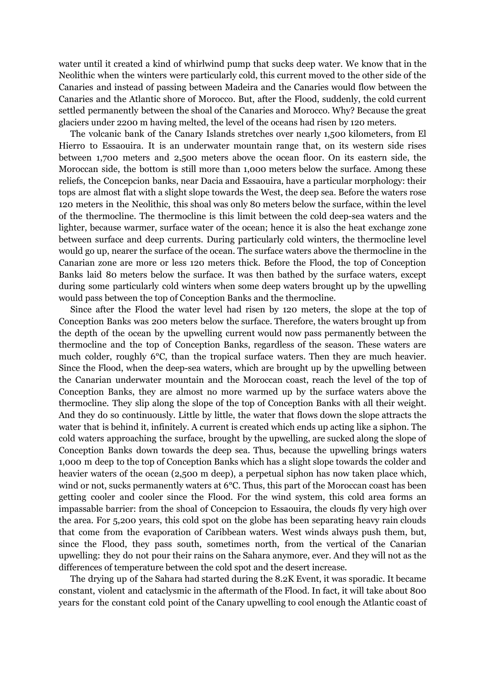water until it created a kind of whirlwind pump that sucks deep water. We know that in the Neolithic when the winters were particularly cold, this current moved to the other side of the Canaries and instead of passing between Madeira and the Canaries would flow between the Canaries and the Atlantic shore of Morocco. But, after the Flood, suddenly, the cold current settled permanently between the shoal of the Canaries and Morocco. Why? Because the great glaciers under 2200 m having melted, the level of the oceans had risen by 120 meters.

The volcanic bank of the Canary Islands stretches over nearly 1,500 kilometers, from El Hierro to Essaouira. It is an underwater mountain range that, on its western side rises between 1,700 meters and 2,500 meters above the ocean floor. On its eastern side, the Moroccan side, the bottom is still more than 1,000 meters below the surface. Among these reliefs, the Concepcion banks, near Dacia and Essaouira, have a particular morphology: their tops are almost flat with a slight slope towards the West, the deep sea. Before the waters rose 120 meters in the Neolithic, this shoal was only 80 meters below the surface, within the level of the thermocline. The thermocline is this limit between the cold deep-sea waters and the lighter, because warmer, surface water of the ocean; hence it is also the heat exchange zone between surface and deep currents. During particularly cold winters, the thermocline level would go up, nearer the surface of the ocean. The surface waters above the thermocline in the Canarian zone are more or less 120 meters thick. Before the Flood, the top of Conception Banks laid 80 meters below the surface. It was then bathed by the surface waters, except during some particularly cold winters when some deep waters brought up by the upwelling would pass between the top of Conception Banks and the thermocline.

Since after the Flood the water level had risen by 120 meters, the slope at the top of Conception Banks was 200 meters below the surface. Therefore, the waters brought up from the depth of the ocean by the upwelling current would now pass permanently between the thermocline and the top of Conception Banks, regardless of the season. These waters are much colder, roughly 6°C, than the tropical surface waters. Then they are much heavier. Since the Flood, when the deep-sea waters, which are brought up by the upwelling between the Canarian underwater mountain and the Moroccan coast, reach the level of the top of Conception Banks, they are almost no more warmed up by the surface waters above the thermocline. They slip along the slope of the top of Conception Banks with all their weight. And they do so continuously. Little by little, the water that flows down the slope attracts the water that is behind it, infinitely. A current is created which ends up acting like a siphon. The cold waters approaching the surface, brought by the upwelling, are sucked along the slope of Conception Banks down towards the deep sea. Thus, because the upwelling brings waters 1,000 m deep to the top of Conception Banks which has a slight slope towards the colder and heavier waters of the ocean (2,500 m deep), a perpetual siphon has now taken place which, wind or not, sucks permanently waters at 6°C. Thus, this part of the Moroccan coast has been getting cooler and cooler since the Flood. For the wind system, this cold area forms an impassable barrier: from the shoal of Concepcion to Essaouira, the clouds fly very high over the area. For 5,200 years, this cold spot on the globe has been separating heavy rain clouds that come from the evaporation of Caribbean waters. West winds always push them, but, since the Flood, they pass south, sometimes north, from the vertical of the Canarian upwelling: they do not pour their rains on the Sahara anymore, ever. And they will not as the differences of temperature between the cold spot and the desert increase.

The drying up of the Sahara had started during the 8.2K Event, it was sporadic. It became constant, violent and cataclysmic in the aftermath of the Flood. In fact, it will take about 800 years for the constant cold point of the Canary upwelling to cool enough the Atlantic coast of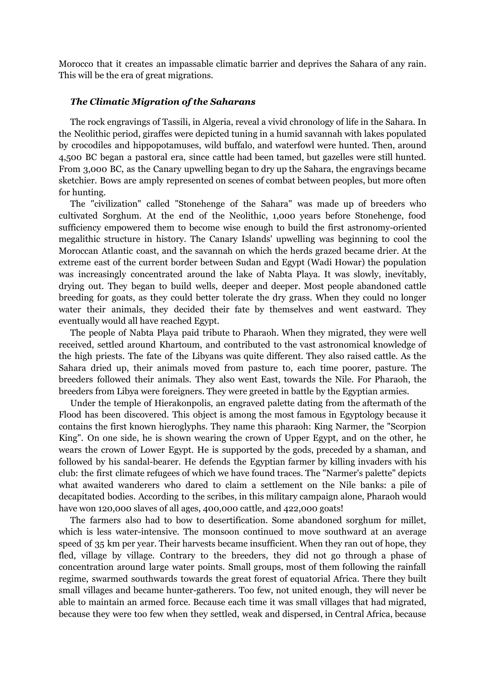Morocco that it creates an impassable climatic barrier and deprives the Sahara of any rain. This will be the era of great migrations.

## *The Climatic Migration of the Saharans*

The rock engravings of Tassili, in Algeria, reveal a vivid chronology of life in the Sahara. In the Neolithic period, giraffes were depicted tuning in a humid savannah with lakes populated by crocodiles and hippopotamuses, wild buffalo, and waterfowl were hunted. Then, around 4,500 BC began a pastoral era, since cattle had been tamed, but gazelles were still hunted. From 3,000 BC, as the Canary upwelling began to dry up the Sahara, the engravings became sketchier. Bows are amply represented on scenes of combat between peoples, but more often for hunting.

The "civilization" called "Stonehenge of the Sahara" was made up of breeders who cultivated Sorghum. At the end of the Neolithic, 1,000 years before Stonehenge, food sufficiency empowered them to become wise enough to build the first astronomy-oriented megalithic structure in history. The Canary Islands' upwelling was beginning to cool the Moroccan Atlantic coast, and the savannah on which the herds grazed became drier. At the extreme east of the current border between Sudan and Egypt (Wadi Howar) the population was increasingly concentrated around the lake of Nabta Playa. It was slowly, inevitably, drying out. They began to build wells, deeper and deeper. Most people abandoned cattle breeding for goats, as they could better tolerate the dry grass. When they could no longer water their animals, they decided their fate by themselves and went eastward. They eventually would all have reached Egypt.

The people of Nabta Playa paid tribute to Pharaoh. When they migrated, they were well received, settled around Khartoum, and contributed to the vast astronomical knowledge of the high priests. The fate of the Libyans was quite different. They also raised cattle. As the Sahara dried up, their animals moved from pasture to, each time poorer, pasture. The breeders followed their animals. They also went East, towards the Nile. For Pharaoh, the breeders from Libya were foreigners. They were greeted in battle by the Egyptian armies.

Under the temple of Hierakonpolis, an engraved palette dating from the aftermath of the Flood has been discovered. This object is among the most famous in Egyptology because it contains the first known hieroglyphs. They name this pharaoh: King Narmer, the "Scorpion King". On one side, he is shown wearing the crown of Upper Egypt, and on the other, he wears the crown of Lower Egypt. He is supported by the gods, preceded by a shaman, and followed by his sandal-bearer. He defends the Egyptian farmer by killing invaders with his club: the first climate refugees of which we have found traces. The "Narmer's palette" depicts what awaited wanderers who dared to claim a settlement on the Nile banks: a pile of decapitated bodies. According to the scribes, in this military campaign alone, Pharaoh would have won 120,000 slaves of all ages, 400,000 cattle, and 422,000 goats!

The farmers also had to bow to desertification. Some abandoned sorghum for millet, which is less water-intensive. The monsoon continued to move southward at an average speed of 35 km per year. Their harvests became insufficient. When they ran out of hope, they fled, village by village. Contrary to the breeders, they did not go through a phase of concentration around large water points. Small groups, most of them following the rainfall regime, swarmed southwards towards the great forest of equatorial Africa. There they built small villages and became hunter-gatherers. Too few, not united enough, they will never be able to maintain an armed force. Because each time it was small villages that had migrated, because they were too few when they settled, weak and dispersed, in Central Africa, because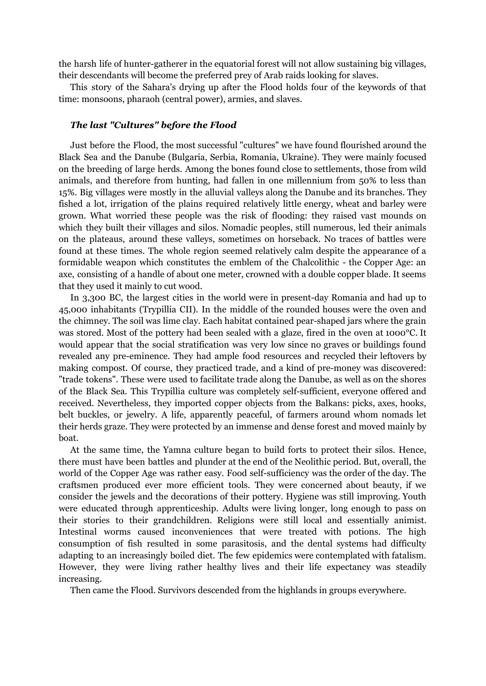the harsh life of hunter-gatherer in the equatorial forest will not allow sustaining big villages, their descendants will become the preferred prey of Arab raids looking for slaves.

This story of the Sahara's drying up after the Flood holds four of the keywords of that time: monsoons, pharaoh (central power), armies, and slaves.

# *The last "Cultures" before the Flood*

Just before the Flood, the most successful "cultures" we have found flourished around the Black Sea and the Danube (Bulgaria, Serbia, Romania, Ukraine). They were mainly focused on the breeding of large herds. Among the bones found close to settlements, those from wild animals, and therefore from hunting, had fallen in one millennium from 50% to less than 15%. Big villages were mostly in the alluvial valleys along the Danube and its branches. They fished a lot, irrigation of the plains required relatively little energy, wheat and barley were grown. What worried these people was the risk of flooding: they raised vast mounds on which they built their villages and silos. Nomadic peoples, still numerous, led their animals on the plateaus, around these valleys, sometimes on horseback. No traces of battles were found at these times. The whole region seemed relatively calm despite the appearance of a formidable weapon which constitutes the emblem of the Chalcolithic - the Copper Age: an axe, consisting of a handle of about one meter, crowned with a double copper blade. It seems that they used it mainly to cut wood.

In 3,300 BC, the largest cities in the world were in present-day Romania and had up to 45,000 inhabitants (Trypillia CII). In the middle of the rounded houses were the oven and the chimney. The soil was lime clay. Each habitat contained pear-shaped jars where the grain was stored. Most of the pottery had been sealed with a glaze, fired in the oven at 1000°C. It would appear that the social stratification was very low since no graves or buildings found revealed any pre-eminence. They had ample food resources and recycled their leftovers by making compost. Of course, they practiced trade, and a kind of pre-money was discovered: "trade tokens". These were used to facilitate trade along the Danube, as well as on the shores of the Black Sea. This Trypillia culture was completely self-sufficient, everyone offered and received. Nevertheless, they imported copper objects from the Balkans: picks, axes, hooks, belt buckles, or jewelry. A life, apparently peaceful, of farmers around whom nomads let their herds graze. They were protected by an immense and dense forest and moved mainly by boat.

At the same time, the Yamna culture began to build forts to protect their silos. Hence, there must have been battles and plunder at the end of the Neolithic period. But, overall, the world of the Copper Age was rather easy. Food self-sufficiency was the order of the day. The craftsmen produced ever more efficient tools. They were concerned about beauty, if we consider the jewels and the decorations of their pottery. Hygiene was still improving. Youth were educated through apprenticeship. Adults were living longer, long enough to pass on their stories to their grandchildren. Religions were still local and essentially animist. Intestinal worms caused inconveniences that were treated with potions. The high consumption of fish resulted in some parasitosis, and the dental systems had difficulty adapting to an increasingly boiled diet. The few epidemics were contemplated with fatalism. However, they were living rather healthy lives and their life expectancy was steadily increasing.

Then came the Flood. Survivors descended from the highlands in groups everywhere.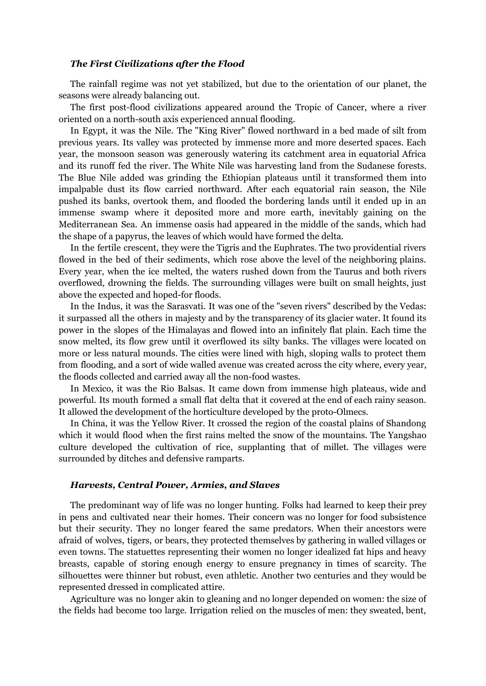## *The First Civilizations after the Flood*

The rainfall regime was not yet stabilized, but due to the orientation of our planet, the seasons were already balancing out.

The first post-flood civilizations appeared around the Tropic of Cancer, where a river oriented on a north-south axis experienced annual flooding.

In Egypt, it was the Nile. The "King River" flowed northward in a bed made of silt from previous years. Its valley was protected by immense more and more deserted spaces. Each year, the monsoon season was generously watering its catchment area in equatorial Africa and its runoff fed the river. The White Nile was harvesting land from the Sudanese forests. The Blue Nile added was grinding the Ethiopian plateaus until it transformed them into impalpable dust its flow carried northward. After each equatorial rain season, the Nile pushed its banks, overtook them, and flooded the bordering lands until it ended up in an immense swamp where it deposited more and more earth, inevitably gaining on the Mediterranean Sea. An immense oasis had appeared in the middle of the sands, which had the shape of a papyrus, the leaves of which would have formed the delta.

In the fertile crescent, they were the Tigris and the Euphrates. The two providential rivers flowed in the bed of their sediments, which rose above the level of the neighboring plains. Every year, when the ice melted, the waters rushed down from the Taurus and both rivers overflowed, drowning the fields. The surrounding villages were built on small heights, just above the expected and hoped-for floods.

In the Indus, it was the Sarasvati. It was one of the "seven rivers" described by the Vedas: it surpassed all the others in majesty and by the transparency of its glacier water. It found its power in the slopes of the Himalayas and flowed into an infinitely flat plain. Each time the snow melted, its flow grew until it overflowed its silty banks. The villages were located on more or less natural mounds. The cities were lined with high, sloping walls to protect them from flooding, and a sort of wide walled avenue was created across the city where, every year, the floods collected and carried away all the non-food wastes.

In Mexico, it was the Rio Balsas. It came down from immense high plateaus, wide and powerful. Its mouth formed a small flat delta that it covered at the end of each rainy season. It allowed the development of the horticulture developed by the proto-Olmecs.

In China, it was the Yellow River. It crossed the region of the coastal plains of Shandong which it would flood when the first rains melted the snow of the mountains. The Yangshao culture developed the cultivation of rice, supplanting that of millet. The villages were surrounded by ditches and defensive ramparts.

# *Harvests, Central Power, Armies, and Slaves*

The predominant way of life was no longer hunting. Folks had learned to keep their prey in pens and cultivated near their homes. Their concern was no longer for food subsistence but their security. They no longer feared the same predators. When their ancestors were afraid of wolves, tigers, or bears, they protected themselves by gathering in walled villages or even towns. The statuettes representing their women no longer idealized fat hips and heavy breasts, capable of storing enough energy to ensure pregnancy in times of scarcity. The silhouettes were thinner but robust, even athletic. Another two centuries and they would be represented dressed in complicated attire.

Agriculture was no longer akin to gleaning and no longer depended on women: the size of the fields had become too large. Irrigation relied on the muscles of men: they sweated, bent,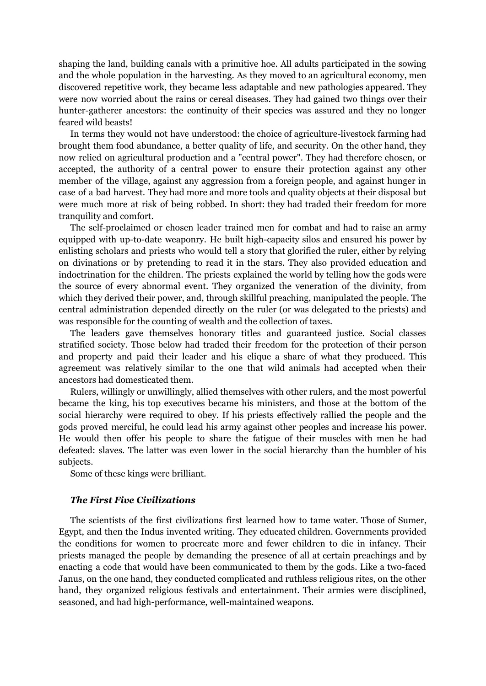shaping the land, building canals with a primitive hoe. All adults participated in the sowing and the whole population in the harvesting. As they moved to an agricultural economy, men discovered repetitive work, they became less adaptable and new pathologies appeared. They were now worried about the rains or cereal diseases. They had gained two things over their hunter-gatherer ancestors: the continuity of their species was assured and they no longer feared wild beasts!

In terms they would not have understood: the choice of agriculture-livestock farming had brought them food abundance, a better quality of life, and security. On the other hand, they now relied on agricultural production and a "central power". They had therefore chosen, or accepted, the authority of a central power to ensure their protection against any other member of the village, against any aggression from a foreign people, and against hunger in case of a bad harvest. They had more and more tools and quality objects at their disposal but were much more at risk of being robbed. In short: they had traded their freedom for more tranquility and comfort.

The self-proclaimed or chosen leader trained men for combat and had to raise an army equipped with up-to-date weaponry. He built high-capacity silos and ensured his power by enlisting scholars and priests who would tell a story that glorified the ruler, either by relying on divinations or by pretending to read it in the stars. They also provided education and indoctrination for the children. The priests explained the world by telling how the gods were the source of every abnormal event. They organized the veneration of the divinity, from which they derived their power, and, through skillful preaching, manipulated the people. The central administration depended directly on the ruler (or was delegated to the priests) and was responsible for the counting of wealth and the collection of taxes.

The leaders gave themselves honorary titles and guaranteed justice. Social classes stratified society. Those below had traded their freedom for the protection of their person and property and paid their leader and his clique a share of what they produced. This agreement was relatively similar to the one that wild animals had accepted when their ancestors had domesticated them.

Rulers, willingly or unwillingly, allied themselves with other rulers, and the most powerful became the king, his top executives became his ministers, and those at the bottom of the social hierarchy were required to obey. If his priests effectively rallied the people and the gods proved merciful, he could lead his army against other peoples and increase his power. He would then offer his people to share the fatigue of their muscles with men he had defeated: slaves. The latter was even lower in the social hierarchy than the humbler of his subjects.

Some of these kings were brilliant.

### *The First Five Civilizations*

The scientists of the first civilizations first learned how to tame water. Those of Sumer, Egypt, and then the Indus invented writing. They educated children. Governments provided the conditions for women to procreate more and fewer children to die in infancy. Their priests managed the people by demanding the presence of all at certain preachings and by enacting a code that would have been communicated to them by the gods. Like a two-faced Janus, on the one hand, they conducted complicated and ruthless religious rites, on the other hand, they organized religious festivals and entertainment. Their armies were disciplined, seasoned, and had high-performance, well-maintained weapons.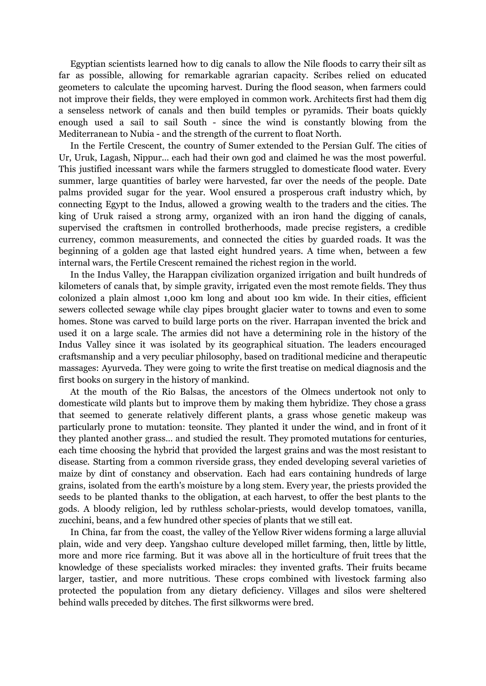Egyptian scientists learned how to dig canals to allow the Nile floods to carry their silt as far as possible, allowing for remarkable agrarian capacity. Scribes relied on educated geometers to calculate the upcoming harvest. During the flood season, when farmers could not improve their fields, they were employed in common work. Architects first had them dig a senseless network of canals and then build temples or pyramids. Their boats quickly enough used a sail to sail South - since the wind is constantly blowing from the Mediterranean to Nubia - and the strength of the current to float North.

In the Fertile Crescent, the country of Sumer extended to the Persian Gulf. The cities of Ur, Uruk, Lagash, Nippur... each had their own god and claimed he was the most powerful. This justified incessant wars while the farmers struggled to domesticate flood water. Every summer, large quantities of barley were harvested, far over the needs of the people. Date palms provided sugar for the year. Wool ensured a prosperous craft industry which, by connecting Egypt to the Indus, allowed a growing wealth to the traders and the cities. The king of Uruk raised a strong army, organized with an iron hand the digging of canals, supervised the craftsmen in controlled brotherhoods, made precise registers, a credible currency, common measurements, and connected the cities by guarded roads. It was the beginning of a golden age that lasted eight hundred years. A time when, between a few internal wars, the Fertile Crescent remained the richest region in the world.

In the Indus Valley, the Harappan civilization organized irrigation and built hundreds of kilometers of canals that, by simple gravity, irrigated even the most remote fields. They thus colonized a plain almost 1,000 km long and about 100 km wide. In their cities, efficient sewers collected sewage while clay pipes brought glacier water to towns and even to some homes. Stone was carved to build large ports on the river. Harrapan invented the brick and used it on a large scale. The armies did not have a determining role in the history of the Indus Valley since it was isolated by its geographical situation. The leaders encouraged craftsmanship and a very peculiar philosophy, based on traditional medicine and therapeutic massages: Ayurveda. They were going to write the first treatise on medical diagnosis and the first books on surgery in the history of mankind.

At the mouth of the Rio Balsas, the ancestors of the Olmecs undertook not only to domesticate wild plants but to improve them by making them hybridize. They chose a grass that seemed to generate relatively different plants, a grass whose genetic makeup was particularly prone to mutation: teonsite. They planted it under the wind, and in front of it they planted another grass... and studied the result. They promoted mutations for centuries, each time choosing the hybrid that provided the largest grains and was the most resistant to disease. Starting from a common riverside grass, they ended developing several varieties of maize by dint of constancy and observation. Each had ears containing hundreds of large grains, isolated from the earth's moisture by a long stem. Every year, the priests provided the seeds to be planted thanks to the obligation, at each harvest, to offer the best plants to the gods. A bloody religion, led by ruthless scholar-priests, would develop tomatoes, vanilla, zucchini, beans, and a few hundred other species of plants that we still eat.

In China, far from the coast, the valley of the Yellow River widens forming a large alluvial plain, wide and very deep. Yangshao culture developed millet farming, then, little by little, more and more rice farming. But it was above all in the horticulture of fruit trees that the knowledge of these specialists worked miracles: they invented grafts. Their fruits became larger, tastier, and more nutritious. These crops combined with livestock farming also protected the population from any dietary deficiency. Villages and silos were sheltered behind walls preceded by ditches. The first silkworms were bred.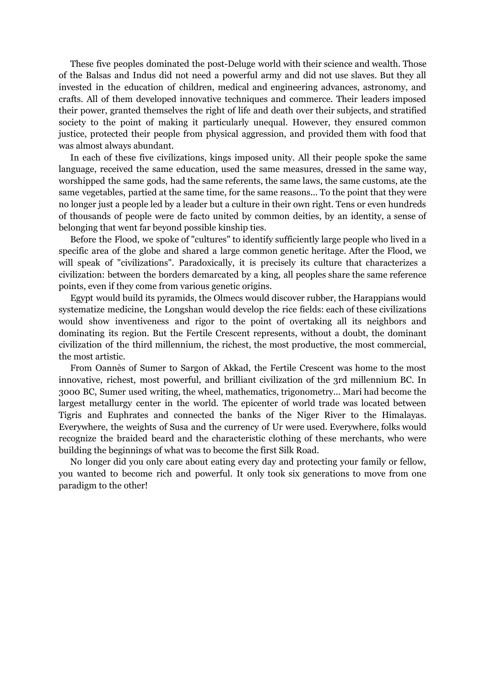These five peoples dominated the post-Deluge world with their science and wealth. Those of the Balsas and Indus did not need a powerful army and did not use slaves. But they all invested in the education of children, medical and engineering advances, astronomy, and crafts. All of them developed innovative techniques and commerce. Their leaders imposed their power, granted themselves the right of life and death over their subjects, and stratified society to the point of making it particularly unequal. However, they ensured common justice, protected their people from physical aggression, and provided them with food that was almost always abundant.

In each of these five civilizations, kings imposed unity. All their people spoke the same language, received the same education, used the same measures, dressed in the same way, worshipped the same gods, had the same referents, the same laws, the same customs, ate the same vegetables, partied at the same time, for the same reasons... To the point that they were no longer just a people led by a leader but a culture in their own right. Tens or even hundreds of thousands of people were de facto united by common deities, by an identity, a sense of belonging that went far beyond possible kinship ties.

Before the Flood, we spoke of "cultures" to identify sufficiently large people who lived in a specific area of the globe and shared a large common genetic heritage. After the Flood, we will speak of "civilizations". Paradoxically, it is precisely its culture that characterizes a civilization: between the borders demarcated by a king, all peoples share the same reference points, even if they come from various genetic origins.

Egypt would build its pyramids, the Olmecs would discover rubber, the Harappians would systematize medicine, the Longshan would develop the rice fields: each of these civilizations would show inventiveness and rigor to the point of overtaking all its neighbors and dominating its region. But the Fertile Crescent represents, without a doubt, the dominant civilization of the third millennium, the richest, the most productive, the most commercial, the most artistic.

From Oannès of Sumer to Sargon of Akkad, the Fertile Crescent was home to the most innovative, richest, most powerful, and brilliant civilization of the 3rd millennium BC. In 3000 BC, Sumer used writing, the wheel, mathematics, trigonometry... Mari had become the largest metallurgy center in the world. The epicenter of world trade was located between Tigris and Euphrates and connected the banks of the Niger River to the Himalayas. Everywhere, the weights of Susa and the currency of Ur were used. Everywhere, folks would recognize the braided beard and the characteristic clothing of these merchants, who were building the beginnings of what was to become the first Silk Road.

No longer did you only care about eating every day and protecting your family or fellow, you wanted to become rich and powerful. It only took six generations to move from one paradigm to the other!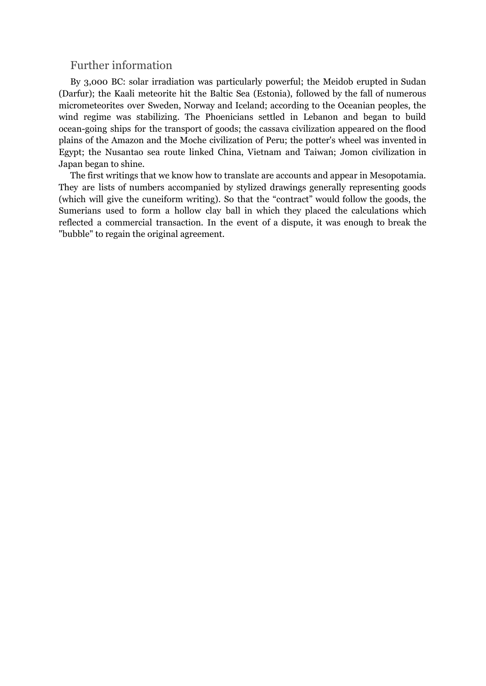# Further information

By 3,000 BC: solar irradiation was particularly powerful; the Meidob erupted in Sudan (Darfur); the Kaali meteorite hit the Baltic Sea (Estonia), followed by the fall of numerous micrometeorites over Sweden, Norway and Iceland; according to the Oceanian peoples, the wind regime was stabilizing. The Phoenicians settled in Lebanon and began to build ocean-going ships for the transport of goods; the cassava civilization appeared on the flood plains of the Amazon and the Moche civilization of Peru; the potter's wheel was invented in Egypt; the Nusantao sea route linked China, Vietnam and Taiwan; Jomon civilization in Japan began to shine.

The first writings that we know how to translate are accounts and appear in Mesopotamia. They are lists of numbers accompanied by stylized drawings generally representing goods (which will give the cuneiform writing). So that the "contract" would follow the goods, the Sumerians used to form a hollow clay ball in which they placed the calculations which reflected a commercial transaction. In the event of a dispute, it was enough to break the "bubble" to regain the original agreement.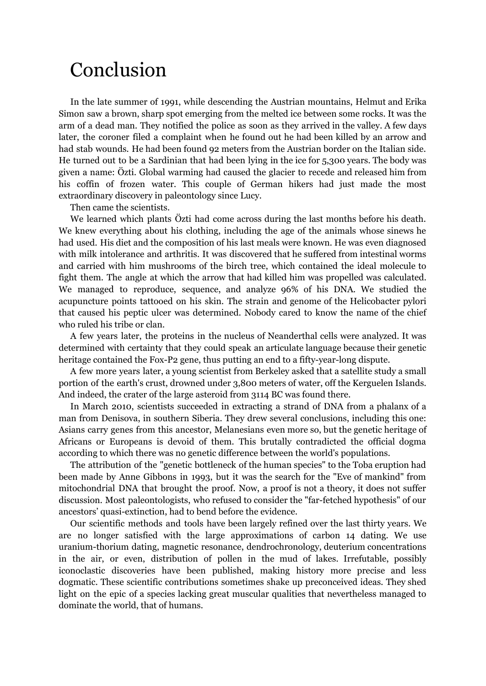# Conclusion

In the late summer of 1991, while descending the Austrian mountains, Helmut and Erika Simon saw a brown, sharp spot emerging from the melted ice between some rocks. It was the arm of a dead man. They notified the police as soon as they arrived in the valley. A few days later, the coroner filed a complaint when he found out he had been killed by an arrow and had stab wounds. He had been found 92 meters from the Austrian border on the Italian side. He turned out to be a Sardinian that had been lying in the ice for 5,300 years. The body was given a name: Özti. Global warming had caused the glacier to recede and released him from his coffin of frozen water. This couple of German hikers had just made the most extraordinary discovery in paleontology since Lucy.

Then came the scientists.

We learned which plants Özti had come across during the last months before his death. We knew everything about his clothing, including the age of the animals whose sinews he had used. His diet and the composition of his last meals were known. He was even diagnosed with milk intolerance and arthritis. It was discovered that he suffered from intestinal worms and carried with him mushrooms of the birch tree, which contained the ideal molecule to fight them. The angle at which the arrow that had killed him was propelled was calculated. We managed to reproduce, sequence, and analyze 96% of his DNA. We studied the acupuncture points tattooed on his skin. The strain and genome of the Helicobacter pylori that caused his peptic ulcer was determined. Nobody cared to know the name of the chief who ruled his tribe or clan.

A few years later, the proteins in the nucleus of Neanderthal cells were analyzed. It was determined with certainty that they could speak an articulate language because their genetic heritage contained the Fox-P2 gene, thus putting an end to a fifty-year-long dispute.

A few more years later, a young scientist from Berkeley asked that a satellite study a small portion of the earth's crust, drowned under 3,800 meters of water, off the Kerguelen Islands. And indeed, the crater of the large asteroid from 3114 BC was found there.

In March 2010, scientists succeeded in extracting a strand of DNA from a phalanx of a man from Denisova, in southern Siberia. They drew several conclusions, including this one: Asians carry genes from this ancestor, Melanesians even more so, but the genetic heritage of Africans or Europeans is devoid of them. This brutally contradicted the official dogma according to which there was no genetic difference between the world's populations.

The attribution of the "genetic bottleneck of the human species" to the Toba eruption had been made by Anne Gibbons in 1993, but it was the search for the "Eve of mankind" from mitochondrial DNA that brought the proof. Now, a proof is not a theory, it does not suffer discussion. Most paleontologists, who refused to consider the "far-fetched hypothesis" of our ancestors' quasi-extinction, had to bend before the evidence.

Our scientific methods and tools have been largely refined over the last thirty years. We are no longer satisfied with the large approximations of carbon 14 dating. We use uranium-thorium dating, magnetic resonance, dendrochronology, deuterium concentrations in the air, or even, distribution of pollen in the mud of lakes. Irrefutable, possibly iconoclastic discoveries have been published, making history more precise and less dogmatic. These scientific contributions sometimes shake up preconceived ideas. They shed light on the epic of a species lacking great muscular qualities that nevertheless managed to dominate the world, that of humans.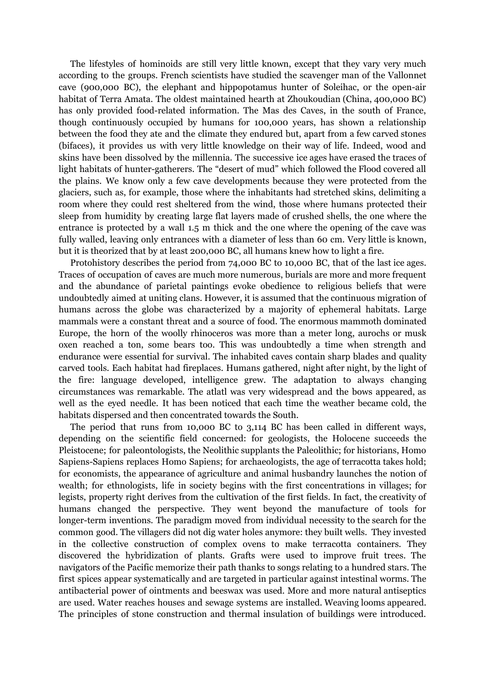The lifestyles of hominoids are still very little known, except that they vary very much according to the groups. French scientists have studied the scavenger man of the Vallonnet cave (900,000 BC), the elephant and hippopotamus hunter of Soleihac, or the open-air habitat of Terra Amata. The oldest maintained hearth at Zhoukoudian (China, 400,000 BC) has only provided food-related information. The Mas des Caves, in the south of France, though continuously occupied by humans for 100,000 years, has shown a relationship between the food they ate and the climate they endured but, apart from a few carved stones (bifaces), it provides us with very little knowledge on their way of life. Indeed, wood and skins have been dissolved by the millennia. The successive ice ages have erased the traces of light habitats of hunter-gatherers. The "desert of mud" which followed the Flood covered all the plains. We know only a few cave developments because they were protected from the glaciers, such as, for example, those where the inhabitants had stretched skins, delimiting a room where they could rest sheltered from the wind, those where humans protected their sleep from humidity by creating large flat layers made of crushed shells, the one where the entrance is protected by a wall 1.5 m thick and the one where the opening of the cave was fully walled, leaving only entrances with a diameter of less than 60 cm. Very little is known, but it is theorized that by at least 200,000 BC, all humans knew how to light a fire.

Protohistory describes the period from 74,000 BC to 10,000 BC, that of the last ice ages. Traces of occupation of caves are much more numerous, burials are more and more frequent and the abundance of parietal paintings evoke obedience to religious beliefs that were undoubtedly aimed at uniting clans. However, it is assumed that the continuous migration of humans across the globe was characterized by a majority of ephemeral habitats. Large mammals were a constant threat and a source of food. The enormous mammoth dominated Europe, the horn of the woolly rhinoceros was more than a meter long, aurochs or musk oxen reached a ton, some bears too. This was undoubtedly a time when strength and endurance were essential for survival. The inhabited caves contain sharp blades and quality carved tools. Each habitat had fireplaces. Humans gathered, night after night, by the light of the fire: language developed, intelligence grew. The adaptation to always changing circumstances was remarkable. The atlatl was very widespread and the bows appeared, as well as the eyed needle. It has been noticed that each time the weather became cold, the habitats dispersed and then concentrated towards the South.

The period that runs from 10,000 BC to 3,114 BC has been called in different ways, depending on the scientific field concerned: for geologists, the Holocene succeeds the Pleistocene; for paleontologists, the Neolithic supplants the Paleolithic; for historians, Homo Sapiens-Sapiens replaces Homo Sapiens; for archaeologists, the age of terracotta takes hold; for economists, the appearance of agriculture and animal husbandry launches the notion of wealth; for ethnologists, life in society begins with the first concentrations in villages; for legists, property right derives from the cultivation of the first fields. In fact, the creativity of humans changed the perspective. They went beyond the manufacture of tools for longer-term inventions. The paradigm moved from individual necessity to the search for the common good. The villagers did not dig water holes anymore: they built wells. They invested in the collective construction of complex ovens to make terracotta containers. They discovered the hybridization of plants. Grafts were used to improve fruit trees. The navigators of the Pacific memorize their path thanks to songs relating to a hundred stars. The first spices appear systematically and are targeted in particular against intestinal worms. The antibacterial power of ointments and beeswax was used. More and more natural antiseptics are used. Water reaches houses and sewage systems are installed. Weaving looms appeared. The principles of stone construction and thermal insulation of buildings were introduced.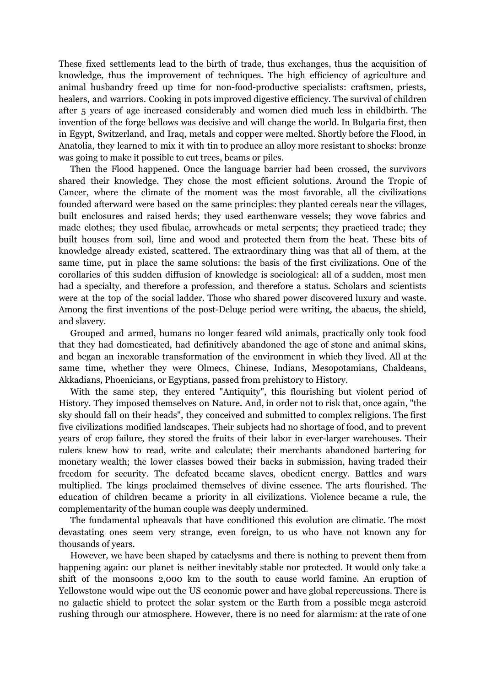These fixed settlements lead to the birth of trade, thus exchanges, thus the acquisition of knowledge, thus the improvement of techniques. The high efficiency of agriculture and animal husbandry freed up time for non-food-productive specialists: craftsmen, priests, healers, and warriors. Cooking in pots improved digestive efficiency. The survival of children after 5 years of age increased considerably and women died much less in childbirth. The invention of the forge bellows was decisive and will change the world. In Bulgaria first, then in Egypt, Switzerland, and Iraq, metals and copper were melted. Shortly before the Flood, in Anatolia, they learned to mix it with tin to produce an alloy more resistant to shocks: bronze was going to make it possible to cut trees, beams or piles.

Then the Flood happened. Once the language barrier had been crossed, the survivors shared their knowledge. They chose the most efficient solutions. Around the Tropic of Cancer, where the climate of the moment was the most favorable, all the civilizations founded afterward were based on the same principles: they planted cereals near the villages, built enclosures and raised herds; they used earthenware vessels; they wove fabrics and made clothes; they used fibulae, arrowheads or metal serpents; they practiced trade; they built houses from soil, lime and wood and protected them from the heat. These bits of knowledge already existed, scattered. The extraordinary thing was that all of them, at the same time, put in place the same solutions: the basis of the first civilizations. One of the corollaries of this sudden diffusion of knowledge is sociological: all of a sudden, most men had a specialty, and therefore a profession, and therefore a status. Scholars and scientists were at the top of the social ladder. Those who shared power discovered luxury and waste. Among the first inventions of the post-Deluge period were writing, the abacus, the shield, and slavery.

Grouped and armed, humans no longer feared wild animals, practically only took food that they had domesticated, had definitively abandoned the age of stone and animal skins, and began an inexorable transformation of the environment in which they lived. All at the same time, whether they were Olmecs, Chinese, Indians, Mesopotamians, Chaldeans, Akkadians, Phoenicians, or Egyptians, passed from prehistory to History.

With the same step, they entered "Antiquity", this flourishing but violent period of History. They imposed themselves on Nature. And, in order not to risk that, once again, "the sky should fall on their heads", they conceived and submitted to complex religions. The first five civilizations modified landscapes. Their subjects had no shortage of food, and to prevent years of crop failure, they stored the fruits of their labor in ever-larger warehouses. Their rulers knew how to read, write and calculate; their merchants abandoned bartering for monetary wealth; the lower classes bowed their backs in submission, having traded their freedom for security. The defeated became slaves, obedient energy. Battles and wars multiplied. The kings proclaimed themselves of divine essence. The arts flourished. The education of children became a priority in all civilizations. Violence became a rule, the complementarity of the human couple was deeply undermined.

The fundamental upheavals that have conditioned this evolution are climatic. The most devastating ones seem very strange, even foreign, to us who have not known any for thousands of years.

However, we have been shaped by cataclysms and there is nothing to prevent them from happening again: our planet is neither inevitably stable nor protected. It would only take a shift of the monsoons 2,000 km to the south to cause world famine. An eruption of Yellowstone would wipe out the US economic power and have global repercussions. There is no galactic shield to protect the solar system or the Earth from a possible mega asteroid rushing through our atmosphere. However, there is no need for alarmism: at the rate of one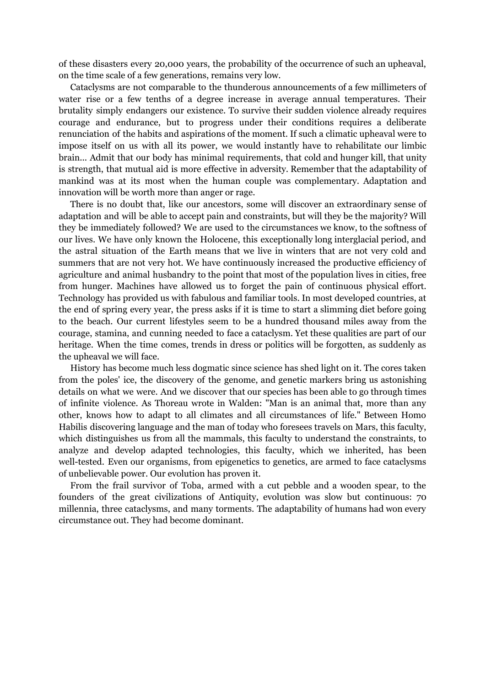of these disasters every 20,000 years, the probability of the occurrence of such an upheaval, on the time scale of a few generations, remains very low.

Cataclysms are not comparable to the thunderous announcements of a few millimeters of water rise or a few tenths of a degree increase in average annual temperatures. Their brutality simply endangers our existence. To survive their sudden violence already requires courage and endurance, but to progress under their conditions requires a deliberate renunciation of the habits and aspirations of the moment. If such a climatic upheaval were to impose itself on us with all its power, we would instantly have to rehabilitate our limbic brain... Admit that our body has minimal requirements, that cold and hunger kill, that unity is strength, that mutual aid is more effective in adversity. Remember that the adaptability of mankind was at its most when the human couple was complementary. Adaptation and innovation will be worth more than anger or rage.

There is no doubt that, like our ancestors, some will discover an extraordinary sense of adaptation and will be able to accept pain and constraints, but will they be the majority? Will they be immediately followed? We are used to the circumstances we know, to the softness of our lives. We have only known the Holocene, this exceptionally long interglacial period, and the astral situation of the Earth means that we live in winters that are not very cold and summers that are not very hot. We have continuously increased the productive efficiency of agriculture and animal husbandry to the point that most of the population lives in cities, free from hunger. Machines have allowed us to forget the pain of continuous physical effort. Technology has provided us with fabulous and familiar tools. In most developed countries, at the end of spring every year, the press asks if it is time to start a slimming diet before going to the beach. Our current lifestyles seem to be a hundred thousand miles away from the courage, stamina, and cunning needed to face a cataclysm. Yet these qualities are part of our heritage. When the time comes, trends in dress or politics will be forgotten, as suddenly as the upheaval we will face.

History has become much less dogmatic since science has shed light on it. The cores taken from the poles' ice, the discovery of the genome, and genetic markers bring us astonishing details on what we were. And we discover that our species has been able to go through times of infinite violence. As Thoreau wrote in Walden: "Man is an animal that, more than any other, knows how to adapt to all climates and all circumstances of life." Between Homo Habilis discovering language and the man of today who foresees travels on Mars, this faculty, which distinguishes us from all the mammals, this faculty to understand the constraints, to analyze and develop adapted technologies, this faculty, which we inherited, has been well-tested. Even our organisms, from epigenetics to genetics, are armed to face cataclysms of unbelievable power. Our evolution has proven it.

From the frail survivor of Toba, armed with a cut pebble and a wooden spear, to the founders of the great civilizations of Antiquity, evolution was slow but continuous: 70 millennia, three cataclysms, and many torments. The adaptability of humans had won every circumstance out. They had become dominant.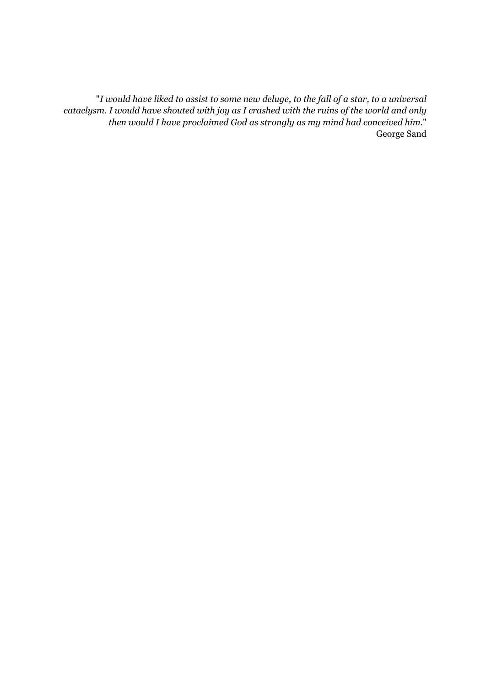"*I would have liked to assist to some new deluge, to the fall of a star, to a universal cataclysm. I would have shouted with joy as I crashed with the ruins of the world and only then would I have proclaimed God as strongly as my mind had conceived him.*" George Sand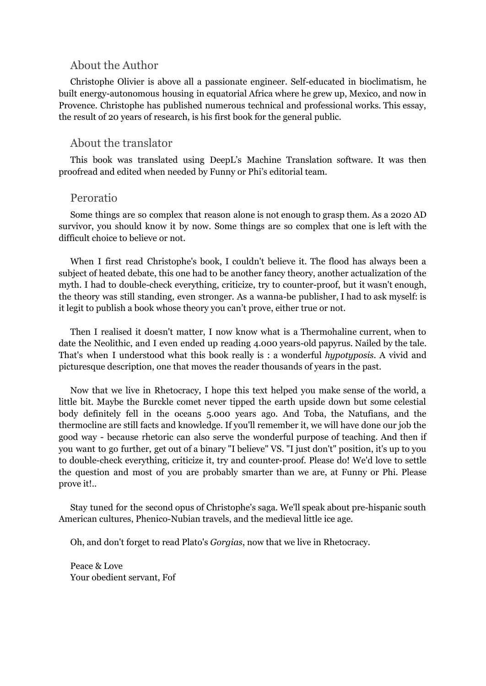## About the Author

Christophe Olivier is above all a passionate engineer. Self-educated in bioclimatism, he built energy-autonomous housing in equatorial Africa where he grew up, Mexico, and now in Provence. Christophe has published numerous technical and professional works. This essay, the result of 20 years of research, is his first book for the general public.

## About the translator

This book was translated using DeepL's Machine Translation software. It was then proofread and edited when needed by Funny or Phi's editorial team.

## Peroratio

Some things are so complex that reason alone is not enough to grasp them. As a 2020 AD survivor, you should know it by now. Some things are so complex that one is left with the difficult choice to believe or not.

When I first read Christophe's book, I couldn't believe it. The flood has always been a subject of heated debate, this one had to be another fancy theory, another actualization of the myth. I had to double-check everything, criticize, try to counter-proof, but it wasn't enough, the theory was still standing, even stronger. As a wanna-be publisher, I had to ask myself: is it legit to publish a book whose theory you can't prove, either true or not.

Then I realised it doesn't matter, I now know what is a Thermohaline current, when to date the Neolithic, and I even ended up reading 4.000 years-old papyrus. Nailed by the tale. That's when I understood what this book really is : a wonderful *hypotyposis*. A vivid and picturesque description, one that moves the reader thousands of years in the past.

Now that we live in Rhetocracy, I hope this text helped you make sense of the world, a little bit. Maybe the Burckle comet never tipped the earth upside down but some celestial body definitely fell in the oceans 5.000 years ago. And Toba, the Natufians, and the thermocline are still facts and knowledge. If you'll remember it, we will have done our job the good way - because rhetoric can also serve the wonderful purpose of teaching. And then if you want to go further, get out of a binary "I believe" VS. "I just don't" position, it's up to you to double-check everything, criticize it, try and counter-proof. Please do! We'd love to settle the question and most of you are probably smarter than we are, at Funny or Phi. Please prove it!..

Stay tuned for the second opus of Christophe's saga. We'll speak about pre-hispanic south American cultures, Phenico-Nubian travels, and the medieval little ice age.

Oh, and don't forget to read Plato's *Gorgias*, now that we live in Rhetocracy.

Peace & Love Your obedient servant, Fof